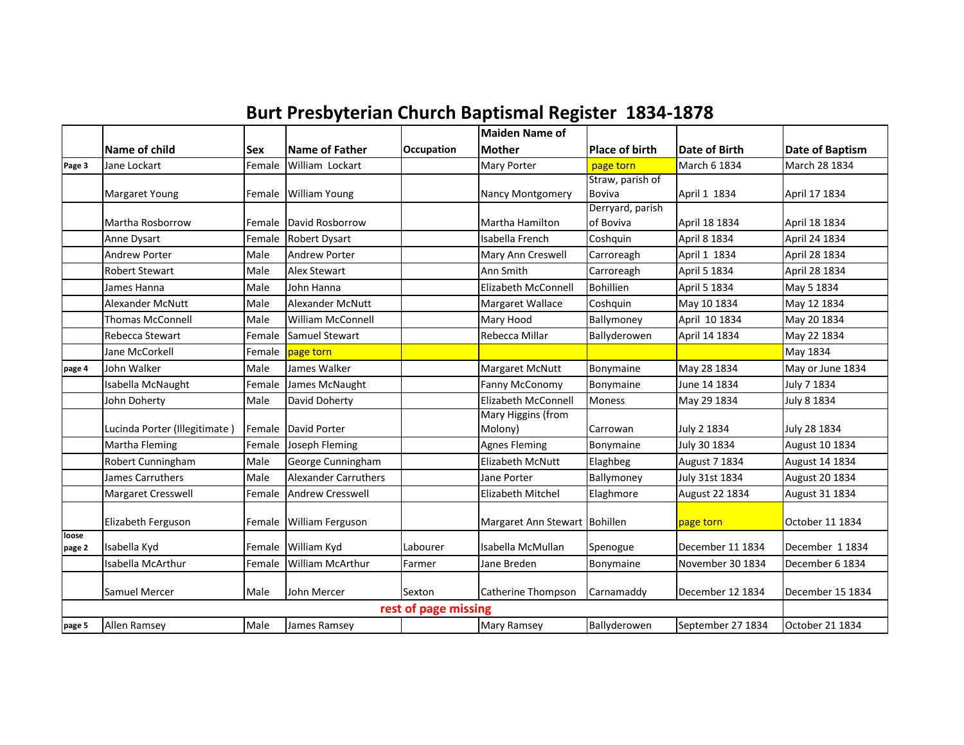| <b>Burt Presbyterian Church Baptismal Register 1834-1878</b> |  |  |  |  |
|--------------------------------------------------------------|--|--|--|--|
|--------------------------------------------------------------|--|--|--|--|

|                 |                               |            |                             |                      | <b>Maiden Name of</b>         |                       |                      |                  |
|-----------------|-------------------------------|------------|-----------------------------|----------------------|-------------------------------|-----------------------|----------------------|------------------|
|                 | Name of child                 | <b>Sex</b> | Name of Father              | Occupation           | <b>Mother</b>                 | <b>Place of birth</b> | <b>Date of Birth</b> | Date of Baptism  |
| Page 3          | Jane Lockart                  | Female     | William Lockart             |                      | Mary Porter                   | page torn             | March 6 1834         | March 28 1834    |
|                 |                               |            |                             |                      |                               | Straw, parish of      |                      |                  |
|                 | <b>Margaret Young</b>         |            | Female William Young        |                      | Nancy Montgomery              | Boviva                | April 1 1834         | April 17 1834    |
|                 |                               |            |                             |                      |                               | Derryard, parish      |                      |                  |
|                 | Martha Rosborrow              | Female     | David Rosborrow             |                      | Martha Hamilton               | of Boviva             | April 18 1834        | April 18 1834    |
|                 | Anne Dysart                   | Female     | <b>Robert Dysart</b>        |                      | Isabella French               | Coshquin              | April 8 1834         | April 24 1834    |
|                 | <b>Andrew Porter</b>          | Male       | <b>Andrew Porter</b>        |                      | Mary Ann Creswell             | Carroreagh            | April 1 1834         | April 28 1834    |
|                 | <b>Robert Stewart</b>         | Male       | <b>Alex Stewart</b>         |                      | Ann Smith                     | Carroreagh            | April 5 1834         | April 28 1834    |
|                 | James Hanna                   | Male       | John Hanna                  |                      | <b>Elizabeth McConnell</b>    | <b>Bohillien</b>      | April 5 1834         | May 5 1834       |
|                 | <b>Alexander McNutt</b>       | Male       | <b>Alexander McNutt</b>     |                      | Margaret Wallace              | Coshquin              | May 10 1834          | May 12 1834      |
|                 | <b>Thomas McConnell</b>       | Male       | <b>William McConnell</b>    |                      | Mary Hood                     | Ballymoney            | April 10 1834        | May 20 1834      |
|                 | Rebecca Stewart               | Female     | Samuel Stewart              |                      | Rebecca Millar                | Ballyderowen          | April 14 1834        | May 22 1834      |
|                 | Jane McCorkell                | Female     | page torn                   |                      |                               |                       |                      | May 1834         |
| page 4          | John Walker                   | Male       | James Walker                |                      | Margaret McNutt               | Bonymaine             | May 28 1834          | May or June 1834 |
|                 | Isabella McNaught             | Female     | James McNaught              |                      | <b>Fanny McConomy</b>         | Bonymaine             | June 14 1834         | July 7 1834      |
|                 | John Doherty                  | Male       | David Doherty               |                      | Elizabeth McConnell           | <b>Moness</b>         | May 29 1834          | July 8 1834      |
|                 |                               |            |                             |                      | <b>Mary Higgins (from</b>     |                       |                      |                  |
|                 | Lucinda Porter (Illegitimate) | Female     | David Porter                |                      | Molony)                       | Carrowan              | July 2 1834          | July 28 1834     |
|                 | Martha Fleming                | Female     | Joseph Fleming              |                      | <b>Agnes Fleming</b>          | Bonymaine             | July 30 1834         | August 10 1834   |
|                 | Robert Cunningham             | Male       | George Cunningham           |                      | <b>Elizabeth McNutt</b>       | Elaghbeg              | August 7 1834        | August 14 1834   |
|                 | James Carruthers              | Male       | <b>Alexander Carruthers</b> |                      | Jane Porter                   | Ballymoney            | July 31st 1834       | August 20 1834   |
|                 | Margaret Cresswell            | Female     | <b>Andrew Cresswell</b>     |                      | <b>Elizabeth Mitchel</b>      | Elaghmore             | August 22 1834       | August 31 1834   |
|                 |                               |            |                             |                      |                               |                       |                      |                  |
|                 | Elizabeth Ferguson            | Female     | <b>William Ferguson</b>     |                      | Margaret Ann Stewart Bohillen |                       | page torn            | October 11 1834  |
| loose<br>page 2 | Isabella Kyd                  | Female     | William Kyd                 | Labourer             | Isabella McMullan             | Spenogue              | December 11 1834     | December 1 1834  |
|                 | Isabella McArthur             | Female     | William McArthur            | Farmer               | Jane Breden                   | Bonymaine             | November 30 1834     | December 6 1834  |
|                 |                               |            |                             |                      |                               |                       |                      |                  |
|                 | <b>Samuel Mercer</b>          | Male       | John Mercer                 | Sexton               | Catherine Thompson            | Carnamaddy            | December 12 1834     | December 15 1834 |
|                 |                               |            |                             | rest of page missing |                               |                       |                      |                  |
| page 5          | Allen Ramsey                  | Male       | James Ramsey                |                      | <b>Mary Ramsey</b>            | Ballyderowen          | September 27 1834    | October 21 1834  |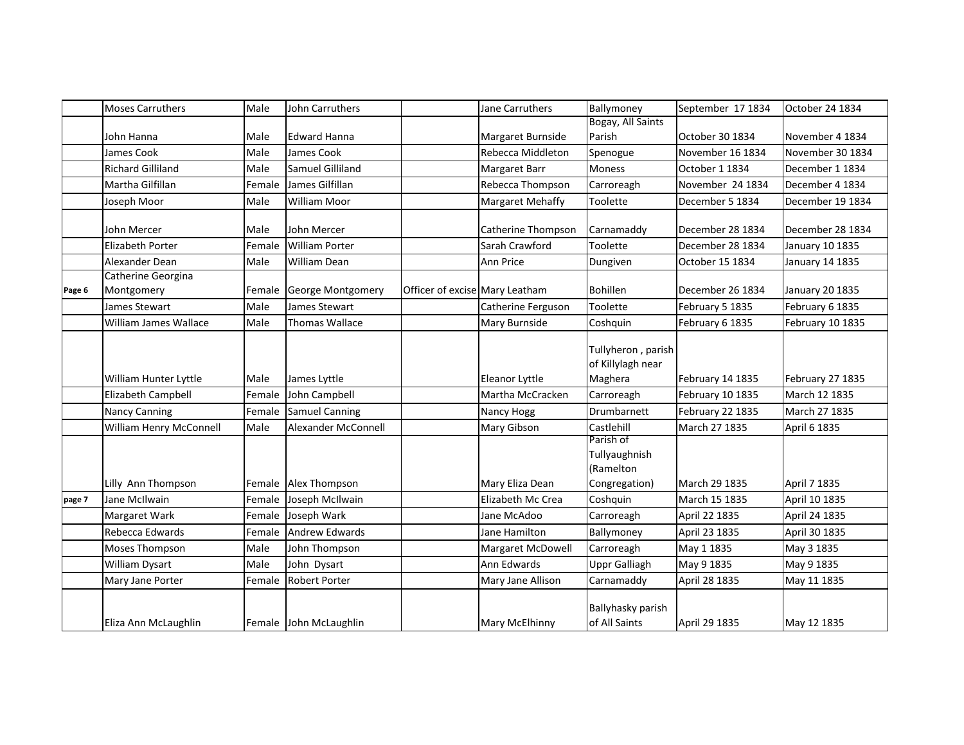|        | <b>Moses Carruthers</b>          | Male   | John Carruthers        |                                | Jane Carruthers         | Ballymoney                                               | September 17 1834 | October 24 1834  |
|--------|----------------------------------|--------|------------------------|--------------------------------|-------------------------|----------------------------------------------------------|-------------------|------------------|
|        |                                  |        |                        |                                |                         | Bogay, All Saints                                        |                   |                  |
|        | John Hanna                       | Male   | <b>Edward Hanna</b>    |                                | Margaret Burnside       | Parish                                                   | October 30 1834   | November 4 1834  |
|        | James Cook                       | Male   | James Cook             |                                | Rebecca Middleton       | Spenogue                                                 | November 16 1834  | November 30 1834 |
|        | <b>Richard Gilliland</b>         | Male   | Samuel Gilliland       |                                | Margaret Barr           | Moness                                                   | October 1 1834    | December 1 1834  |
|        | Martha Gilfillan                 | Female | James Gilfillan        |                                | Rebecca Thompson        | Carroreagh                                               | November 24 1834  | December 4 1834  |
|        | Joseph Moor                      | Male   | <b>William Moor</b>    |                                | <b>Margaret Mehaffy</b> | Toolette                                                 | December 5 1834   | December 19 1834 |
|        | John Mercer                      | Male   | John Mercer            |                                | Catherine Thompson      | Carnamaddy                                               | December 28 1834  | December 28 1834 |
|        | <b>Elizabeth Porter</b>          | Female | <b>William Porter</b>  |                                | Sarah Crawford          | Toolette                                                 | December 28 1834  | January 10 1835  |
|        | Alexander Dean                   | Male   | <b>William Dean</b>    |                                | Ann Price               | Dungiven                                                 | October 15 1834   | January 14 1835  |
| Page 6 | Catherine Georgina<br>Montgomery | Female | George Montgomery      | Officer of excise Mary Leatham |                         | <b>Bohillen</b>                                          | December 26 1834  | January 20 1835  |
|        | James Stewart                    | Male   | James Stewart          |                                | Catherine Ferguson      | Toolette                                                 | February 5 1835   | February 6 1835  |
|        | William James Wallace            | Male   | <b>Thomas Wallace</b>  |                                | Mary Burnside           | Coshquin                                                 | February 6 1835   | February 10 1835 |
|        | William Hunter Lyttle            | Male   | James Lyttle           |                                | Eleanor Lyttle          | Tullyheron, parish<br>of Killylagh near<br>Maghera       | February 14 1835  | February 27 1835 |
|        | Elizabeth Campbell               | Female | John Campbell          |                                | Martha McCracken        | Carroreagh                                               | February 10 1835  | March 12 1835    |
|        | <b>Nancy Canning</b>             | Female | <b>Samuel Canning</b>  |                                | Nancy Hogg              | Drumbarnett                                              | February 22 1835  | March 27 1835    |
|        | William Henry McConnell          | Male   | Alexander McConnell    |                                | Mary Gibson             | Castlehill                                               | March 27 1835     | April 6 1835     |
|        | Lilly Ann Thompson               |        | Female Alex Thompson   |                                | Mary Eliza Dean         | Parish of<br>Tullyaughnish<br>(Ramelton<br>Congregation) | March 29 1835     | April 7 1835     |
| page 7 | Jane McIlwain                    | Female | Joseph McIlwain        |                                | Elizabeth Mc Crea       | Coshquin                                                 | March 15 1835     | April 10 1835    |
|        | Margaret Wark                    | Female | Joseph Wark            |                                | Jane McAdoo             | Carroreagh                                               | April 22 1835     | April 24 1835    |
|        | Rebecca Edwards                  | Female | <b>Andrew Edwards</b>  |                                | Jane Hamilton           | Ballymoney                                               | April 23 1835     | April 30 1835    |
|        | Moses Thompson                   | Male   | John Thompson          |                                | Margaret McDowell       | Carroreagh                                               | May 1 1835        | May 3 1835       |
|        | <b>William Dysart</b>            | Male   | John Dysart            |                                | Ann Edwards             | <b>Uppr Galliagh</b>                                     | May 9 1835        | May 9 1835       |
|        | Mary Jane Porter                 | Female | <b>Robert Porter</b>   |                                | Mary Jane Allison       | Carnamaddy                                               | April 28 1835     | May 11 1835      |
|        | Eliza Ann McLaughlin             |        | Female John McLaughlin |                                | Mary McElhinny          | Ballyhasky parish<br>of All Saints                       | April 29 1835     | May 12 1835      |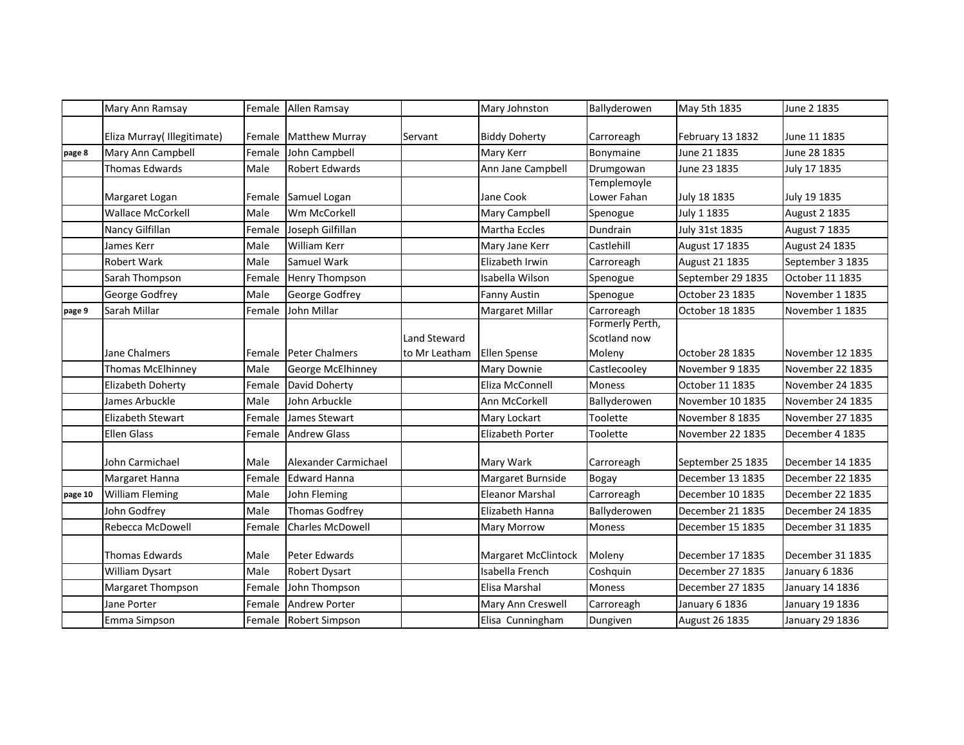|         | Mary Ann Ramsay            | Female | Allen Ramsay          |                     | Mary Johnston           | Ballyderowen                    | May 5th 1835      | June 2 1835          |
|---------|----------------------------|--------|-----------------------|---------------------|-------------------------|---------------------------------|-------------------|----------------------|
|         | Eliza Murray(Illegitimate) | Female | <b>Matthew Murray</b> | Servant             | <b>Biddy Doherty</b>    | Carroreagh                      | February 13 1832  | June 11 1835         |
| page 8  | Mary Ann Campbell          | Female | John Campbell         |                     | Mary Kerr               | Bonymaine                       | June 21 1835      | June 28 1835         |
|         | Thomas Edwards             | Male   | <b>Robert Edwards</b> |                     | Ann Jane Campbell       | Drumgowan                       | June 23 1835      | July 17 1835         |
|         | Margaret Logan             | Female | Samuel Logan          |                     | Jane Cook               | Templemoyle<br>Lower Fahan      | July 18 1835      | July 19 1835         |
|         | <b>Wallace McCorkell</b>   | Male   | Wm McCorkell          |                     | Mary Campbell           | Spenogue                        | July 1 1835       | <b>August 2 1835</b> |
|         | Nancy Gilfillan            | Female | Joseph Gilfillan      |                     | Martha Eccles           | Dundrain                        | July 31st 1835    | <b>August 7 1835</b> |
|         | James Kerr                 | Male   | <b>William Kerr</b>   |                     | Mary Jane Kerr          | Castlehill                      | August 17 1835    | August 24 1835       |
|         | Robert Wark                | Male   | Samuel Wark           |                     | Elizabeth Irwin         | Carroreagh                      | August 21 1835    | September 3 1835     |
|         | Sarah Thompson             | Female | <b>Henry Thompson</b> |                     | Isabella Wilson         | Spenogue                        | September 29 1835 | October 11 1835      |
|         | George Godfrey             | Male   | George Godfrey        |                     | Fanny Austin            | Spenogue                        | October 23 1835   | November 1 1835      |
| page 9  | Sarah Millar               | Female | John Millar           |                     | <b>Margaret Millar</b>  | Carroreagh                      | October 18 1835   | November 1 1835      |
|         |                            |        |                       | <b>Land Steward</b> |                         | Formerly Perth,<br>Scotland now |                   |                      |
|         | Jane Chalmers              |        | Female Peter Chalmers | to Mr Leatham       | <b>Ellen Spense</b>     | Moleny                          | October 28 1835   | November 12 1835     |
|         | <b>Thomas McElhinney</b>   | Male   | George McElhinney     |                     | Mary Downie             | Castlecooley                    | November 9 1835   | November 22 1835     |
|         | <b>Elizabeth Doherty</b>   | Female | David Doherty         |                     | Eliza McConnell         | <b>Moness</b>                   | October 11 1835   | November 24 1835     |
|         | James Arbuckle             | Male   | John Arbuckle         |                     | Ann McCorkell           | Ballyderowen                    | November 10 1835  | November 24 1835     |
|         | <b>Elizabeth Stewart</b>   | Female | James Stewart         |                     | Mary Lockart            | Toolette                        | November 8 1835   | November 27 1835     |
|         | <b>Ellen Glass</b>         | Female | <b>Andrew Glass</b>   |                     | <b>Elizabeth Porter</b> | Toolette                        | November 22 1835  | December 4 1835      |
|         | John Carmichael            | Male   | Alexander Carmichael  |                     | Mary Wark               | Carroreagh                      | September 25 1835 | December 14 1835     |
|         | Margaret Hanna             | Female | <b>Edward Hanna</b>   |                     | Margaret Burnside       | <b>Bogay</b>                    | December 13 1835  | December 22 1835     |
| page 10 | <b>William Fleming</b>     | Male   | John Fleming          |                     | <b>Eleanor Marshal</b>  | Carroreagh                      | December 10 1835  | December 22 1835     |
|         | John Godfrey               | Male   | <b>Thomas Godfrey</b> |                     | Elizabeth Hanna         | Ballyderowen                    | December 21 1835  | December 24 1835     |
|         | Rebecca McDowell           | Female | Charles McDowell      |                     | Mary Morrow             | Moness                          | December 15 1835  | December 31 1835     |
|         | Thomas Edwards             | Male   | Peter Edwards         |                     | Margaret McClintock     | Moleny                          | December 17 1835  | December 31 1835     |
|         | William Dysart             | Male   | Robert Dysart         |                     | Isabella French         | Coshquin                        | December 27 1835  | January 6 1836       |
|         | Margaret Thompson          | Female | John Thompson         |                     | Elisa Marshal           | Moness                          | December 27 1835  | January 14 1836      |
|         | Jane Porter                | Female | Andrew Porter         |                     | Mary Ann Creswell       | Carroreagh                      | January 6 1836    | January 19 1836      |
|         | Emma Simpson               | Female | Robert Simpson        |                     | Elisa Cunningham        | Dungiven                        | August 26 1835    | January 29 1836      |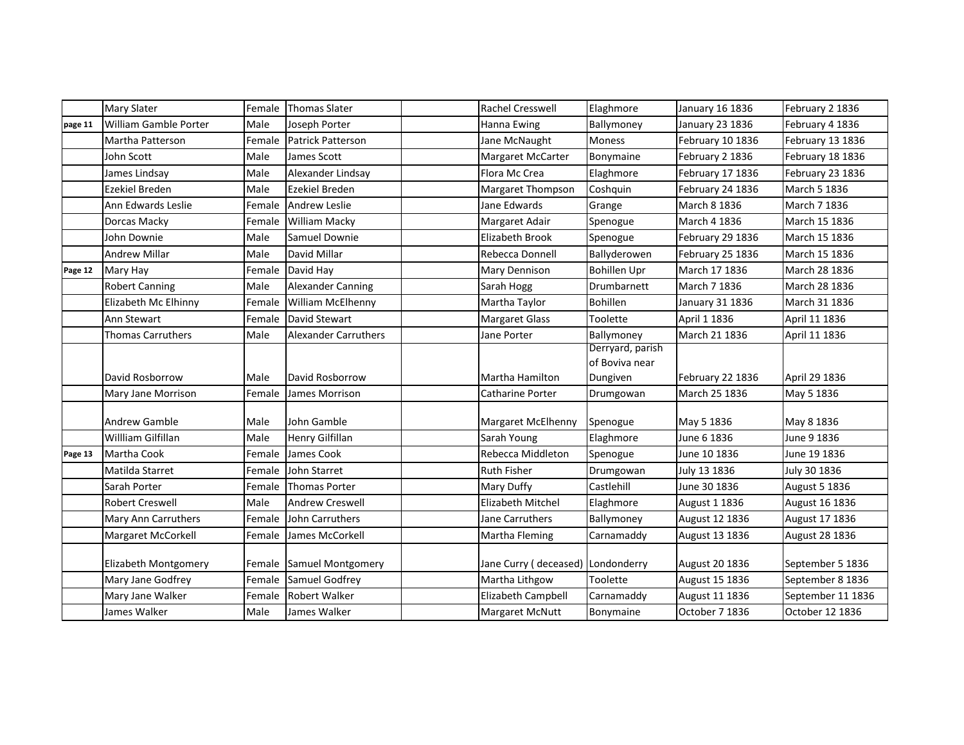|         | <b>Mary Slater</b>       | Female | <b>Thomas Slater</b>        | <b>Rachel Cresswell</b>           | Elaghmore                                      | January 16 1836  | February 2 1836      |
|---------|--------------------------|--------|-----------------------------|-----------------------------------|------------------------------------------------|------------------|----------------------|
| page 11 | William Gamble Porter    | Male   | Joseph Porter               | Hanna Ewing                       | Ballymoney                                     | January 23 1836  | February 4 1836      |
|         | Martha Patterson         | Female | <b>Patrick Patterson</b>    | Jane McNaught                     | <b>Moness</b>                                  | February 10 1836 | February 13 1836     |
|         | John Scott               | Male   | James Scott                 | Margaret McCarter                 | Bonymaine                                      | February 2 1836  | February 18 1836     |
|         | James Lindsay            | Male   | Alexander Lindsay           | Flora Mc Crea                     | Elaghmore                                      | February 17 1836 | February 23 1836     |
|         | <b>Ezekiel Breden</b>    | Male   | Ezekiel Breden              | <b>Margaret Thompson</b>          | Coshquin                                       | February 24 1836 | March 5 1836         |
|         | Ann Edwards Leslie       | Female | <b>Andrew Leslie</b>        | Jane Edwards                      | Grange                                         | March 8 1836     | March 7 1836         |
|         | Dorcas Macky             | Female | William Macky               | Margaret Adair                    | Spenogue                                       | March 4 1836     | March 15 1836        |
|         | John Downie              | Male   | Samuel Downie               | <b>Elizabeth Brook</b>            | Spenogue                                       | February 29 1836 | March 15 1836        |
|         | <b>Andrew Millar</b>     | Male   | David Millar                | Rebecca Donnell                   | Ballyderowen                                   | February 25 1836 | March 15 1836        |
| Page 12 | Mary Hay                 | Female | David Hay                   | Mary Dennison                     | <b>Bohillen Upr</b>                            | March 17 1836    | March 28 1836        |
|         | <b>Robert Canning</b>    | Male   | Alexander Canning           | Sarah Hogg                        | Drumbarnett                                    | March 7 1836     | March 28 1836        |
|         | Elizabeth Mc Elhinny     | Female | William McElhenny           | Martha Taylor                     | <b>Bohillen</b>                                | January 31 1836  | March 31 1836        |
|         | Ann Stewart              | Female | David Stewart               | <b>Margaret Glass</b>             | Toolette                                       | April 1 1836     | April 11 1836        |
|         | <b>Thomas Carruthers</b> | Male   | <b>Alexander Carruthers</b> | Jane Porter                       | Ballymoney                                     | March 21 1836    | April 11 1836        |
|         | David Rosborrow          | Male   | David Rosborrow             | Martha Hamilton                   | Derryard, parish<br>of Boviva near<br>Dungiven | February 22 1836 | April 29 1836        |
|         | Mary Jane Morrison       | Female | James Morrison              | Catharine Porter                  | Drumgowan                                      | March 25 1836    | May 5 1836           |
|         | <b>Andrew Gamble</b>     | Male   | John Gamble                 | Margaret McElhenny                | Spenogue                                       | May 5 1836       | May 8 1836           |
|         | Willliam Gilfillan       | Male   | Henry Gilfillan             | Sarah Young                       | Elaghmore                                      | June 6 1836      | June 9 1836          |
| Page 13 | Martha Cook              | Female | James Cook                  | Rebecca Middleton                 | Spenogue                                       | June 10 1836     | June 19 1836         |
|         | Matilda Starret          | Female | John Starret                | <b>Ruth Fisher</b>                | Drumgowan                                      | July 13 1836     | July 30 1836         |
|         | Sarah Porter             | Female | <b>Thomas Porter</b>        | Mary Duffy                        | Castlehill                                     | June 30 1836     | <b>August 5 1836</b> |
|         | Robert Creswell          | Male   | <b>Andrew Creswell</b>      | Elizabeth Mitchel                 | Elaghmore                                      | August 1 1836    | August 16 1836       |
|         | Mary Ann Carruthers      | Female | John Carruthers             | Jane Carruthers                   | Ballymoney                                     | August 12 1836   | August 17 1836       |
|         | Margaret McCorkell       | Female | James McCorkell             | Martha Fleming                    | Carnamaddy                                     | August 13 1836   | August 28 1836       |
|         | Elizabeth Montgomery     | Female | <b>Samuel Montgomery</b>    | Jane Curry (deceased) Londonderry |                                                | August 20 1836   | September 5 1836     |
|         | Mary Jane Godfrey        | Female | Samuel Godfrey              | Martha Lithgow                    | Toolette                                       | August 15 1836   | September 8 1836     |
|         | Mary Jane Walker         | Female | Robert Walker               | Elizabeth Campbell                | Carnamaddy                                     | August 11 1836   | September 11 1836    |
|         | James Walker             | Male   | James Walker                | Margaret McNutt                   | Bonymaine                                      | October 7 1836   | October 12 1836      |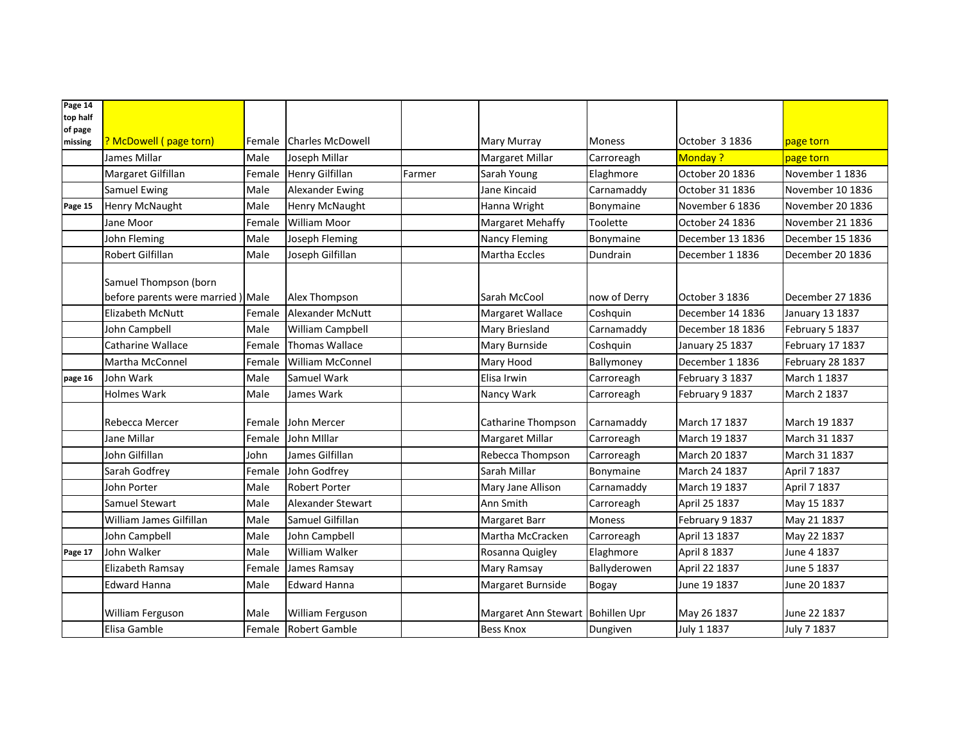| Page 14<br>top half |                                    |        |                         |        |                                   |               |                  |                  |
|---------------------|------------------------------------|--------|-------------------------|--------|-----------------------------------|---------------|------------------|------------------|
| of page             |                                    |        |                         |        |                                   |               |                  |                  |
| missing             | ? McDowell (page torn)             |        | Female Charles McDowell |        | <b>Mary Murray</b>                | <b>Moness</b> | October 3 1836   | page torn        |
|                     | James Millar                       | Male   | Joseph Millar           |        | Margaret Millar                   | Carroreagh    | <b>Monday?</b>   | page torn        |
|                     | Margaret Gilfillan                 | Female | <b>Henry Gilfillan</b>  | Farmer | Sarah Young                       | Elaghmore     | October 20 1836  | November 1 1836  |
|                     | Samuel Ewing                       | Male   | Alexander Ewing         |        | Jane Kincaid                      | Carnamaddy    | October 31 1836  | November 10 1836 |
| Page 15             | <b>Henry McNaught</b>              | Male   | Henry McNaught          |        | Hanna Wright                      | Bonymaine     | November 6 1836  | November 20 1836 |
|                     | Jane Moor                          | Female | <b>William Moor</b>     |        | <b>Margaret Mehaffy</b>           | Toolette      | October 24 1836  | November 21 1836 |
|                     | John Fleming                       | Male   | Joseph Fleming          |        | <b>Nancy Fleming</b>              | Bonymaine     | December 13 1836 | December 15 1836 |
|                     | Robert Gilfillan                   | Male   | Joseph Gilfillan        |        | <b>Martha Eccles</b>              | Dundrain      | December 1 1836  | December 20 1836 |
|                     | Samuel Thompson (born              |        |                         |        |                                   |               |                  |                  |
|                     | before parents were married ) Male |        | Alex Thompson           |        | Sarah McCool                      | now of Derry  | October 3 1836   | December 27 1836 |
|                     | <b>Elizabeth McNutt</b>            | Female | <b>Alexander McNutt</b> |        | Margaret Wallace                  | Coshquin      | December 14 1836 | January 13 1837  |
|                     | John Campbell                      | Male   | William Campbell        |        | Mary Briesland                    | Carnamaddy    | December 18 1836 | February 5 1837  |
|                     | Catharine Wallace                  | Female | <b>Thomas Wallace</b>   |        | Mary Burnside                     | Coshquin      | January 25 1837  | February 17 1837 |
|                     | Martha McConnel                    | Female | William McConnel        |        | Mary Hood                         | Ballymoney    | December 1 1836  | February 28 1837 |
| page 16             | John Wark                          | Male   | Samuel Wark             |        | Elisa Irwin                       | Carroreagh    | February 3 1837  | March 1 1837     |
|                     | <b>Holmes Wark</b>                 | Male   | James Wark              |        | Nancy Wark                        | Carroreagh    | February 9 1837  | March 2 1837     |
|                     | Rebecca Mercer                     | Female | John Mercer             |        | Catharine Thompson                | Carnamaddy    | March 17 1837    | March 19 1837    |
|                     | Jane Millar                        | Female | John Millar             |        | Margaret Millar                   | Carroreagh    | March 19 1837    | March 31 1837    |
|                     | John Gilfillan                     | John   | James Gilfillan         |        | Rebecca Thompson                  | Carroreagh    | March 20 1837    | March 31 1837    |
|                     | Sarah Godfrey                      | Female | John Godfrey            |        | Sarah Millar                      | Bonymaine     | March 24 1837    | April 7 1837     |
|                     | John Porter                        | Male   | <b>Robert Porter</b>    |        | Mary Jane Allison                 | Carnamaddy    | March 19 1837    | April 7 1837     |
|                     | Samuel Stewart                     | Male   | Alexander Stewart       |        | Ann Smith                         | Carroreagh    | April 25 1837    | May 15 1837      |
|                     | William James Gilfillan            | Male   | Samuel Gilfillan        |        | Margaret Barr                     | Moness        | February 9 1837  | May 21 1837      |
|                     | John Campbell                      | Male   | John Campbell           |        | Martha McCracken                  | Carroreagh    | April 13 1837    | May 22 1837      |
| Page 17             | John Walker                        | Male   | William Walker          |        | Rosanna Quigley                   | Elaghmore     | April 8 1837     | June 4 1837      |
|                     | Elizabeth Ramsay                   | Female | James Ramsay            |        | Mary Ramsay                       | Ballyderowen  | April 22 1837    | June 5 1837      |
|                     | <b>Edward Hanna</b>                | Male   | <b>Edward Hanna</b>     |        | Margaret Burnside                 | Bogay         | June 19 1837     | June 20 1837     |
|                     | William Ferguson                   | Male   | William Ferguson        |        | Margaret Ann Stewart Bohillen Upr |               | May 26 1837      | June 22 1837     |
|                     | Elisa Gamble                       | Female | <b>Robert Gamble</b>    |        | <b>Bess Knox</b>                  | Dungiven      | July 1 1837      | July 7 1837      |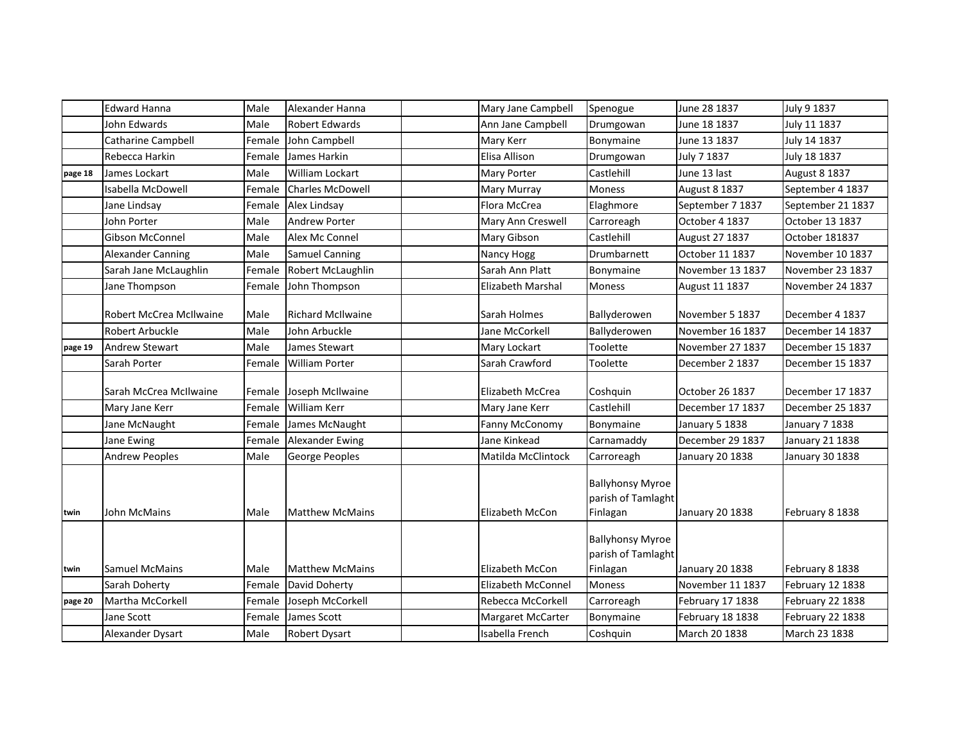|         | <b>Edward Hanna</b>            | Male   | Alexander Hanna          | Mary Jane Campbell        | Spenogue                                                  | June 28 1837         | July 9 1837          |
|---------|--------------------------------|--------|--------------------------|---------------------------|-----------------------------------------------------------|----------------------|----------------------|
|         | John Edwards                   | Male   | <b>Robert Edwards</b>    | Ann Jane Campbell         | Drumgowan                                                 | June 18 1837         | July 11 1837         |
|         | <b>Catharine Campbell</b>      | Female | John Campbell            | Mary Kerr                 | Bonymaine                                                 | June 13 1837         | July 14 1837         |
|         | Rebecca Harkin                 | Female | James Harkin             | Elisa Allison             | Drumgowan                                                 | July 7 1837          | July 18 1837         |
| page 18 | James Lockart                  | Male   | William Lockart          | <b>Mary Porter</b>        | Castlehill                                                | June 13 last         | <b>August 8 1837</b> |
|         | <b>Isabella McDowell</b>       | Female | Charles McDowell         | <b>Mary Murray</b>        | Moness                                                    | <b>August 8 1837</b> | September 4 1837     |
|         | Jane Lindsay                   | Female | Alex Lindsay             | Flora McCrea              | Elaghmore                                                 | September 7 1837     | September 21 1837    |
|         | John Porter                    | Male   | Andrew Porter            | Mary Ann Creswell         | Carroreagh                                                | October 4 1837       | October 13 1837      |
|         | <b>Gibson McConnel</b>         | Male   | Alex Mc Connel           | Mary Gibson               | Castlehill                                                | August 27 1837       | October 181837       |
|         | <b>Alexander Canning</b>       | Male   | <b>Samuel Canning</b>    | Nancy Hogg                | Drumbarnett                                               | October 11 1837      | November 10 1837     |
|         | Sarah Jane McLaughlin          | Female | Robert McLaughlin        | Sarah Ann Platt           | Bonymaine                                                 | November 13 1837     | November 23 1837     |
|         | Jane Thompson                  | Female | John Thompson            | <b>Elizabeth Marshal</b>  | Moness                                                    | August 11 1837       | November 24 1837     |
|         | <b>Robert McCrea McIlwaine</b> | Male   | <b>Richard McIlwaine</b> | Sarah Holmes              | Ballyderowen                                              | November 5 1837      | December 4 1837      |
|         | Robert Arbuckle                | Male   | John Arbuckle            | Jane McCorkell            | Ballyderowen                                              | November 16 1837     | December 14 1837     |
| page 19 | Andrew Stewart                 | Male   | James Stewart            | Mary Lockart              | Toolette                                                  | November 27 1837     | December 15 1837     |
|         | Sarah Porter                   | Female | William Porter           | Sarah Crawford            | Toolette                                                  | December 2 1837      | December 15 1837     |
|         | Sarah McCrea McIlwaine         | Female | Joseph McIlwaine         | <b>Elizabeth McCrea</b>   | Coshquin                                                  | October 26 1837      | December 17 1837     |
|         | Mary Jane Kerr                 | Female | <b>William Kerr</b>      | Mary Jane Kerr            | Castlehill                                                | December 17 1837     | December 25 1837     |
|         | Jane McNaught                  | Female | James McNaught           | Fanny McConomy            | Bonymaine                                                 | January 5 1838       | January 7 1838       |
|         | Jane Ewing                     | Female | Alexander Ewing          | Jane Kinkead              | Carnamaddy                                                | December 29 1837     | January 21 1838      |
|         | <b>Andrew Peoples</b>          | Male   | George Peoples           | Matilda McClintock        | Carroreagh                                                | January 20 1838      | January 30 1838      |
| twin    | John McMains                   | Male   | <b>Matthew McMains</b>   | Elizabeth McCon           | <b>Ballyhonsy Myroe</b><br>parish of Tamlaght<br>Finlagan | January 20 1838      | February 8 1838      |
| twin    | <b>Samuel McMains</b>          | Male   | <b>Matthew McMains</b>   | Elizabeth McCon           | <b>Ballyhonsy Myroe</b><br>parish of Tamlaght<br>Finlagan | January 20 1838      | February 8 1838      |
|         | Sarah Doherty                  | Female | David Doherty            | <b>Elizabeth McConnel</b> | <b>Moness</b>                                             | November 11 1837     | February 12 1838     |
| page 20 | Martha McCorkell               | Female | Joseph McCorkell         | Rebecca McCorkell         | Carroreagh                                                | February 17 1838     | February 22 1838     |
|         | Jane Scott                     | Female | James Scott              | Margaret McCarter         | Bonymaine                                                 | February 18 1838     | February 22 1838     |
|         | Alexander Dysart               | Male   | Robert Dysart            | Isabella French           | Coshquin                                                  | March 20 1838        | March 23 1838        |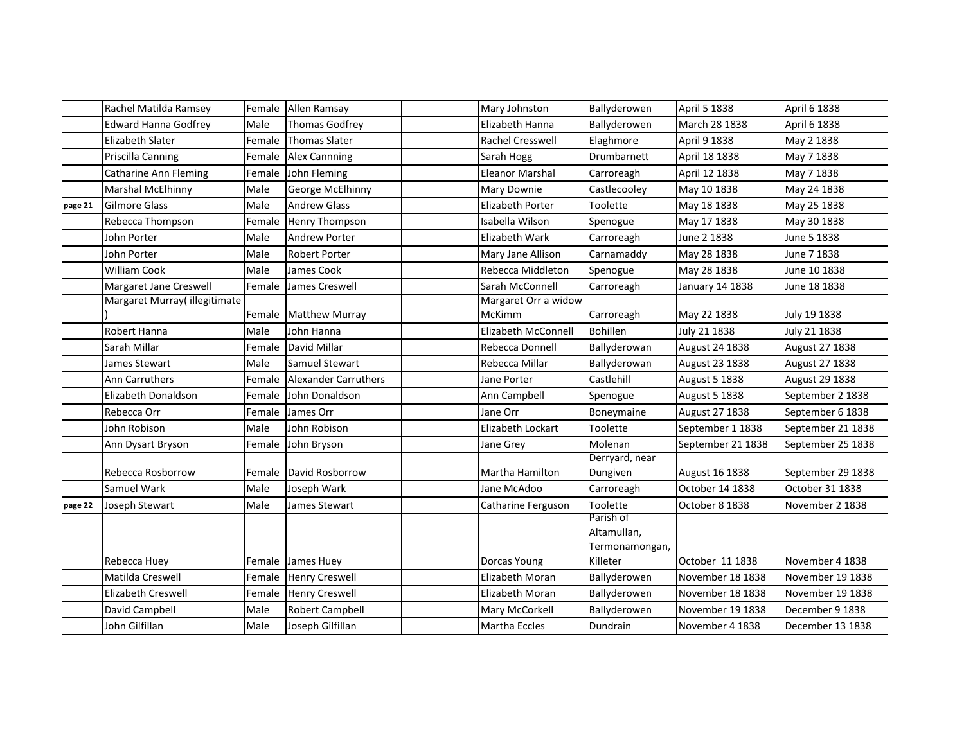|         | Rachel Matilda Ramsey        | Female | Allen Ramsay                | Mary Johnston              | Ballyderowen                  | April 5 1838      | April 6 1838      |
|---------|------------------------------|--------|-----------------------------|----------------------------|-------------------------------|-------------------|-------------------|
|         | <b>Edward Hanna Godfrey</b>  | Male   | <b>Thomas Godfrey</b>       | Elizabeth Hanna            | Ballyderowen                  | March 28 1838     | April 6 1838      |
|         | <b>Elizabeth Slater</b>      | Female | <b>Thomas Slater</b>        | <b>Rachel Cresswell</b>    | Elaghmore                     | April 9 1838      | May 2 1838        |
|         | Priscilla Canning            | Female | <b>Alex Cannning</b>        | Sarah Hogg                 | Drumbarnett                   | April 18 1838     | May 7 1838        |
|         | <b>Catharine Ann Fleming</b> | Female | John Fleming                | <b>Eleanor Marshal</b>     | Carroreagh                    | April 12 1838     | May 7 1838        |
|         | <b>Marshal McElhinny</b>     | Male   | George McElhinny            | Mary Downie                | Castlecooley                  | May 10 1838       | May 24 1838       |
| page 21 | <b>Gilmore Glass</b>         | Male   | <b>Andrew Glass</b>         | Elizabeth Porter           | Toolette                      | May 18 1838       | May 25 1838       |
|         | Rebecca Thompson             | Female | Henry Thompson              | Isabella Wilson            | Spenogue                      | May 17 1838       | May 30 1838       |
|         | John Porter                  | Male   | <b>Andrew Porter</b>        | Elizabeth Wark             | Carroreagh                    | June 2 1838       | June 5 1838       |
|         | John Porter                  | Male   | <b>Robert Porter</b>        | Mary Jane Allison          | Carnamaddy                    | May 28 1838       | June 7 1838       |
|         | <b>William Cook</b>          | Male   | James Cook                  | Rebecca Middleton          | Spenogue                      | May 28 1838       | June 10 1838      |
|         | Margaret Jane Creswell       | Female | James Creswell              | Sarah McConnell            | Carroreagh                    | January 14 1838   | June 18 1838      |
|         | Margaret Murray(illegitimate |        |                             | Margaret Orr a widow       |                               |                   |                   |
|         |                              |        | Female Matthew Murray       | McKimm                     | Carroreagh                    | May 22 1838       | July 19 1838      |
|         | Robert Hanna                 | Male   | John Hanna                  | <b>Elizabeth McConnell</b> | <b>Bohillen</b>               | July 21 1838      | July 21 1838      |
|         | Sarah Millar                 | Female | David Millar                | Rebecca Donnell            | Ballyderowan                  | August 24 1838    | August 27 1838    |
|         | James Stewart                | Male   | Samuel Stewart              | Rebecca Millar             | Ballyderowan                  | August 23 1838    | August 27 1838    |
|         | <b>Ann Carruthers</b>        | Female | <b>Alexander Carruthers</b> | Jane Porter                | Castlehill                    | August 5 1838     | August 29 1838    |
|         | Elizabeth Donaldson          | Female | John Donaldson              | Ann Campbell               | Spenogue                      | August 5 1838     | September 2 1838  |
|         | Rebecca Orr                  | Female | James Orr                   | Jane Orr                   | Boneymaine                    | August 27 1838    | September 6 1838  |
|         | John Robison                 | Male   | John Robison                | Elizabeth Lockart          | Toolette                      | September 1 1838  | September 21 1838 |
|         | Ann Dysart Bryson            | Female | John Bryson                 | Jane Grey                  | Molenan                       | September 21 1838 | September 25 1838 |
|         |                              |        |                             |                            | Derryard, near                |                   |                   |
|         | Rebecca Rosborrow            | Female | David Rosborrow             | Martha Hamilton            | Dungiven                      | August 16 1838    | September 29 1838 |
|         | Samuel Wark                  | Male   | Joseph Wark                 | Jane McAdoo                | Carroreagh                    | October 14 1838   | October 31 1838   |
| page 22 | Joseph Stewart               | Male   | James Stewart               | Catharine Ferguson         | Toolette                      | October 8 1838    | November 2 1838   |
|         |                              |        |                             |                            | Parish of                     |                   |                   |
|         |                              |        |                             |                            | Altamullan,<br>Termonamongan, |                   |                   |
|         | Rebecca Huey                 |        | Female James Huey           | Dorcas Young               | Killeter                      | October 11 1838   | November 4 1838   |
|         | Matilda Creswell             | Female | <b>Henry Creswell</b>       | Elizabeth Moran            | Ballyderowen                  | November 18 1838  | November 19 1838  |
|         | <b>Elizabeth Creswell</b>    | Female | <b>Henry Creswell</b>       | Elizabeth Moran            | Ballyderowen                  | November 18 1838  | November 19 1838  |
|         | David Campbell               | Male   | <b>Robert Campbell</b>      | Mary McCorkell             | Ballyderowen                  | November 19 1838  | December 9 1838   |
|         | John Gilfillan               | Male   | Joseph Gilfillan            | <b>Martha Eccles</b>       | Dundrain                      | November 4 1838   | December 13 1838  |
|         |                              |        |                             |                            |                               |                   |                   |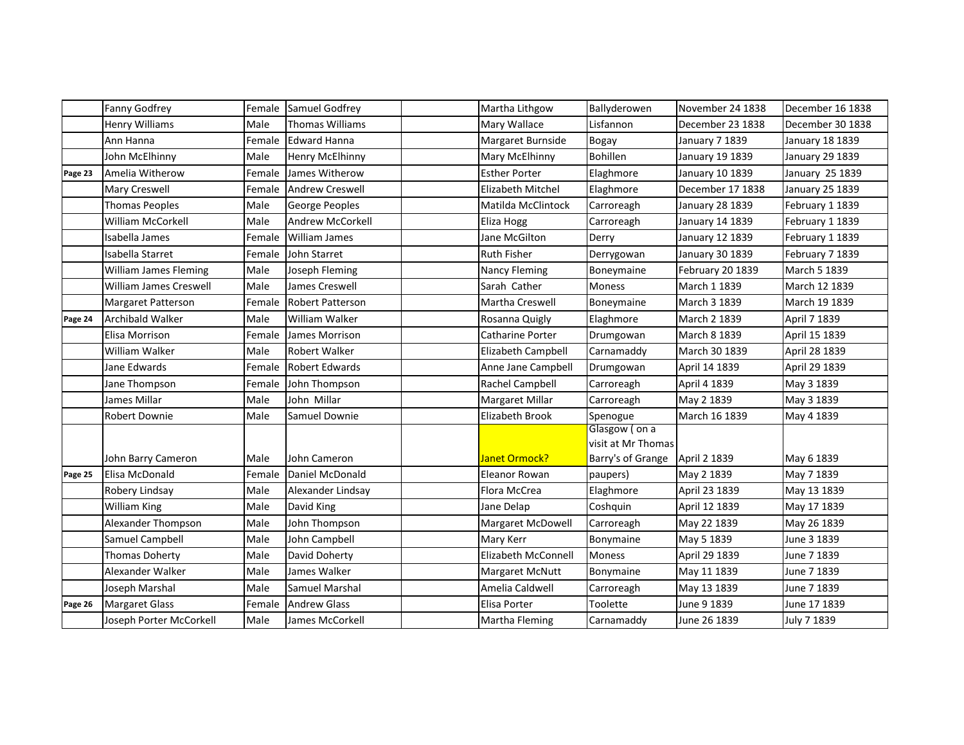|         | Fanny Godfrey             | Female | Samuel Godfrey          | Martha Lithgow           | Ballyderowen                                                            | November 24 1838 | December 16 1838 |
|---------|---------------------------|--------|-------------------------|--------------------------|-------------------------------------------------------------------------|------------------|------------------|
|         | <b>Henry Williams</b>     | Male   | Thomas Williams         | Mary Wallace             | Lisfannon                                                               | December 23 1838 | December 30 1838 |
|         | Ann Hanna                 | Female | <b>Edward Hanna</b>     | Margaret Burnside        | Bogay                                                                   | January 7 1839   | January 18 1839  |
|         | John McElhinny            | Male   | <b>Henry McElhinny</b>  | Mary McElhinny           | Bohillen                                                                | January 19 1839  | January 29 1839  |
| Page 23 | Amelia Witherow           | Female | James Witherow          | <b>Esther Porter</b>     | Elaghmore                                                               | January 10 1839  | January 25 1839  |
|         | Mary Creswell             | Female | <b>Andrew Creswell</b>  | <b>Elizabeth Mitchel</b> | Elaghmore                                                               | December 17 1838 | January 25 1839  |
|         | <b>Thomas Peoples</b>     | Male   | George Peoples          | Matilda McClintock       | Carroreagh                                                              | January 28 1839  | February 1 1839  |
|         | <b>William McCorkell</b>  | Male   | Andrew McCorkell        | Eliza Hogg               | Carroreagh                                                              | January 14 1839  | February 1 1839  |
|         | Isabella James            | Female | <b>William James</b>    | Jane McGilton            | Derry                                                                   | January 12 1839  | February 1 1839  |
|         | Isabella Starret          | Female | John Starret            | Ruth Fisher              | Derrygowan                                                              | January 30 1839  | February 7 1839  |
|         | William James Fleming     | Male   | Joseph Fleming          | <b>Nancy Fleming</b>     | Boneymaine                                                              | February 20 1839 | March 5 1839     |
|         | William James Creswell    | Male   | James Creswell          | Sarah Cather             | <b>Moness</b>                                                           | March 1 1839     | March 12 1839    |
|         | <b>Margaret Patterson</b> | Female | <b>Robert Patterson</b> | Martha Creswell          | Boneymaine                                                              | March 3 1839     | March 19 1839    |
| Page 24 | <b>Archibald Walker</b>   | Male   | William Walker          | Rosanna Quigly           | Elaghmore                                                               | March 2 1839     | April 7 1839     |
|         | Elisa Morrison            | Female | James Morrison          | Catharine Porter         | Drumgowan                                                               | March 8 1839     | April 15 1839    |
|         | William Walker            | Male   | <b>Robert Walker</b>    | Elizabeth Campbell       | Carnamaddy                                                              | March 30 1839    | April 28 1839    |
|         | Jane Edwards              | Female | <b>Robert Edwards</b>   | Anne Jane Campbell       | Drumgowan                                                               | April 14 1839    | April 29 1839    |
|         | Jane Thompson             | Female | John Thompson           | Rachel Campbell          | Carroreagh                                                              | April 4 1839     | May 3 1839       |
|         | James Millar              | Male   | John Millar             | Margaret Millar          | Carroreagh                                                              | May 2 1839       | May 3 1839       |
|         | <b>Robert Downie</b>      | Male   | Samuel Downie           | Elizabeth Brook          | Spenogue                                                                | March 16 1839    | May 4 1839       |
|         | John Barry Cameron        | Male   | John Cameron            | Janet Ormock?            | Glasgow (on a<br>visit at Mr Thomas<br>Barry's of Grange   April 2 1839 |                  | May 6 1839       |
| Page 25 | Elisa McDonald            | Female | Daniel McDonald         | Eleanor Rowan            | paupers)                                                                | May 2 1839       | May 7 1839       |
|         | Robery Lindsay            | Male   | Alexander Lindsay       | Flora McCrea             | Elaghmore                                                               | April 23 1839    | May 13 1839      |
|         | <b>William King</b>       | Male   | David King              | Jane Delap               | Coshquin                                                                | April 12 1839    | May 17 1839      |
|         | Alexander Thompson        | Male   | John Thompson           | Margaret McDowell        | Carroreagh                                                              | May 22 1839      | May 26 1839      |
|         | Samuel Campbell           | Male   | John Campbell           | Mary Kerr                | Bonymaine                                                               | May 5 1839       | June 3 1839      |
|         | Thomas Doherty            | Male   | David Doherty           | Elizabeth McConnell      | <b>Moness</b>                                                           | April 29 1839    | June 7 1839      |
|         | Alexander Walker          | Male   | James Walker            | <b>Margaret McNutt</b>   | Bonymaine                                                               | May 11 1839      | June 7 1839      |
|         | Joseph Marshal            | Male   | Samuel Marshal          | Amelia Caldwell          | Carroreagh                                                              | May 13 1839      | June 7 1839      |
| Page 26 | <b>Margaret Glass</b>     | Female | <b>Andrew Glass</b>     | Elisa Porter             | Toolette                                                                | June 9 1839      | June 17 1839     |
|         | Joseph Porter McCorkell   | Male   | James McCorkell         | Martha Fleming           | Carnamaddy                                                              | June 26 1839     | July 7 1839      |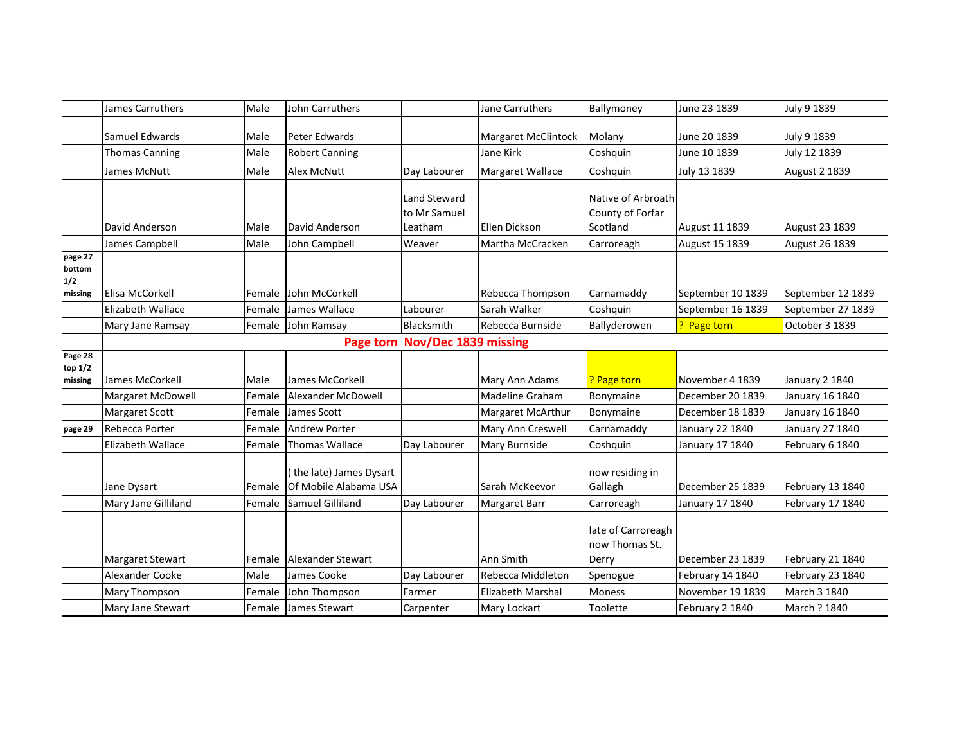|                                     | James Carruthers         | Male   | John Carruthers                                 |                                         | Jane Carruthers      | Ballymoney                                         | June 23 1839      | July 9 1839          |
|-------------------------------------|--------------------------|--------|-------------------------------------------------|-----------------------------------------|----------------------|----------------------------------------------------|-------------------|----------------------|
|                                     | Samuel Edwards           | Male   | Peter Edwards                                   |                                         | Margaret McClintock  | Molany                                             | June 20 1839      | July 9 1839          |
|                                     | <b>Thomas Canning</b>    | Male   | <b>Robert Canning</b>                           |                                         | Jane Kirk            | Coshquin                                           | June 10 1839      | July 12 1839         |
|                                     | James McNutt             | Male   | <b>Alex McNutt</b>                              | Day Labourer                            | Margaret Wallace     | Coshquin                                           | July 13 1839      | <b>August 2 1839</b> |
|                                     | David Anderson           | Male   | David Anderson                                  | Land Steward<br>to Mr Samuel<br>Leatham | <b>Ellen Dickson</b> | Native of Arbroath<br>County of Forfar<br>Scotland | August 11 1839    | August 23 1839       |
|                                     | James Campbell           | Male   | John Campbell                                   | Weaver                                  | Martha McCracken     | Carroreagh                                         | August 15 1839    | August 26 1839       |
| page 27<br>bottom<br>1/2<br>missing | Elisa McCorkell          | Female | John McCorkell                                  |                                         | Rebecca Thompson     | Carnamaddy                                         | September 10 1839 | September 12 1839    |
|                                     | <b>Elizabeth Wallace</b> | Female | James Wallace                                   | Labourer                                | Sarah Walker         | Coshquin                                           | September 16 1839 | September 27 1839    |
|                                     | Mary Jane Ramsay         | Female | John Ramsay                                     | Blacksmith                              | Rebecca Burnside     | Ballyderowen                                       | ? Page torn       | October 3 1839       |
|                                     |                          |        |                                                 | Page torn Nov/Dec 1839 missing          |                      |                                                    |                   |                      |
| Page 28                             |                          |        |                                                 |                                         |                      |                                                    |                   |                      |
| top 1/2<br>missing                  | James McCorkell          | Male   | James McCorkell                                 |                                         | Mary Ann Adams       | <b>Page torn</b>                                   | November 4 1839   | January 2 1840       |
|                                     | Margaret McDowell        | Female | Alexander McDowell                              |                                         | Madeline Graham      | Bonymaine                                          | December 20 1839  | January 16 1840      |
|                                     | <b>Margaret Scott</b>    | Female | James Scott                                     |                                         | Margaret McArthur    | Bonymaine                                          | December 18 1839  | January 16 1840      |
| page 29                             | Rebecca Porter           | Female | <b>Andrew Porter</b>                            |                                         | Mary Ann Creswell    | Carnamaddy                                         | January 22 1840   | January 27 1840      |
|                                     | Elizabeth Wallace        | Female | <b>Thomas Wallace</b>                           | Day Labourer                            | Mary Burnside        | Coshquin                                           | January 17 1840   | February 6 1840      |
|                                     | Jane Dysart              | Female | the late) James Dysart<br>Of Mobile Alabama USA |                                         | Sarah McKeevor       | now residing in<br>Gallagh                         | December 25 1839  | February 13 1840     |
|                                     | Mary Jane Gilliland      | Female | Samuel Gilliland                                | Day Labourer                            | Margaret Barr        | Carroreagh                                         | January 17 1840   | February 17 1840     |
|                                     | Margaret Stewart         | Female | Alexander Stewart                               |                                         | Ann Smith            | late of Carroreagh<br>now Thomas St.<br>Derry      | December 23 1839  | February 21 1840     |
|                                     | Alexander Cooke          | Male   | James Cooke                                     | Day Labourer                            | Rebecca Middleton    | Spenogue                                           | February 14 1840  | February 23 1840     |
|                                     | Mary Thompson            | Female | John Thompson                                   | Farmer                                  | Elizabeth Marshal    | <b>Moness</b>                                      | November 19 1839  | March 3 1840         |
|                                     | Mary Jane Stewart        |        | Female James Stewart                            | Carpenter                               | Mary Lockart         | Toolette                                           | February 2 1840   | March ? 1840         |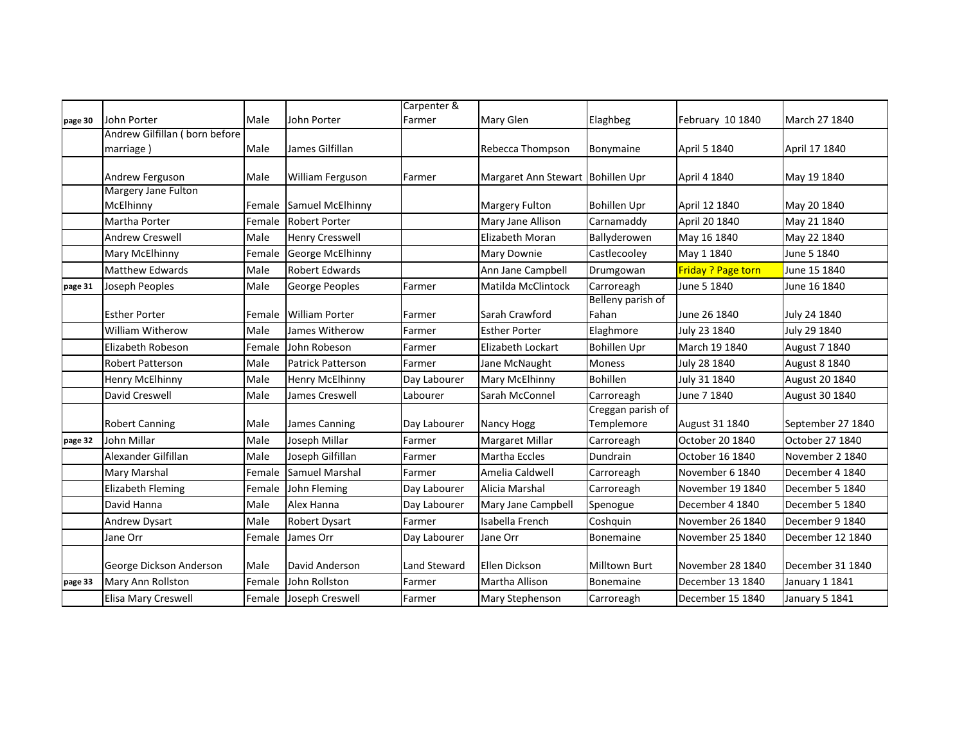|         |                               |        |                          | Carpenter &  |                                   |                      |                           |                   |
|---------|-------------------------------|--------|--------------------------|--------------|-----------------------------------|----------------------|---------------------------|-------------------|
| page 30 | John Porter                   | Male   | John Porter              | Farmer       | Mary Glen                         | Elaghbeg             | February 10 1840          | March 27 1840     |
|         | Andrew Gilfillan (born before |        |                          |              |                                   |                      |                           |                   |
|         | marriage)                     | Male   | James Gilfillan          |              | Rebecca Thompson                  | Bonymaine            | April 5 1840              | April 17 1840     |
|         | Andrew Ferguson               | Male   | William Ferguson         | Farmer       | Margaret Ann Stewart Bohillen Upr |                      | April 4 1840              | May 19 1840       |
|         | Margery Jane Fulton           |        |                          |              |                                   |                      |                           |                   |
|         | McElhinny                     | Female | Samuel McElhinny         |              | Margery Fulton                    | <b>Bohillen Upr</b>  | April 12 1840             | May 20 1840       |
|         | Martha Porter                 | Female | <b>Robert Porter</b>     |              | Mary Jane Allison                 | Carnamaddy           | April 20 1840             | May 21 1840       |
|         | <b>Andrew Creswell</b>        | Male   | <b>Henry Cresswell</b>   |              | Elizabeth Moran                   | Ballyderowen         | May 16 1840               | May 22 1840       |
|         | Mary McElhinny                | Female | George McElhinny         |              | Mary Downie                       | Castlecooley         | May 1 1840                | June 5 1840       |
|         | <b>Matthew Edwards</b>        | Male   | <b>Robert Edwards</b>    |              | Ann Jane Campbell                 | Drumgowan            | <b>Friday ? Page torn</b> | June 15 1840      |
| page 31 | Joseph Peoples                | Male   | George Peoples           | Farmer       | Matilda McClintock                | Carroreagh           | June 5 1840               | June 16 1840      |
|         |                               |        |                          |              |                                   | Belleny parish of    |                           |                   |
|         | <b>Esther Porter</b>          | Female | <b>William Porter</b>    | Farmer       | Sarah Crawford                    | Fahan                | June 26 1840              | July 24 1840      |
|         | <b>William Witherow</b>       | Male   | James Witherow           | Farmer       | <b>Esther Porter</b>              | Elaghmore            | July 23 1840              | July 29 1840      |
|         | Elizabeth Robeson             | Female | John Robeson             | Farmer       | Elizabeth Lockart                 | <b>Bohillen Upr</b>  | March 19 1840             | August 7 1840     |
|         | <b>Robert Patterson</b>       | Male   | <b>Patrick Patterson</b> | Farmer       | Jane McNaught                     | <b>Moness</b>        | July 28 1840              | August 8 1840     |
|         | Henry McElhinny               | Male   | <b>Henry McElhinny</b>   | Day Labourer | Mary McElhinny                    | <b>Bohillen</b>      | July 31 1840              | August 20 1840    |
|         | David Creswell                | Male   | James Creswell           | Labourer     | Sarah McConnel                    | Carroreagh           | June 7 1840               | August 30 1840    |
|         |                               |        |                          |              |                                   | Creggan parish of    |                           |                   |
|         | <b>Robert Canning</b>         | Male   | James Canning            | Day Labourer | Nancy Hogg                        | Templemore           | August 31 1840            | September 27 1840 |
| page 32 | John Millar                   | Male   | Joseph Millar            | Farmer       | Margaret Millar                   | Carroreagh           | October 20 1840           | October 27 1840   |
|         | Alexander Gilfillan           | Male   | Joseph Gilfillan         | Farmer       | Martha Eccles                     | Dundrain             | October 16 1840           | November 2 1840   |
|         | <b>Mary Marshal</b>           | Female | <b>Samuel Marshal</b>    | Farmer       | Amelia Caldwell                   | Carroreagh           | November 6 1840           | December 4 1840   |
|         | <b>Elizabeth Fleming</b>      | Female | John Fleming             | Day Labourer | Alicia Marshal                    | Carroreagh           | November 19 1840          | December 5 1840   |
|         | David Hanna                   | Male   | Alex Hanna               | Day Labourer | Mary Jane Campbell                | Spenogue             | December 4 1840           | December 5 1840   |
|         | Andrew Dysart                 | Male   | <b>Robert Dysart</b>     | Farmer       | Isabella French                   | Coshquin             | November 26 1840          | December 9 1840   |
|         | Jane Orr                      | Female | James Orr                | Day Labourer | Jane Orr                          | Bonemaine            | November 25 1840          | December 12 1840  |
|         | George Dickson Anderson       | Male   | David Anderson           | Land Steward | Ellen Dickson                     | <b>Milltown Burt</b> | November 28 1840          | December 31 1840  |
| page 33 | Mary Ann Rollston             | Female | John Rollston            | Farmer       | Martha Allison                    | Bonemaine            | December 13 1840          | January 1 1841    |
|         | Elisa Mary Creswell           | Female | Joseph Creswell          | Farmer       | Mary Stephenson                   | Carroreagh           | December 15 1840          | January 5 1841    |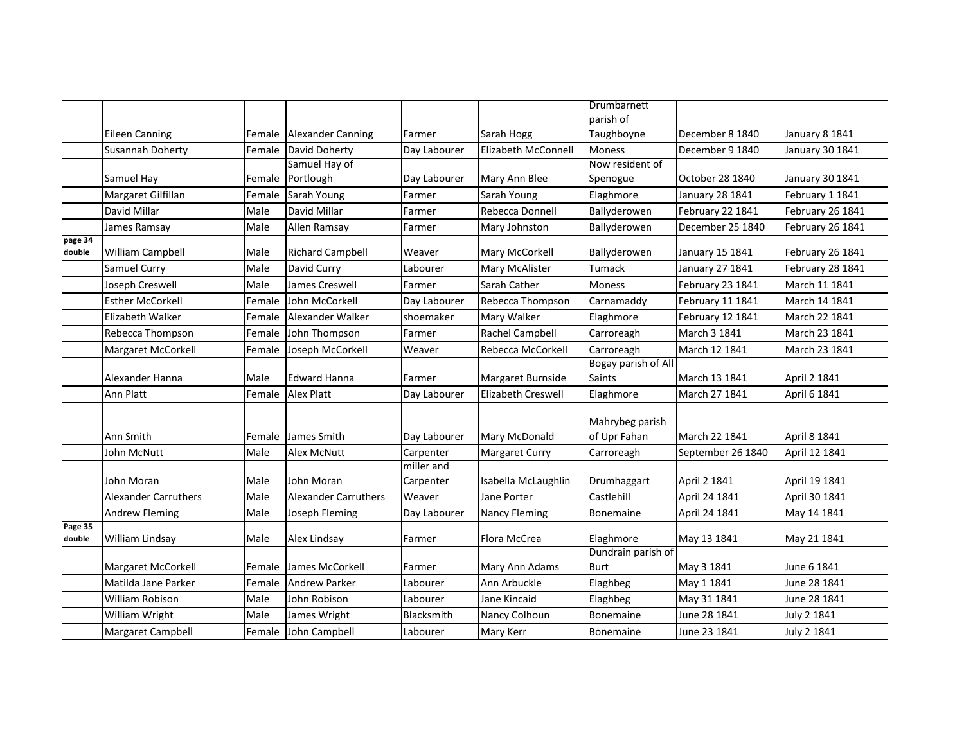|                   |                             |        |                          |              |                           | Drumbarnett                       |                   |                  |
|-------------------|-----------------------------|--------|--------------------------|--------------|---------------------------|-----------------------------------|-------------------|------------------|
|                   |                             |        |                          |              |                           | parish of                         |                   |                  |
|                   | <b>Eileen Canning</b>       | Female | <b>Alexander Canning</b> | Farmer       | Sarah Hogg                | Taughboyne                        | December 8 1840   | January 8 1841   |
|                   | Susannah Doherty            | Female | David Doherty            | Day Labourer | Elizabeth McConnell       | <b>Moness</b>                     | December 9 1840   | January 30 1841  |
|                   |                             |        | Samuel Hay of            |              |                           | Now resident of                   |                   |                  |
|                   | Samuel Hay                  | Female | Portlough                | Day Labourer | Mary Ann Blee             | Spenogue                          | October 28 1840   | January 30 1841  |
|                   | Margaret Gilfillan          | Female | Sarah Young              | Farmer       | Sarah Young               | Elaghmore                         | January 28 1841   | February 1 1841  |
|                   | David Millar                | Male   | David Millar             | Farmer       | Rebecca Donnell           | Ballyderowen                      | February 22 1841  | February 26 1841 |
|                   | James Ramsay                | Male   | Allen Ramsay             | Farmer       | Mary Johnston             | Ballyderowen                      | December 25 1840  | February 26 1841 |
| page 34<br>double | William Campbell            | Male   | <b>Richard Campbell</b>  | Weaver       | Mary McCorkell            | Ballyderowen                      | January 15 1841   | February 26 1841 |
|                   | Samuel Curry                | Male   | David Curry              | Labourer     | Mary McAlister            | Tumack                            | January 27 1841   | February 28 1841 |
|                   | Joseph Creswell             | Male   | James Creswell           | Farmer       | Sarah Cather              | <b>Moness</b>                     | February 23 1841  | March 11 1841    |
|                   | <b>Esther McCorkell</b>     | Female | John McCorkell           | Day Labourer | Rebecca Thompson          | Carnamaddy                        | February 11 1841  | March 14 1841    |
|                   | Elizabeth Walker            | Female | Alexander Walker         | shoemaker    | Mary Walker               | Elaghmore                         | February 12 1841  | March 22 1841    |
|                   | Rebecca Thompson            | Female | John Thompson            | Farmer       | Rachel Campbell           | Carroreagh                        | March 3 1841      | March 23 1841    |
|                   | Margaret McCorkell          | Female | Joseph McCorkell         | Weaver       | Rebecca McCorkell         | Carroreagh                        | March 12 1841     | March 23 1841    |
|                   |                             |        |                          |              |                           | Bogay parish of All               |                   |                  |
|                   | Alexander Hanna             | Male   | <b>Edward Hanna</b>      | Farmer       | Margaret Burnside         | <b>Saints</b>                     | March 13 1841     | April 2 1841     |
|                   | Ann Platt                   | Female | <b>Alex Platt</b>        | Day Labourer | <b>Elizabeth Creswell</b> | Elaghmore                         | March 27 1841     | April 6 1841     |
|                   | Ann Smith                   |        | Female James Smith       | Day Labourer | Mary McDonald             | Mahrybeg parish<br>of Upr Fahan   | March 22 1841     | April 8 1841     |
|                   | John McNutt                 | Male   | Alex McNutt              | Carpenter    | <b>Margaret Curry</b>     | Carroreagh                        | September 26 1840 | April 12 1841    |
|                   |                             |        |                          | miller and   |                           |                                   |                   |                  |
|                   | John Moran                  | Male   | John Moran               | Carpenter    | Isabella McLaughlin       | Drumhaggart                       | April 2 1841      | April 19 1841    |
|                   | <b>Alexander Carruthers</b> | Male   | Alexander Carruthers     | Weaver       | Jane Porter               | Castlehill                        | April 24 1841     | April 30 1841    |
|                   | <b>Andrew Fleming</b>       | Male   | Joseph Fleming           | Day Labourer | <b>Nancy Fleming</b>      | <b>Bonemaine</b>                  | April 24 1841     | May 14 1841      |
| Page 35<br>double | William Lindsay             | Male   | Alex Lindsay             | Farmer       | Flora McCrea              | Elaghmore                         | May 13 1841       | May 21 1841      |
|                   | Margaret McCorkell          | Female | James McCorkell          | Farmer       | Mary Ann Adams            | Dundrain parish of<br><b>Burt</b> | May 3 1841        | June 6 1841      |
|                   | Matilda Jane Parker         | Female | <b>Andrew Parker</b>     | Labourer     | Ann Arbuckle              | Elaghbeg                          | May 1 1841        | June 28 1841     |
|                   | William Robison             | Male   | John Robison             | Labourer     | Jane Kincaid              | Elaghbeg                          | May 31 1841       | June 28 1841     |
|                   | William Wright              | Male   | James Wright             | Blacksmith   | Nancy Colhoun             | <b>Bonemaine</b>                  | June 28 1841      | July 2 1841      |
|                   | Margaret Campbell           |        |                          |              |                           | Bonemaine                         | June 23 1841      | July 2 1841      |
|                   |                             | Female | John Campbell            | Labourer     | Mary Kerr                 |                                   |                   |                  |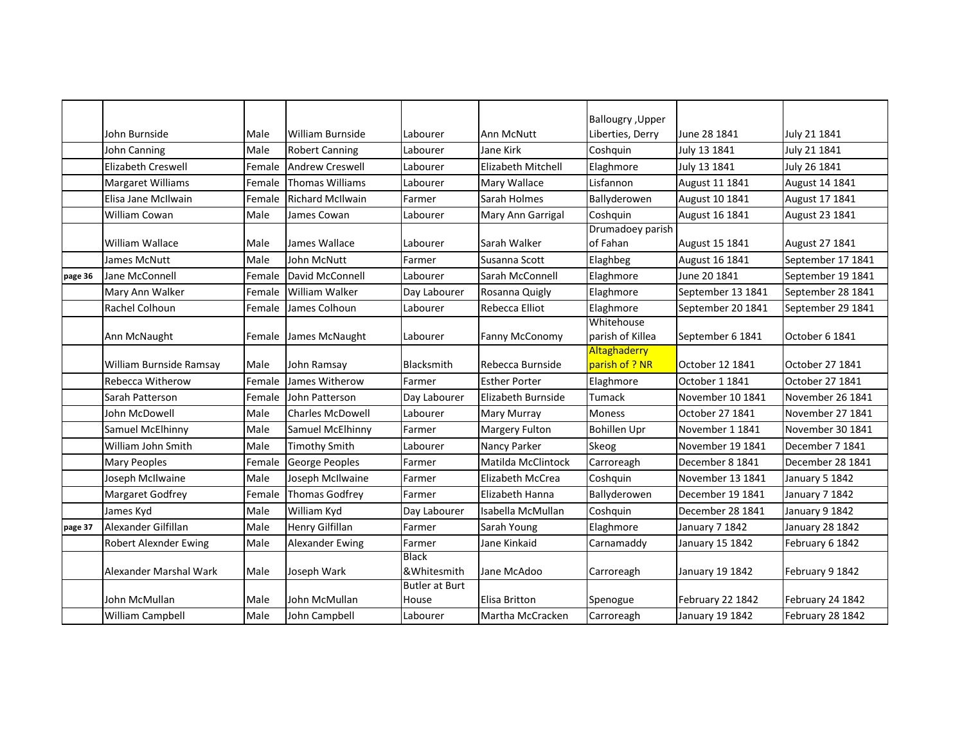|                         |                                                                                 |                                                    |                                                                                                                                                   |                                                        | <b>Ballougry</b> , Upper                                                           |                                                                                                    | July 21 1841                                                                                       |
|-------------------------|---------------------------------------------------------------------------------|----------------------------------------------------|---------------------------------------------------------------------------------------------------------------------------------------------------|--------------------------------------------------------|------------------------------------------------------------------------------------|----------------------------------------------------------------------------------------------------|----------------------------------------------------------------------------------------------------|
|                         |                                                                                 |                                                    |                                                                                                                                                   |                                                        |                                                                                    |                                                                                                    | July 21 1841                                                                                       |
|                         |                                                                                 |                                                    |                                                                                                                                                   |                                                        |                                                                                    |                                                                                                    | July 26 1841                                                                                       |
|                         |                                                                                 |                                                    |                                                                                                                                                   |                                                        |                                                                                    |                                                                                                    | August 14 1841                                                                                     |
| Elisa Jane McIlwain     |                                                                                 |                                                    |                                                                                                                                                   | Sarah Holmes                                           |                                                                                    |                                                                                                    | August 17 1841                                                                                     |
| <b>William Cowan</b>    |                                                                                 | James Cowan                                        | Labourer                                                                                                                                          |                                                        |                                                                                    |                                                                                                    | August 23 1841                                                                                     |
|                         |                                                                                 |                                                    |                                                                                                                                                   |                                                        | Drumadoey parish                                                                   |                                                                                                    |                                                                                                    |
| William Wallace         | Male                                                                            | James Wallace                                      | Labourer                                                                                                                                          | Sarah Walker                                           | of Fahan                                                                           | August 15 1841                                                                                     | August 27 1841                                                                                     |
| James McNutt            | Male                                                                            | <b>John McNutt</b>                                 | Farmer                                                                                                                                            | Susanna Scott                                          | Elaghbeg                                                                           | August 16 1841                                                                                     | September 17 1841                                                                                  |
| Jane McConnell          | Female                                                                          | David McConnell                                    | Labourer                                                                                                                                          | Sarah McConnell                                        | Elaghmore                                                                          | June 20 1841                                                                                       | September 19 1841                                                                                  |
| Mary Ann Walker         | Female                                                                          | William Walker                                     | Day Labourer                                                                                                                                      | Rosanna Quigly                                         | Elaghmore                                                                          | September 13 1841                                                                                  | September 28 1841                                                                                  |
| Rachel Colhoun          | Female                                                                          | James Colhoun                                      | Labourer                                                                                                                                          | Rebecca Elliot                                         | Elaghmore                                                                          | September 20 1841                                                                                  | September 29 1841                                                                                  |
| Ann McNaught            | Female                                                                          |                                                    | Labourer                                                                                                                                          | Fanny McConomy                                         | Whitehouse<br>parish of Killea                                                     | September 6 1841                                                                                   | October 6 1841                                                                                     |
| William Burnside Ramsay | Male                                                                            | John Ramsay                                        | Blacksmith                                                                                                                                        | Rebecca Burnside                                       | parish of ? NR                                                                     | October 12 1841                                                                                    | October 27 1841                                                                                    |
| Rebecca Witherow        | Female                                                                          | James Witherow                                     | Farmer                                                                                                                                            | <b>Esther Porter</b>                                   | Elaghmore                                                                          | October 1 1841                                                                                     | October 27 1841                                                                                    |
| Sarah Patterson         | Female                                                                          | John Patterson                                     | Day Labourer                                                                                                                                      | Elizabeth Burnside                                     | Tumack                                                                             | November 10 1841                                                                                   | November 26 1841                                                                                   |
| John McDowell           | Male                                                                            | <b>Charles McDowell</b>                            | Labourer                                                                                                                                          | Mary Murray                                            | Moness                                                                             | October 27 1841                                                                                    | November 27 1841                                                                                   |
| Samuel McElhinny        | Male                                                                            | Samuel McElhinny                                   | Farmer                                                                                                                                            | Margery Fulton                                         | <b>Bohillen Upr</b>                                                                | November 1 1841                                                                                    | November 30 1841                                                                                   |
| William John Smith      | Male                                                                            | <b>Timothy Smith</b>                               | Labourer                                                                                                                                          | Nancy Parker                                           | Skeog                                                                              | November 19 1841                                                                                   | December 7 1841                                                                                    |
| <b>Mary Peoples</b>     | Female                                                                          | George Peoples                                     | Farmer                                                                                                                                            | Matilda McClintock                                     | Carroreagh                                                                         | December 8 1841                                                                                    | December 28 1841                                                                                   |
| Joseph McIlwaine        | Male                                                                            | Joseph McIlwaine                                   | Farmer                                                                                                                                            | Elizabeth McCrea                                       | Coshquin                                                                           | November 13 1841                                                                                   | January 5 1842                                                                                     |
| Margaret Godfrey        | Female                                                                          | <b>Thomas Godfrey</b>                              | Farmer                                                                                                                                            | Elizabeth Hanna                                        | Ballyderowen                                                                       | December 19 1841                                                                                   | January 7 1842                                                                                     |
| James Kyd               | Male                                                                            | William Kyd                                        | Day Labourer                                                                                                                                      | Isabella McMullan                                      | Coshquin                                                                           | December 28 1841                                                                                   | January 9 1842                                                                                     |
| Alexander Gilfillan     | Male                                                                            | <b>Henry Gilfillan</b>                             | Farmer                                                                                                                                            | Sarah Young                                            | Elaghmore                                                                          | January 7 1842                                                                                     | <b>January 28 1842</b>                                                                             |
| Robert Alexnder Ewing   | Male                                                                            | Alexander Ewing                                    | Farmer                                                                                                                                            | Jane Kinkaid                                           | Carnamaddy                                                                         | January 15 1842                                                                                    | February 6 1842                                                                                    |
| Alexander Marshal Wark  | Male                                                                            | Joseph Wark                                        | <b>Black</b><br>&Whitesmith                                                                                                                       | Jane McAdoo                                            | Carroreagh                                                                         | January 19 1842                                                                                    | February 9 1842                                                                                    |
| John McMullan           | Male                                                                            | John McMullan                                      | <b>Butler at Burt</b><br>House                                                                                                                    | Elisa Britton                                          | Spenogue                                                                           | February 22 1842                                                                                   | February 24 1842                                                                                   |
| William Campbell        | Male                                                                            | John Campbell                                      | Labourer                                                                                                                                          | Martha McCracken                                       | Carroreagh                                                                         | January 19 1842                                                                                    | February 28 1842                                                                                   |
|                         | John Burnside<br>John Canning<br><b>Elizabeth Creswell</b><br>Margaret Williams | Male<br>Male<br>Female<br>Female<br>Female<br>Male | <b>William Burnside</b><br><b>Robert Canning</b><br><b>Andrew Creswell</b><br><b>Thomas Williams</b><br><b>Richard McIlwain</b><br>James McNaught | Labourer<br>Labourer<br>Labourer<br>Labourer<br>Farmer | Ann McNutt<br>Jane Kirk<br>Elizabeth Mitchell<br>Mary Wallace<br>Mary Ann Garrigal | Liberties, Derry<br>Coshquin<br>Elaghmore<br>Lisfannon<br>Ballyderowen<br>Coshquin<br>Altaghaderry | June 28 1841<br>July 13 1841<br>July 13 1841<br>August 11 1841<br>August 10 1841<br>August 16 1841 |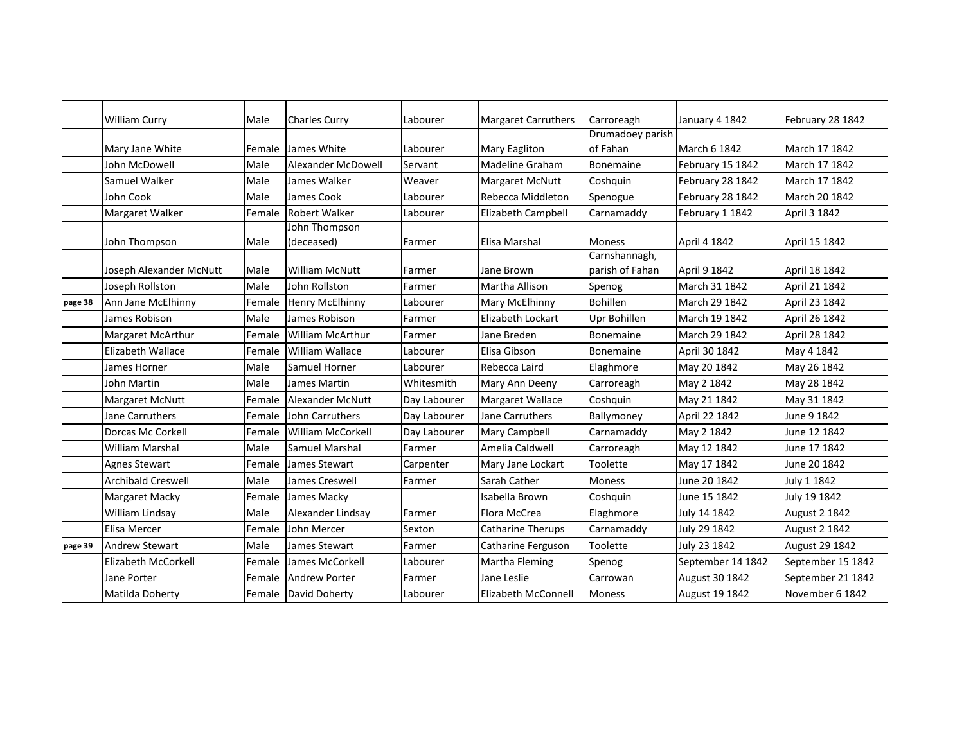|         | <b>William Curry</b>      | Male   | <b>Charles Curry</b>    | Labourer     | Margaret Carruthers                 | Carroreagh                       | January 4 1842    | February 28 1842     |
|---------|---------------------------|--------|-------------------------|--------------|-------------------------------------|----------------------------------|-------------------|----------------------|
|         |                           |        |                         |              |                                     | Drumadoey parish                 |                   |                      |
|         | Mary Jane White           | Female | James White             | Labourer     | <b>Mary Eagliton</b>                | of Fahan                         | March 6 1842      | March 17 1842        |
|         | John McDowell             | Male   | Alexander McDowell      | Servant      | <b>Madeline Graham</b>              | Bonemaine                        | February 15 1842  | March 17 1842        |
|         | Samuel Walker             | Male   | James Walker            | Weaver       | Margaret McNutt                     | Coshquin                         | February 28 1842  | March 17 1842        |
|         | John Cook                 | Male   | James Cook              | Labourer     | Rebecca Middleton                   | Spenogue                         | February 28 1842  | March 20 1842        |
|         | Margaret Walker           | Female | Robert Walker           | Labourer     | Elizabeth Campbell                  | Carnamaddy                       | February 1 1842   | April 3 1842         |
|         |                           |        | John Thompson           |              |                                     |                                  |                   |                      |
|         | John Thompson             | Male   | (deceased)              | Farmer       | Elisa Marshal                       | <b>Moness</b>                    | April 4 1842      | April 15 1842        |
|         | Joseph Alexander McNutt   | Male   | <b>William McNutt</b>   | Farmer       | Jane Brown                          | Carnshannagh,<br>parish of Fahan | April 9 1842      | April 18 1842        |
|         | Joseph Rollston           | Male   | John Rollston           | Farmer       | Martha Allison                      |                                  | March 31 1842     | April 21 1842        |
|         |                           | Female |                         | Labourer     |                                     | Spenog<br><b>Bohillen</b>        | March 29 1842     | April 23 1842        |
| page 38 | Ann Jane McElhinny        |        | Henry McElhinny         |              | Mary McElhinny<br>Elizabeth Lockart |                                  |                   |                      |
|         | James Robison             | Male   | James Robison           | Farmer       |                                     | Upr Bohillen                     | March 19 1842     | April 26 1842        |
|         | Margaret McArthur         | Female | <b>William McArthur</b> | Farmer       | Jane Breden                         | Bonemaine                        | March 29 1842     | April 28 1842        |
|         | <b>Elizabeth Wallace</b>  | Female | <b>William Wallace</b>  | Labourer     | Elisa Gibson                        | Bonemaine                        | April 30 1842     | May 4 1842           |
|         | James Horner              | Male   | Samuel Horner           | Labourer     | Rebecca Laird                       | Elaghmore                        | May 20 1842       | May 26 1842          |
|         | John Martin               | Male   | James Martin            | Whitesmith   | Mary Ann Deeny                      | Carroreagh                       | May 2 1842        | May 28 1842          |
|         | <b>Margaret McNutt</b>    | Female | <b>Alexander McNutt</b> | Day Labourer | Margaret Wallace                    | Coshquin                         | May 21 1842       | May 31 1842          |
|         | Jane Carruthers           | Female | <b>John Carruthers</b>  | Day Labourer | Jane Carruthers                     | Ballymoney                       | April 22 1842     | June 9 1842          |
|         | <b>Dorcas Mc Corkell</b>  | Female | William McCorkell       | Day Labourer | Mary Campbell                       | Carnamaddy                       | May 2 1842        | June 12 1842         |
|         | <b>William Marshal</b>    | Male   | Samuel Marshal          | Farmer       | Amelia Caldwell                     | Carroreagh                       | May 12 1842       | June 17 1842         |
|         | Agnes Stewart             | Female | James Stewart           | Carpenter    | Mary Jane Lockart                   | Toolette                         | May 17 1842       | June 20 1842         |
|         | <b>Archibald Creswell</b> | Male   | James Creswell          | Farmer       | Sarah Cather                        | <b>Moness</b>                    | June 20 1842      | July 1 1842          |
|         | Margaret Macky            | Female | James Macky             |              | Isabella Brown                      | Coshquin                         | June 15 1842      | July 19 1842         |
|         | William Lindsay           | Male   | Alexander Lindsay       | Farmer       | Flora McCrea                        | Elaghmore                        | July 14 1842      | <b>August 2 1842</b> |
|         | Elisa Mercer              | Female | John Mercer             | Sexton       | <b>Catharine Therups</b>            | Carnamaddy                       | July 29 1842      | <b>August 2 1842</b> |
| page 39 | <b>Andrew Stewart</b>     | Male   | James Stewart           | Farmer       | Catharine Ferguson                  | Toolette                         | July 23 1842      | August 29 1842       |
|         | Elizabeth McCorkell       | Female | James McCorkell         | Labourer     | Martha Fleming                      | Spenog                           | September 14 1842 | September 15 1842    |
|         | Jane Porter               | Female | <b>Andrew Porter</b>    | Farmer       | Jane Leslie                         | Carrowan                         | August 30 1842    | September 21 1842    |
|         | Matilda Doherty           | Female | David Doherty           | Labourer     | <b>Elizabeth McConnell</b>          | Moness                           | August 19 1842    | November 6 1842      |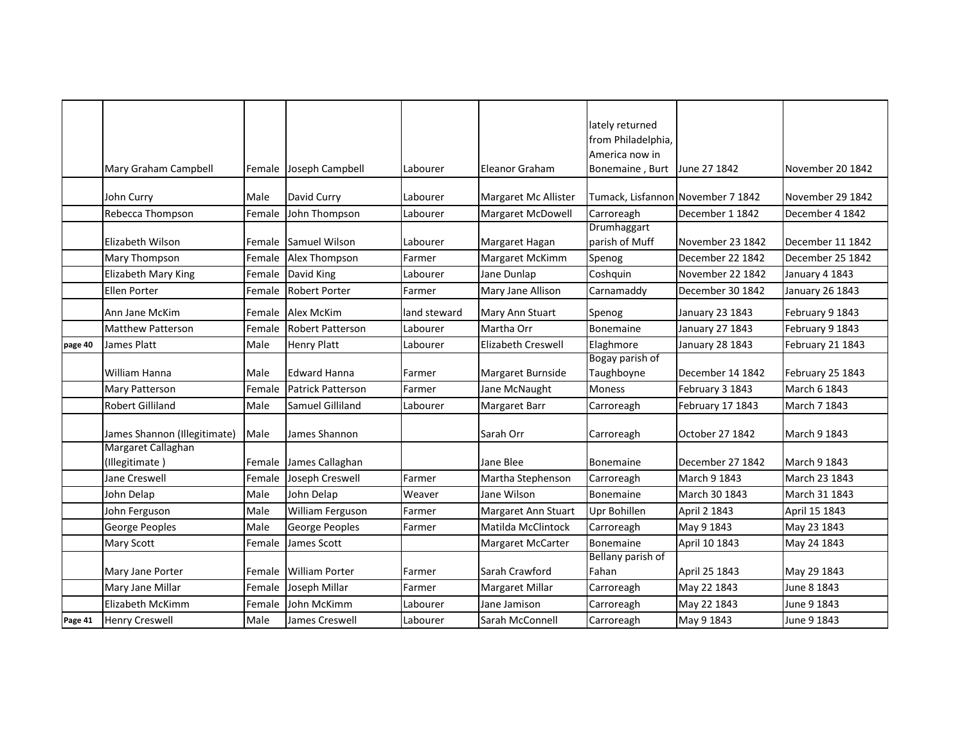|         |                                                    |        |                          |              |                           | lately returned                   |                  |                  |
|---------|----------------------------------------------------|--------|--------------------------|--------------|---------------------------|-----------------------------------|------------------|------------------|
|         |                                                    |        |                          |              |                           | from Philadelphia,                |                  |                  |
|         |                                                    |        |                          |              |                           | America now in                    |                  |                  |
|         | Mary Graham Campbell                               | Female | Joseph Campbell          | Labourer     | Eleanor Graham            | Bonemaine, Burt                   | June 27 1842     | November 20 1842 |
|         | John Curry                                         | Male   | David Curry              | Labourer     | Margaret Mc Allister      | Tumack, Lisfannon November 7 1842 |                  | November 29 1842 |
|         | Rebecca Thompson                                   | Female | John Thompson            | Labourer     | Margaret McDowell         | Carroreagh                        | December 1 1842  | December 4 1842  |
|         |                                                    |        |                          |              |                           | Drumhaggart                       |                  |                  |
|         | Elizabeth Wilson                                   | Female | <b>Samuel Wilson</b>     | Labourer     | Margaret Hagan            | parish of Muff                    | November 23 1842 | December 11 1842 |
|         | Mary Thompson                                      | Female | Alex Thompson            | Farmer       | Margaret McKimm           | Spenog                            | December 22 1842 | December 25 1842 |
|         | <b>Elizabeth Mary King</b>                         | Female | David King               | Labourer     | Jane Dunlap               | Coshquin                          | November 22 1842 | January 4 1843   |
|         | Ellen Porter                                       | Female | <b>Robert Porter</b>     | Farmer       | Mary Jane Allison         | Carnamaddy                        | December 30 1842 | January 26 1843  |
|         | Ann Jane McKim                                     | Female | Alex McKim               | land steward | Mary Ann Stuart           | Spenog                            | January 23 1843  | February 9 1843  |
|         | <b>Matthew Patterson</b>                           | Female | <b>Robert Patterson</b>  | Labourer     | Martha Orr                | Bonemaine                         | January 27 1843  | February 9 1843  |
| page 40 | James Platt                                        | Male   | <b>Henry Platt</b>       | Labourer     | <b>Elizabeth Creswell</b> | Elaghmore                         | January 28 1843  | February 21 1843 |
|         |                                                    |        |                          |              |                           | Bogay parish of                   |                  |                  |
|         | William Hanna                                      | Male   | <b>Edward Hanna</b>      | Farmer       | Margaret Burnside         | Taughboyne                        | December 14 1842 | February 25 1843 |
|         | Mary Patterson                                     | Female | <b>Patrick Patterson</b> | Farmer       | Jane McNaught             | Moness                            | February 3 1843  | March 6 1843     |
|         | <b>Robert Gilliland</b>                            | Male   | Samuel Gilliland         | Labourer     | Margaret Barr             | Carroreagh                        | February 17 1843 | March 7 1843     |
|         |                                                    |        |                          |              |                           |                                   |                  |                  |
|         | James Shannon (Illegitimate)<br>Margaret Callaghan | Male   | James Shannon            |              | Sarah Orr                 | Carroreagh                        | October 27 1842  | March 9 1843     |
|         | (Illegitimate)                                     | Female | James Callaghan          |              | Jane Blee                 | <b>Bonemaine</b>                  | December 27 1842 | March 9 1843     |
|         | Jane Creswell                                      | Female | Joseph Creswell          | Farmer       | Martha Stephenson         | Carroreagh                        | March 9 1843     | March 23 1843    |
|         | John Delap                                         | Male   | John Delap               | Weaver       | Jane Wilson               | Bonemaine                         | March 30 1843    | March 31 1843    |
|         | John Ferguson                                      | Male   | William Ferguson         | Farmer       | Margaret Ann Stuart       | Upr Bohillen                      | April 2 1843     | April 15 1843    |
|         | George Peoples                                     | Male   | George Peoples           | Farmer       | Matilda McClintock        | Carroreagh                        | May 9 1843       | May 23 1843      |
|         | <b>Mary Scott</b>                                  | Female | James Scott              |              | Margaret McCarter         | <b>Bonemaine</b>                  | April 10 1843    | May 24 1843      |
|         |                                                    |        |                          |              |                           | Bellany parish of                 |                  |                  |
|         | Mary Jane Porter                                   | Female | <b>William Porter</b>    | Farmer       | Sarah Crawford            | Fahan                             | April 25 1843    | May 29 1843      |
|         | Mary Jane Millar                                   | Female | Joseph Millar            | Farmer       | Margaret Millar           | Carroreagh                        | May 22 1843      | June 8 1843      |
|         | Elizabeth McKimm                                   | Female | John McKimm              | Labourer     | Jane Jamison              | Carroreagh                        | May 22 1843      | June 9 1843      |
| Page 41 | <b>Henry Creswell</b>                              | Male   | James Creswell           | Labourer     | Sarah McConnell           | Carroreagh                        | May 9 1843       | June 9 1843      |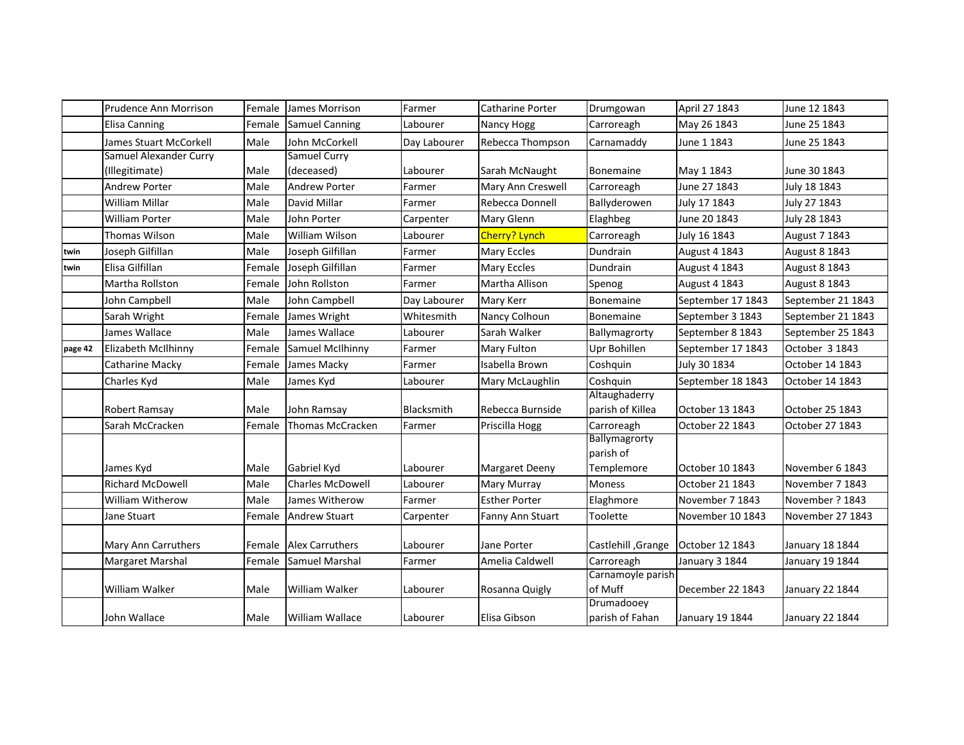|         | Prudence Ann Morrison      | Female | James Morrison          | Farmer       | <b>Catharine Porter</b> | Drumgowan                                | April 27 1843     | June 12 1843      |
|---------|----------------------------|--------|-------------------------|--------------|-------------------------|------------------------------------------|-------------------|-------------------|
|         | Elisa Canning              | Female | <b>Samuel Canning</b>   | Labourer     | Nancy Hogg              | Carroreagh                               | May 26 1843       | June 25 1843      |
|         | James Stuart McCorkell     | Male   | John McCorkell          | Day Labourer | Rebecca Thompson        | Carnamaddy                               | June 1 1843       | June 25 1843      |
|         | Samuel Alexander Curry     |        | Samuel Curry            |              |                         |                                          |                   |                   |
|         | (Illegitimate)             | Male   | (deceased)              | Labourer     | Sarah McNaught          | <b>Bonemaine</b>                         | May 1 1843        | June 30 1843      |
|         | <b>Andrew Porter</b>       | Male   | <b>Andrew Porter</b>    | Farmer       | Mary Ann Creswell       | Carroreagh                               | June 27 1843      | July 18 1843      |
|         | <b>William Millar</b>      | Male   | David Millar            | Farmer       | Rebecca Donnell         | Ballyderowen                             | July 17 1843      | July 27 1843      |
|         | William Porter             | Male   | John Porter             | Carpenter    | Mary Glenn              | Elaghbeg                                 | June 20 1843      | July 28 1843      |
|         | Thomas Wilson              | Male   | William Wilson          | Labourer     | Cherry? Lynch           | Carroreagh                               | July 16 1843      | August 7 1843     |
| twin    | Joseph Gilfillan           | Male   | Joseph Gilfillan        | Farmer       | Mary Eccles             | Dundrain                                 | August 4 1843     | August 8 1843     |
| twin    | Elisa Gilfillan            | Female | Joseph Gilfillan        | Farmer       | Mary Eccles             | Dundrain                                 | August 4 1843     | August 8 1843     |
|         | Martha Rollston            | Female | John Rollston           | Farmer       | Martha Allison          | Spenog                                   | August 4 1843     | August 8 1843     |
|         | John Campbell              | Male   | John Campbell           | Day Labourer | Mary Kerr               | Bonemaine                                | September 17 1843 | September 21 1843 |
|         | Sarah Wright               | Female | James Wright            | Whitesmith   | Nancy Colhoun           | Bonemaine                                | September 3 1843  | September 21 1843 |
|         | James Wallace              | Male   | James Wallace           | Labourer     | Sarah Walker            | Ballymagrorty                            | September 8 1843  | September 25 1843 |
| page 42 | <b>Elizabeth McIlhinny</b> | Female | Samuel McIlhinny        | Farmer       | Mary Fulton             | Upr Bohillen                             | September 17 1843 | October 3 1843    |
|         | Catharine Macky            | Female | James Macky             | Farmer       | Isabella Brown          | Coshquin                                 | July 30 1834      | October 14 1843   |
|         | Charles Kyd                | Male   | James Kyd               | Labourer     | Mary McLaughlin         | Coshquin                                 | September 18 1843 | October 14 1843   |
|         | Robert Ramsay              | Male   | John Ramsay             | Blacksmith   | Rebecca Burnside        | Altaughaderry<br>parish of Killea        | October 13 1843   | October 25 1843   |
|         | Sarah McCracken            | Female | Thomas McCracken        | Farmer       | Priscilla Hogg          | Carroreagh                               | October 22 1843   | October 27 1843   |
|         | James Kyd                  | Male   | Gabriel Kyd             | Labourer     | Margaret Deeny          | Ballymagrorty<br>parish of<br>Templemore | October 10 1843   | November 6 1843   |
|         | <b>Richard McDowell</b>    | Male   | <b>Charles McDowell</b> | Labourer     | Mary Murray             | Moness                                   | October 21 1843   | November 7 1843   |
|         | <b>William Witherow</b>    | Male   | James Witherow          | Farmer       | <b>Esther Porter</b>    | Elaghmore                                | November 7 1843   | November ? 1843   |
|         | Jane Stuart                | Female | <b>Andrew Stuart</b>    | Carpenter    | Fanny Ann Stuart        | Toolette                                 | November 10 1843  | November 27 1843  |
|         | Mary Ann Carruthers        | Female | <b>Alex Carruthers</b>  | Labourer     | Jane Porter             | Castlehill , Grange                      | October 12 1843   | January 18 1844   |
|         | Margaret Marshal           | Female | Samuel Marshal          | Farmer       | Amelia Caldwell         | Carroreagh                               | January 3 1844    | January 19 1844   |
|         | William Walker             | Male   | William Walker          | Labourer     | Rosanna Quigly          | Carnamoyle parish<br>of Muff             | December 22 1843  | January 22 1844   |
|         | John Wallace               | Male   | William Wallace         | Labourer     | Elisa Gibson            | Drumadooey<br>parish of Fahan            | January 19 1844   | January 22 1844   |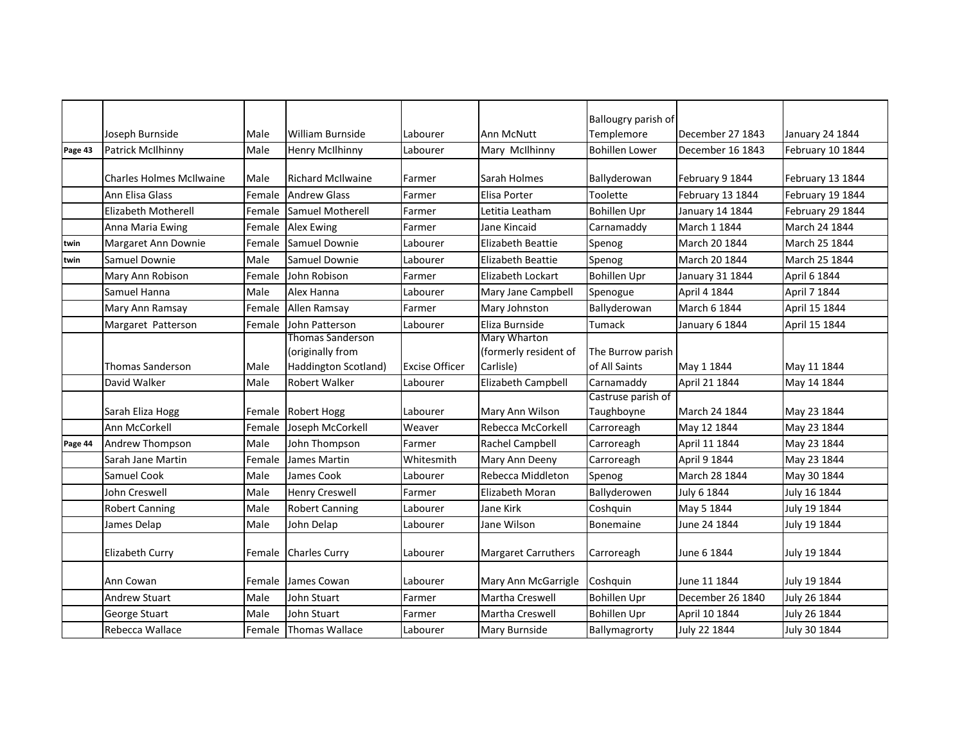|         |                                 |        |                          |                       |                                        | Ballougry parish of   |                  |                        |
|---------|---------------------------------|--------|--------------------------|-----------------------|----------------------------------------|-----------------------|------------------|------------------------|
|         | Joseph Burnside                 | Male   | <b>William Burnside</b>  | Labourer              | Ann McNutt                             | Templemore            | December 27 1843 | <b>January 24 1844</b> |
| Page 43 | Patrick McIlhinny               | Male   | <b>Henry McIlhinny</b>   | Labourer              | Mary McIlhinny                         | <b>Bohillen Lower</b> | December 16 1843 | February 10 1844       |
|         |                                 |        |                          |                       |                                        |                       |                  |                        |
|         | <b>Charles Holmes McIlwaine</b> | Male   | <b>Richard McIlwaine</b> | Farmer                | Sarah Holmes                           | Ballyderowan          | February 9 1844  | February 13 1844       |
|         | Ann Elisa Glass                 | Female | <b>Andrew Glass</b>      | Farmer                | <b>Elisa Porter</b>                    | Toolette              | February 13 1844 | February 19 1844       |
|         | Elizabeth Motherell             | Female | <b>Samuel Motherell</b>  | Farmer                | Letitia Leatham                        | <b>Bohillen Upr</b>   | January 14 1844  | February 29 1844       |
|         | Anna Maria Ewing                | Female | <b>Alex Ewing</b>        | Farmer                | Jane Kincaid                           | Carnamaddy            | March 1 1844     | March 24 1844          |
| twin    | Margaret Ann Downie             | Female | Samuel Downie            | Labourer              | <b>Elizabeth Beattie</b>               | Spenog                | March 20 1844    | March 25 1844          |
| twin    | Samuel Downie                   | Male   | Samuel Downie            | Labourer              | <b>Elizabeth Beattie</b>               | Spenog                | March 20 1844    | March 25 1844          |
|         | Mary Ann Robison                | Female | John Robison             | Farmer                | Elizabeth Lockart                      | <b>Bohillen Upr</b>   | January 31 1844  | April 6 1844           |
|         | Samuel Hanna                    | Male   | Alex Hanna               | Labourer              | Mary Jane Campbell                     | Spenogue              | April 4 1844     | April 7 1844           |
|         | Mary Ann Ramsay                 | Female | Allen Ramsay             | Farmer                | Mary Johnston                          | Ballyderowan          | March 6 1844     | April 15 1844          |
|         | Margaret Patterson              | Female | John Patterson           | Labourer              | Eliza Burnside                         | Tumack                | January 6 1844   | April 15 1844          |
|         |                                 |        | Thomas Sanderson         |                       | Mary Wharton                           |                       |                  |                        |
|         |                                 |        | (originally from         |                       | (formerly resident of                  | The Burrow parish     |                  |                        |
|         | Thomas Sanderson                | Male   | Haddington Scotland)     | <b>Excise Officer</b> | Carlisle)                              | of All Saints         | May 1 1844       | May 11 1844            |
|         | David Walker                    | Male   | <b>Robert Walker</b>     | Labourer              | Elizabeth Campbell                     | Carnamaddy            | April 21 1844    | May 14 1844            |
|         |                                 |        |                          |                       |                                        | Castruse parish of    |                  |                        |
|         | Sarah Eliza Hogg                | Female | <b>Robert Hogg</b>       | Labourer              | Mary Ann Wilson                        | Taughboyne            | March 24 1844    | May 23 1844            |
|         | Ann McCorkell                   | Female | Joseph McCorkell         | Weaver                | Rebecca McCorkell                      | Carroreagh            | May 12 1844      | May 23 1844            |
| Page 44 | Andrew Thompson                 | Male   | John Thompson            | Farmer                | Rachel Campbell                        | Carroreagh            | April 11 1844    | May 23 1844            |
|         | Sarah Jane Martin               | Female | James Martin             | Whitesmith            | Mary Ann Deeny                         | Carroreagh            | April 9 1844     | May 23 1844            |
|         | Samuel Cook                     | Male   | James Cook               | Labourer              | Rebecca Middleton                      | Spenog                | March 28 1844    | May 30 1844            |
|         | John Creswell                   | Male   | <b>Henry Creswell</b>    | Farmer                | Elizabeth Moran                        | Ballyderowen          | July 6 1844      | July 16 1844           |
|         | <b>Robert Canning</b>           | Male   | <b>Robert Canning</b>    | Labourer              | Jane Kirk                              | Coshquin              | May 5 1844       | July 19 1844           |
|         | James Delap                     | Male   | John Delap               | Labourer              | Jane Wilson                            | <b>Bonemaine</b>      | June 24 1844     | July 19 1844           |
|         |                                 |        |                          |                       |                                        |                       |                  |                        |
|         | Elizabeth Curry                 | Female | <b>Charles Curry</b>     | Labourer              | Margaret Carruthers                    | Carroreagh            | June 6 1844      | July 19 1844           |
|         |                                 |        |                          |                       |                                        |                       | June 11 1844     |                        |
|         | Ann Cowan                       | Female | James Cowan              | Labourer              | Mary Ann McGarrigle<br>Martha Creswell | Coshquin              |                  | July 19 1844           |
|         | <b>Andrew Stuart</b>            | Male   | John Stuart              | Farmer                |                                        | <b>Bohillen Upr</b>   | December 26 1840 | July 26 1844           |
|         | George Stuart                   | Male   | John Stuart              | Farmer                | Martha Creswell                        | <b>Bohillen Upr</b>   | April 10 1844    | July 26 1844           |
|         | Rebecca Wallace                 | Female | Thomas Wallace           | Labourer              | Mary Burnside                          | Ballymagrorty         | July 22 1844     | July 30 1844           |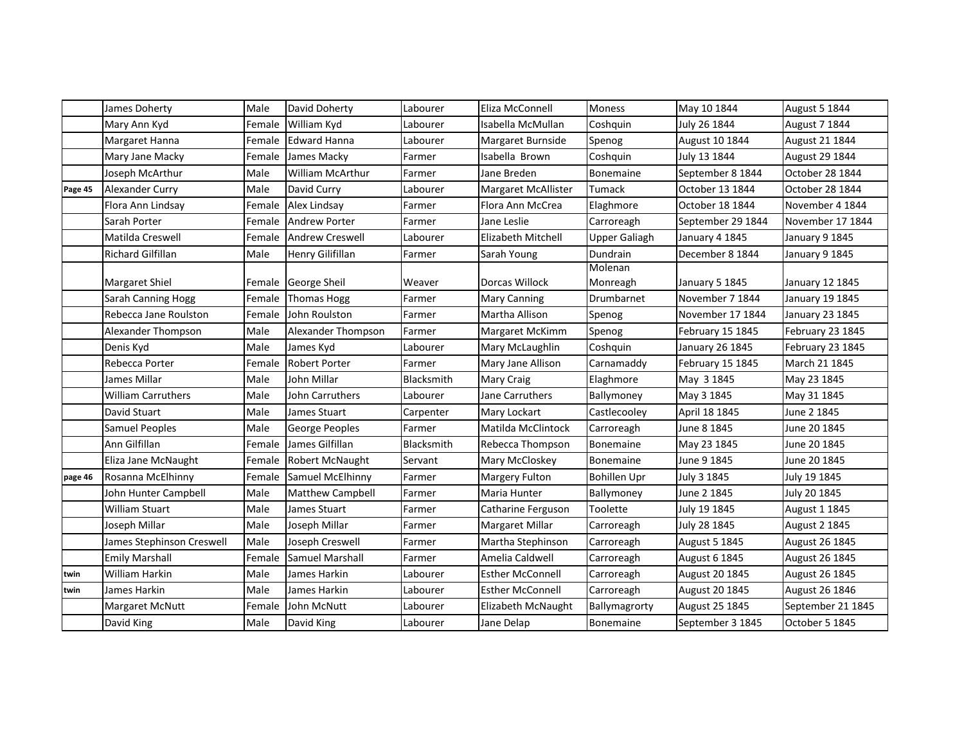|         | James Doherty             | Male   | David Doherty          | Labourer   | Eliza McConnell         | Moness               | May 10 1844       | <b>August 5 1844</b> |
|---------|---------------------------|--------|------------------------|------------|-------------------------|----------------------|-------------------|----------------------|
|         | Mary Ann Kyd              | Female | William Kyd            | Labourer   | Isabella McMullan       | Coshquin             | July 26 1844      | August 7 1844        |
|         | Margaret Hanna            | Female | <b>Edward Hanna</b>    | Labourer   | Margaret Burnside       | Spenog               | August 10 1844    | August 21 1844       |
|         | Mary Jane Macky           | Female | James Macky            | Farmer     | Isabella Brown          | Coshquin             | July 13 1844      | August 29 1844       |
|         | Joseph McArthur           | Male   | William McArthur       | Farmer     | Jane Breden             | Bonemaine            | September 8 1844  | October 28 1844      |
| Page 45 | Alexander Curry           | Male   | David Curry            | Labourer   | Margaret McAllister     | Tumack               | October 13 1844   | October 28 1844      |
|         | Flora Ann Lindsay         | Female | Alex Lindsay           | Farmer     | Flora Ann McCrea        | Elaghmore            | October 18 1844   | November 4 1844      |
|         | Sarah Porter              | Female | <b>Andrew Porter</b>   | Farmer     | Jane Leslie             | Carroreagh           | September 29 1844 | November 17 1844     |
|         | Matilda Creswell          | Female | <b>Andrew Creswell</b> | Labourer   | Elizabeth Mitchell      | <b>Upper Galiagh</b> | January 4 1845    | January 9 1845       |
|         | Richard Gilfillan         | Male   | Henry Gilifillan       | Farmer     | Sarah Young             | Dundrain             | December 8 1844   | January 9 1845       |
|         |                           |        |                        |            |                         | Molenan              |                   |                      |
|         | Margaret Shiel            |        | Female George Sheil    | Weaver     | Dorcas Willock          | Monreagh             | January 5 1845    | January 12 1845      |
|         | Sarah Canning Hogg        | Female | <b>Thomas Hogg</b>     | Farmer     | <b>Mary Canning</b>     | Drumbarnet           | November 7 1844   | January 19 1845      |
|         | Rebecca Jane Roulston     | Female | John Roulston          | Farmer     | Martha Allison          | Spenog               | November 17 1844  | January 23 1845      |
|         | Alexander Thompson        | Male   | Alexander Thompson     | Farmer     | Margaret McKimm         | Spenog               | February 15 1845  | February 23 1845     |
|         | Denis Kyd                 | Male   | James Kyd              | Labourer   | Mary McLaughlin         | Coshquin             | January 26 1845   | February 23 1845     |
|         | Rebecca Porter            | Female | Robert Porter          | Farmer     | Mary Jane Allison       | Carnamaddy           | February 15 1845  | March 21 1845        |
|         | James Millar              | Male   | John Millar            | Blacksmith | Mary Craig              | Elaghmore            | May 3 1845        | May 23 1845          |
|         | <b>William Carruthers</b> | Male   | John Carruthers        | Labourer   | Jane Carruthers         | Ballymoney           | May 3 1845        | May 31 1845          |
|         | David Stuart              | Male   | James Stuart           | Carpenter  | Mary Lockart            | Castlecooley         | April 18 1845     | June 2 1845          |
|         | Samuel Peoples            | Male   | George Peoples         | Farmer     | Matilda McClintock      | Carroreagh           | June 8 1845       | June 20 1845         |
|         | Ann Gilfillan             | Female | James Gilfillan        | Blacksmith | Rebecca Thompson        | <b>Bonemaine</b>     | May 23 1845       | June 20 1845         |
|         | Eliza Jane McNaught       | Female | <b>Robert McNaught</b> | Servant    | Mary McCloskey          | <b>Bonemaine</b>     | June 9 1845       | June 20 1845         |
| page 46 | Rosanna McElhinny         | Female | Samuel McElhinny       | Farmer     | Margery Fulton          | <b>Bohillen Upr</b>  | July 3 1845       | July 19 1845         |
|         | John Hunter Campbell      | Male   | Matthew Campbell       | Farmer     | Maria Hunter            | Ballymoney           | June 2 1845       | July 20 1845         |
|         | William Stuart            | Male   | James Stuart           | Farmer     | Catharine Ferguson      | Toolette             | July 19 1845      | August 1 1845        |
|         | Joseph Millar             | Male   | Joseph Millar          | Farmer     | Margaret Millar         | Carroreagh           | July 28 1845      | <b>August 2 1845</b> |
|         | James Stephinson Creswell | Male   | Joseph Creswell        | Farmer     | Martha Stephinson       | Carroreagh           | August 5 1845     | August 26 1845       |
|         | <b>Emily Marshall</b>     | Female | Samuel Marshall        | Farmer     | Amelia Caldwell         | Carroreagh           | August 6 1845     | August 26 1845       |
| twin    | William Harkin            | Male   | James Harkin           | Labourer   | <b>Esther McConnell</b> | Carroreagh           | August 20 1845    | August 26 1845       |
| twin    | James Harkin              | Male   | James Harkin           | Labourer   | <b>Esther McConnell</b> | Carroreagh           | August 20 1845    | August 26 1846       |
|         | Margaret McNutt           | Female | John McNutt            | Labourer   | Elizabeth McNaught      | Ballymagrorty        | August 25 1845    | September 21 1845    |
|         | David King                | Male   | David King             | Labourer   | Jane Delap              | <b>Bonemaine</b>     | September 3 1845  | October 5 1845       |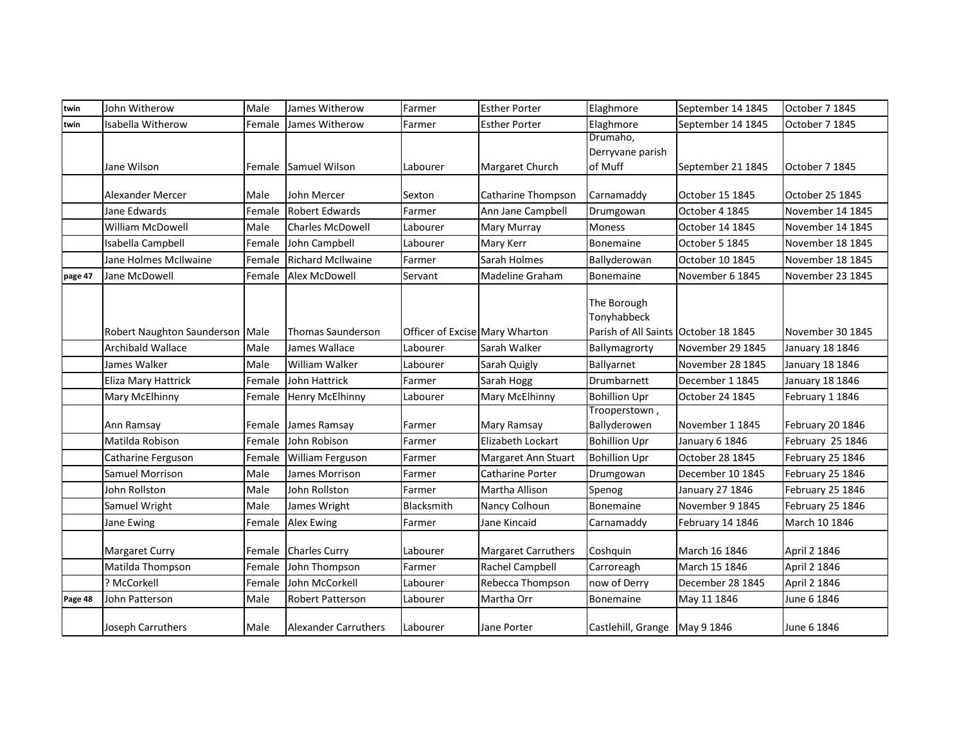| twin    | John Witherow                   | Male   | James Witherow              | Farmer                         | <b>Esther Porter</b> | Elaghmore                                                          | September 14 1845 | October 7 1845   |
|---------|---------------------------------|--------|-----------------------------|--------------------------------|----------------------|--------------------------------------------------------------------|-------------------|------------------|
| twin    | Isabella Witherow               | Female | James Witherow              | Farmer                         | <b>Esther Porter</b> | Elaghmore                                                          | September 14 1845 | October 7 1845   |
|         |                                 |        |                             |                                |                      | Drumaho,                                                           |                   |                  |
|         |                                 |        |                             |                                |                      | Derryvane parish                                                   |                   |                  |
|         | Jane Wilson                     |        | Female Samuel Wilson        | Labourer                       | Margaret Church      | of Muff                                                            | September 21 1845 | October 7 1845   |
|         |                                 |        |                             |                                |                      |                                                                    |                   |                  |
|         | Alexander Mercer                | Male   | John Mercer                 | Sexton                         | Catharine Thompson   | Carnamaddy                                                         | October 15 1845   | October 25 1845  |
|         | Jane Edwards                    | Female | <b>Robert Edwards</b>       | Farmer                         | Ann Jane Campbell    | Drumgowan                                                          | October 4 1845    | November 14 1845 |
|         | <b>William McDowell</b>         | Male   | <b>Charles McDowell</b>     | Labourer                       | Mary Murray          | <b>Moness</b>                                                      | October 14 1845   | November 14 1845 |
|         | Isabella Campbell               | Female | John Campbell               | Labourer                       | Mary Kerr            | <b>Bonemaine</b>                                                   | October 5 1845    | November 18 1845 |
|         | Jane Holmes McIlwaine           | Female | <b>Richard McIlwaine</b>    | Farmer                         | Sarah Holmes         | Ballyderowan                                                       | October 10 1845   | November 18 1845 |
| page 47 | Jane McDowell                   | Female | Alex McDowell               | Servant                        | Madeline Graham      | Bonemaine                                                          | November 6 1845   | November 23 1845 |
|         | Robert Naughton Saunderson Male |        | <b>Thomas Saunderson</b>    | Officer of Excise Mary Wharton |                      | The Borough<br>Tonyhabbeck<br>Parish of All Saints October 18 1845 |                   | November 30 1845 |
|         | <b>Archibald Wallace</b>        | Male   | James Wallace               | Labourer                       | Sarah Walker         | Ballymagrorty                                                      | November 29 1845  | January 18 1846  |
|         | James Walker                    | Male   | William Walker              | Labourer                       | Sarah Quigly         | Ballyarnet                                                         | November 28 1845  | January 18 1846  |
|         | Eliza Mary Hattrick             | Female | John Hattrick               | Farmer                         | Sarah Hogg           | Drumbarnett                                                        | December 1 1845   | January 18 1846  |
|         | Mary McElhinny                  | Female | <b>Henry McElhinny</b>      | Labourer                       | Mary McElhinny       | <b>Bohillion Upr</b>                                               | October 24 1845   | February 1 1846  |
|         | Ann Ramsay                      | Female | James Ramsay                | Farmer                         | Mary Ramsay          | Trooperstown,<br>Ballyderowen                                      | November 1 1845   | February 20 1846 |
|         | Matilda Robison                 | Female | John Robison                | Farmer                         | Elizabeth Lockart    | <b>Bohillion Upr</b>                                               | January 6 1846    | February 25 1846 |
|         | Catharine Ferguson              | Female | <b>William Ferguson</b>     | Farmer                         | Margaret Ann Stuart  | <b>Bohillion Upr</b>                                               | October 28 1845   | February 25 1846 |
|         | Samuel Morrison                 | Male   | James Morrison              | Farmer                         | Catharine Porter     | Drumgowan                                                          | December 10 1845  | February 25 1846 |
|         | John Rollston                   | Male   | John Rollston               | Farmer                         | Martha Allison       | Spenog                                                             | January 27 1846   | February 25 1846 |
|         | Samuel Wright                   | Male   | James Wright                | Blacksmith                     | Nancy Colhoun        | Bonemaine                                                          | November 9 1845   | February 25 1846 |
|         | Jane Ewing                      | Female | <b>Alex Ewing</b>           | Farmer                         | Jane Kincaid         | Carnamaddy                                                         | February 14 1846  | March 10 1846    |
|         | <b>Margaret Curry</b>           | Female | <b>Charles Curry</b>        | Labourer                       | Margaret Carruthers  | Coshquin                                                           | March 16 1846     | April 2 1846     |
|         | Matilda Thompson                | Female | John Thompson               | Farmer                         | Rachel Campbell      | Carroreagh                                                         | March 15 1846     | April 2 1846     |
|         | ? McCorkell                     | Female | John McCorkell              | Labourer                       | Rebecca Thompson     | now of Derry                                                       | December 28 1845  | April 2 1846     |
| Page 48 | John Patterson                  | Male   | <b>Robert Patterson</b>     | Labourer                       | Martha Orr           | Bonemaine                                                          | May 11 1846       | June 6 1846      |
|         | Joseph Carruthers               | Male   | <b>Alexander Carruthers</b> | Labourer                       | Jane Porter          | Castlehill, Grange May 9 1846                                      |                   | June 6 1846      |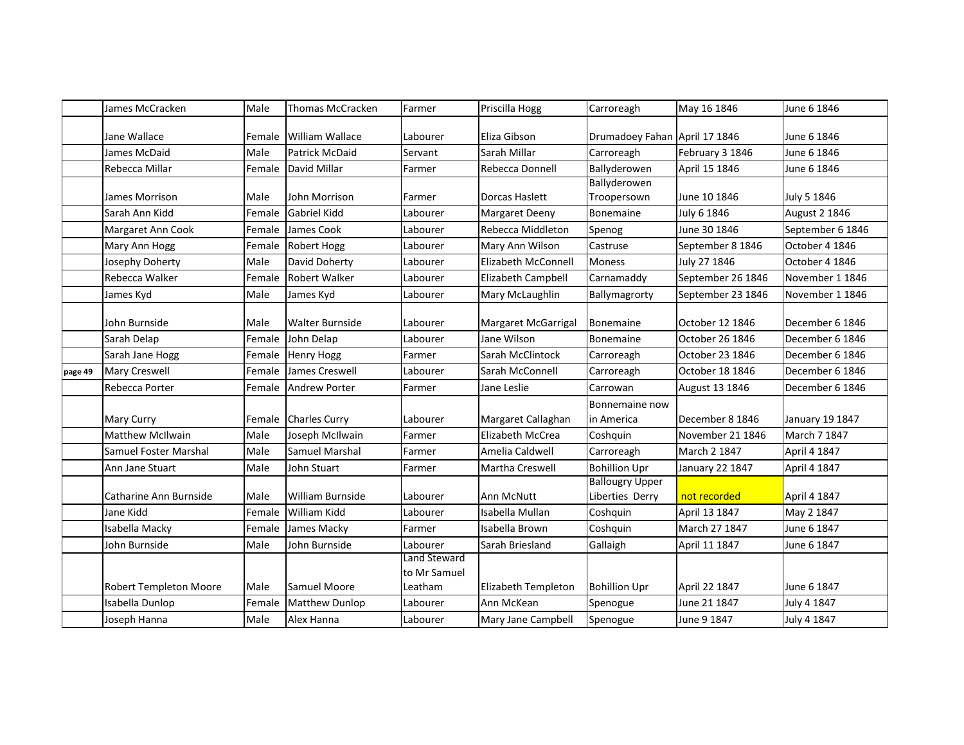|         | James McCracken               | Male   | <b>Thomas McCracken</b> | Farmer                       | Priscilla Hogg      | Carroreagh                                | May 16 1846       | June 6 1846          |
|---------|-------------------------------|--------|-------------------------|------------------------------|---------------------|-------------------------------------------|-------------------|----------------------|
|         | Jane Wallace                  | Female | <b>William Wallace</b>  | Labourer                     | Eliza Gibson        | Drumadoey Fahan April 17 1846             |                   | June 6 1846          |
|         | James McDaid                  | Male   | <b>Patrick McDaid</b>   | Servant                      | Sarah Millar        | Carroreagh                                | February 3 1846   | June 6 1846          |
|         | Rebecca Millar                | Female | David Millar            | Farmer                       | Rebecca Donnell     | Ballyderowen                              | April 15 1846     | June 6 1846          |
|         | James Morrison                | Male   | John Morrison           | Farmer                       | Dorcas Haslett      | Ballyderowen<br>Troopersown               | June 10 1846      | July 5 1846          |
|         | Sarah Ann Kidd                | Female | Gabriel Kidd            | Labourer                     | Margaret Deeny      | Bonemaine                                 | July 6 1846       | <b>August 2 1846</b> |
|         | Margaret Ann Cook             | Female | James Cook              | Labourer                     | Rebecca Middleton   | Spenog                                    | June 30 1846      | September 6 1846     |
|         | Mary Ann Hogg                 | Female | Robert Hogg             | Labourer                     | Mary Ann Wilson     | Castruse                                  | September 8 1846  | October 4 1846       |
|         | Josephy Doherty               | Male   | David Doherty           | Labourer                     | Elizabeth McConnell | Moness                                    | July 27 1846      | October 4 1846       |
|         | Rebecca Walker                | Female | Robert Walker           | Labourer                     | Elizabeth Campbell  | Carnamaddy                                | September 26 1846 | November 1 1846      |
|         | James Kyd                     | Male   | James Kyd               | Labourer                     | Mary McLaughlin     | Ballymagrorty                             | September 23 1846 | November 1 1846      |
|         | John Burnside                 | Male   | <b>Walter Burnside</b>  | Labourer                     | Margaret McGarrigal | Bonemaine                                 | October 12 1846   | December 6 1846      |
|         | Sarah Delap                   | Female | John Delap              | Labourer                     | Jane Wilson         | Bonemaine                                 | October 26 1846   | December 6 1846      |
|         | Sarah Jane Hogg               | Female | <b>Henry Hogg</b>       | Farmer                       | Sarah McClintock    | Carroreagh                                | October 23 1846   | December 6 1846      |
| page 49 | Mary Creswell                 | Female | James Creswell          | Labourer                     | Sarah McConnell     | Carroreagh                                | October 18 1846   | December 6 1846      |
|         | Rebecca Porter                | Female | <b>Andrew Porter</b>    | Farmer                       | Jane Leslie         | Carrowan                                  | August 13 1846    | December 6 1846      |
|         | <b>Mary Curry</b>             | Female | <b>Charles Curry</b>    | Labourer                     | Margaret Callaghan  | Bonnemaine now<br>in America              | December 8 1846   | January 19 1847      |
|         | <b>Matthew McIlwain</b>       | Male   | Joseph McIlwain         | Farmer                       | Elizabeth McCrea    | Coshquin                                  | November 21 1846  | March 7 1847         |
|         | Samuel Foster Marshal         | Male   | Samuel Marshal          | Farmer                       | Amelia Caldwell     | Carroreagh                                | March 2 1847      | April 4 1847         |
|         | Ann Jane Stuart               | Male   | John Stuart             | Farmer                       | Martha Creswell     | <b>Bohillion Upr</b>                      | January 22 1847   | April 4 1847         |
|         | Catharine Ann Burnside        | Male   | William Burnside        | Labourer                     | Ann McNutt          | <b>Ballougry Upper</b><br>Liberties Derry | not recorded      | April 4 1847         |
|         | Jane Kidd                     | Female | William Kidd            | Labourer                     | Isabella Mullan     | Coshquin                                  | April 13 1847     | May 2 1847           |
|         | Isabella Macky                | Female | James Macky             | Farmer                       | Isabella Brown      | Coshquin                                  | March 27 1847     | June 6 1847          |
|         | John Burnside                 | Male   | John Burnside           | Labourer                     | Sarah Briesland     | Gallaigh                                  | April 11 1847     | June 6 1847          |
|         |                               |        |                         | Land Steward<br>to Mr Samuel |                     |                                           |                   |                      |
|         | <b>Robert Templeton Moore</b> | Male   | Samuel Moore            | Leatham                      | Elizabeth Templeton | <b>Bohillion Upr</b>                      | April 22 1847     | June 6 1847          |
|         | Isabella Dunlop               | Female | Matthew Dunlop          | Labourer                     | Ann McKean          | Spenogue                                  | June 21 1847      | July 4 1847          |
|         | Joseph Hanna                  | Male   | Alex Hanna              | Labourer                     | Mary Jane Campbell  | Spenogue                                  | June 9 1847       | July 4 1847          |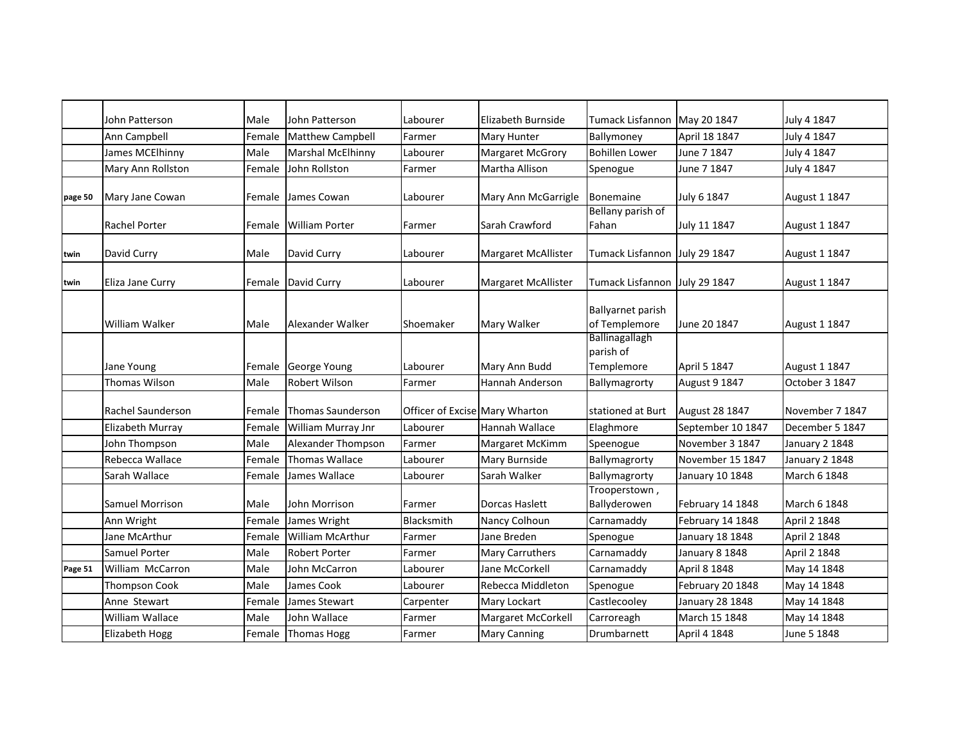|         | John Patterson         | Male   | John Patterson           | Labourer                       | Elizabeth Burnside         | Tumack Lisfannon May 20 1847              |                   | July 4 1847     |
|---------|------------------------|--------|--------------------------|--------------------------------|----------------------------|-------------------------------------------|-------------------|-----------------|
|         | Ann Campbell           | Female | Matthew Campbell         | Farmer                         | Mary Hunter                | Ballymoney                                | April 18 1847     | July 4 1847     |
|         | James MCElhinny        | Male   | <b>Marshal McElhinny</b> | Labourer                       | <b>Margaret McGrory</b>    | <b>Bohillen Lower</b>                     | June 7 1847       | July 4 1847     |
|         | Mary Ann Rollston      | Female | John Rollston            | Farmer                         | Martha Allison             | Spenogue                                  | June 7 1847       | July 4 1847     |
| page 50 | Mary Jane Cowan        | Female | James Cowan              | Labourer                       | Mary Ann McGarrigle        | Bonemaine                                 | July 6 1847       | August 1 1847   |
|         | <b>Rachel Porter</b>   | Female | <b>William Porter</b>    | Farmer                         | Sarah Crawford             | Bellany parish of<br>Fahan                | July 11 1847      | August 1 1847   |
| twin    | David Curry            | Male   | David Curry              | Labourer                       | <b>Margaret McAllister</b> | Tumack Lisfannon July 29 1847             |                   | August 1 1847   |
| twin    | Eliza Jane Curry       | Female | David Curry              | Labourer                       | <b>Margaret McAllister</b> | Tumack Lisfannon July 29 1847             |                   | August 1 1847   |
|         | <b>William Walker</b>  | Male   | Alexander Walker         | Shoemaker                      | Mary Walker                | <b>Ballyarnet parish</b><br>of Templemore | June 20 1847      | August 1 1847   |
|         | Jane Young             | Female | George Young             | Labourer                       | Mary Ann Budd              | Ballinagallagh<br>parish of<br>Templemore | April 5 1847      | August 1 1847   |
|         | Thomas Wilson          | Male   | Robert Wilson            | Farmer                         | Hannah Anderson            | Ballymagrorty                             | August 9 1847     | October 3 1847  |
|         | Rachel Saunderson      | Female | Thomas Saunderson        | Officer of Excise Mary Wharton |                            | stationed at Burt                         | August 28 1847    | November 7 1847 |
|         | Elizabeth Murray       | Female | William Murray Jnr       | Labourer                       | Hannah Wallace             | Elaghmore                                 | September 10 1847 | December 5 1847 |
|         | John Thompson          | Male   | Alexander Thompson       | Farmer                         | Margaret McKimm            | Speenogue                                 | November 3 1847   | January 2 1848  |
|         | Rebecca Wallace        | Female | <b>Thomas Wallace</b>    | Labourer                       | Mary Burnside              | Ballymagrorty                             | November 15 1847  | January 2 1848  |
|         | Sarah Wallace          | Female | James Wallace            | Labourer                       | Sarah Walker               | Ballymagrorty                             | January 10 1848   | March 6 1848    |
|         | <b>Samuel Morrison</b> | Male   | John Morrison            | Farmer                         | Dorcas Haslett             | Trooperstown,<br>Ballyderowen             | February 14 1848  | March 6 1848    |
|         | Ann Wright             | Female | James Wright             | Blacksmith                     | Nancy Colhoun              | Carnamaddy                                | February 14 1848  | April 2 1848    |
|         | Jane McArthur          | Female | <b>William McArthur</b>  | Farmer                         | Jane Breden                | Spenogue                                  | January 18 1848   | April 2 1848    |
|         | Samuel Porter          | Male   | <b>Robert Porter</b>     | Farmer                         | Mary Carruthers            | Carnamaddy                                | January 8 1848    | April 2 1848    |
| Page 51 | William McCarron       | Male   | John McCarron            | Labourer                       | Jane McCorkell             | Carnamaddy                                | April 8 1848      | May 14 1848     |
|         | <b>Thompson Cook</b>   | Male   | James Cook               | Labourer                       | Rebecca Middleton          | Spenogue                                  | February 20 1848  | May 14 1848     |
|         | Anne Stewart           | Female | James Stewart            | Carpenter                      | Mary Lockart               | Castlecooley                              | January 28 1848   | May 14 1848     |
|         | William Wallace        | Male   | John Wallace             | Farmer                         | Margaret McCorkell         | Carroreagh                                | March 15 1848     | May 14 1848     |
|         | <b>Elizabeth Hogg</b>  | Female | <b>Thomas Hogg</b>       | Farmer                         | <b>Mary Canning</b>        | Drumbarnett                               | April 4 1848      | June 5 1848     |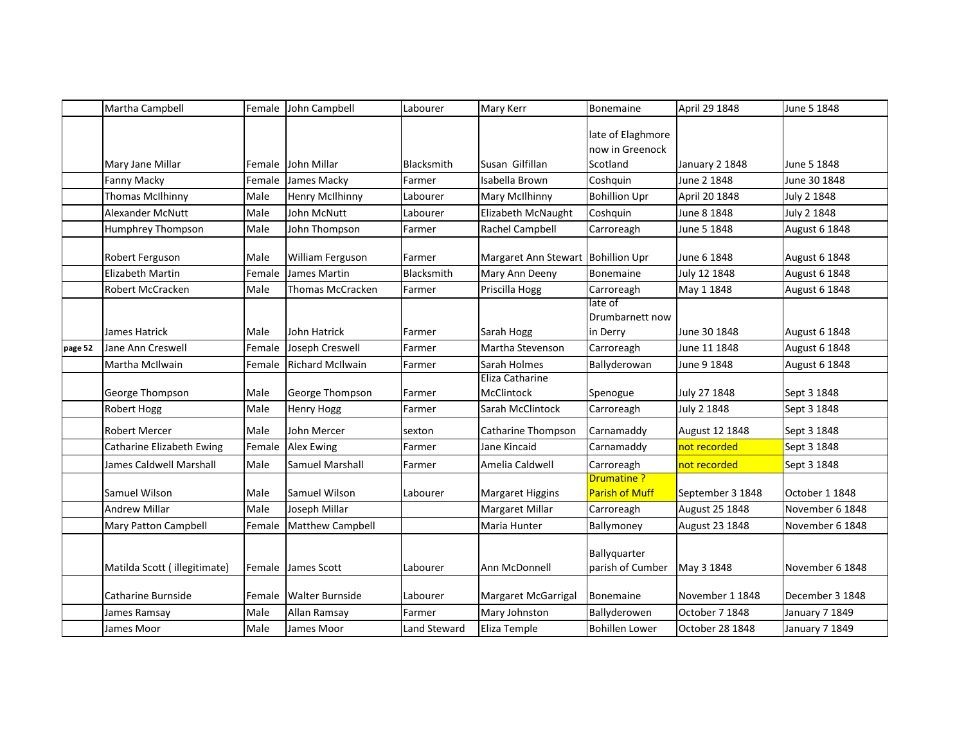|         | Martha Campbell              | Female | John Campbell           | Labourer     | Mary Kerr                            | Bonemaine                                        | April 29 1848    | June 5 1848          |
|---------|------------------------------|--------|-------------------------|--------------|--------------------------------------|--------------------------------------------------|------------------|----------------------|
|         | Mary Jane Millar             | Female | John Millar             | Blacksmith   | Susan Gilfillan                      | late of Elaghmore<br>now in Greenock<br>Scotland | January 2 1848   | June 5 1848          |
|         | Fanny Macky                  | Female | James Macky             | Farmer       | Isabella Brown                       | Coshquin                                         | June 2 1848      | June 30 1848         |
|         | Thomas McIlhinny             | Male   | <b>Henry McIlhinny</b>  | Labourer     | Mary McIlhinny                       | <b>Bohillion Upr</b>                             | April 20 1848    | July 2 1848          |
|         | <b>Alexander McNutt</b>      | Male   | John McNutt             | Labourer     | Elizabeth McNaught                   | Coshquin                                         | June 8 1848      | July 2 1848          |
|         | Humphrey Thompson            | Male   | John Thompson           | Farmer       | Rachel Campbell                      | Carroreagh                                       | June 5 1848      | August 6 1848        |
|         | Robert Ferguson              | Male   | William Ferguson        | Farmer       | Margaret Ann Stewart Bohillion Upr   |                                                  | June 6 1848      | August 6 1848        |
|         | <b>Elizabeth Martin</b>      | Female | James Martin            | Blacksmith   | Mary Ann Deeny                       | Bonemaine                                        | July 12 1848     | August 6 1848        |
|         | Robert McCracken             | Male   | Thomas McCracken        | Farmer       | Priscilla Hogg                       | Carroreagh                                       | May 1 1848       | <b>August 6 1848</b> |
|         | James Hatrick                | Male   | John Hatrick            | Farmer       | Sarah Hogg                           | late of<br>Drumbarnett now<br>in Derry           | June 30 1848     | August 6 1848        |
| page 52 | Jane Ann Creswell            | Female | Joseph Creswell         | Farmer       | Martha Stevenson                     | Carroreagh                                       | June 11 1848     | <b>August 6 1848</b> |
|         | Martha McIlwain              | Female | <b>Richard McIlwain</b> | Farmer       | Sarah Holmes                         | Ballyderowan                                     | June 9 1848      | August 6 1848        |
|         | George Thompson              | Male   | George Thompson         | Farmer       | Eliza Catharine<br><b>McClintock</b> | Spenogue                                         | July 27 1848     | Sept 3 1848          |
|         | Robert Hogg                  | Male   | <b>Henry Hogg</b>       | Farmer       | Sarah McClintock                     | Carroreagh                                       | July 2 1848      | Sept 3 1848          |
|         | <b>Robert Mercer</b>         | Male   | John Mercer             | sexton       | Catharine Thompson                   | Carnamaddy                                       | August 12 1848   | Sept 3 1848          |
|         | Catharine Elizabeth Ewing    | Female | <b>Alex Ewing</b>       | Farmer       | Jane Kincaid                         | Carnamaddy                                       | not recorded     | Sept 3 1848          |
|         | James Caldwell Marshall      | Male   | Samuel Marshall         | Farmer       | Amelia Caldwell                      | Carroreagh                                       | not recorded     | Sept 3 1848          |
|         | Samuel Wilson                | Male   | Samuel Wilson           | Labourer     | <b>Margaret Higgins</b>              | <b>Drumatine?</b><br><b>Parish of Muff</b>       | September 3 1848 | October 1 1848       |
|         | <b>Andrew Millar</b>         | Male   | Joseph Millar           |              | Margaret Millar                      | Carroreagh                                       | August 25 1848   | November 6 1848      |
|         | Mary Patton Campbell         | Female | <b>Matthew Campbell</b> |              | Maria Hunter                         | Ballymoney                                       | August 23 1848   | November 6 1848      |
|         | Matilda Scott (illegitimate) | Female | James Scott             | Labourer     | Ann McDonnell                        | Ballyquarter<br>parish of Cumber                 | May 3 1848       | November 6 1848      |
|         | Catharine Burnside           | Female | <b>Walter Burnside</b>  | Labourer     | Margaret McGarrigal                  | Bonemaine                                        | November 1 1848  | December 3 1848      |
|         | James Ramsay                 | Male   | Allan Ramsay            | Farmer       | Mary Johnston                        | Ballyderowen                                     | October 7 1848   | January 7 1849       |
|         | James Moor                   | Male   | James Moor              | Land Steward | Eliza Temple                         | <b>Bohillen Lower</b>                            | October 28 1848  | January 7 1849       |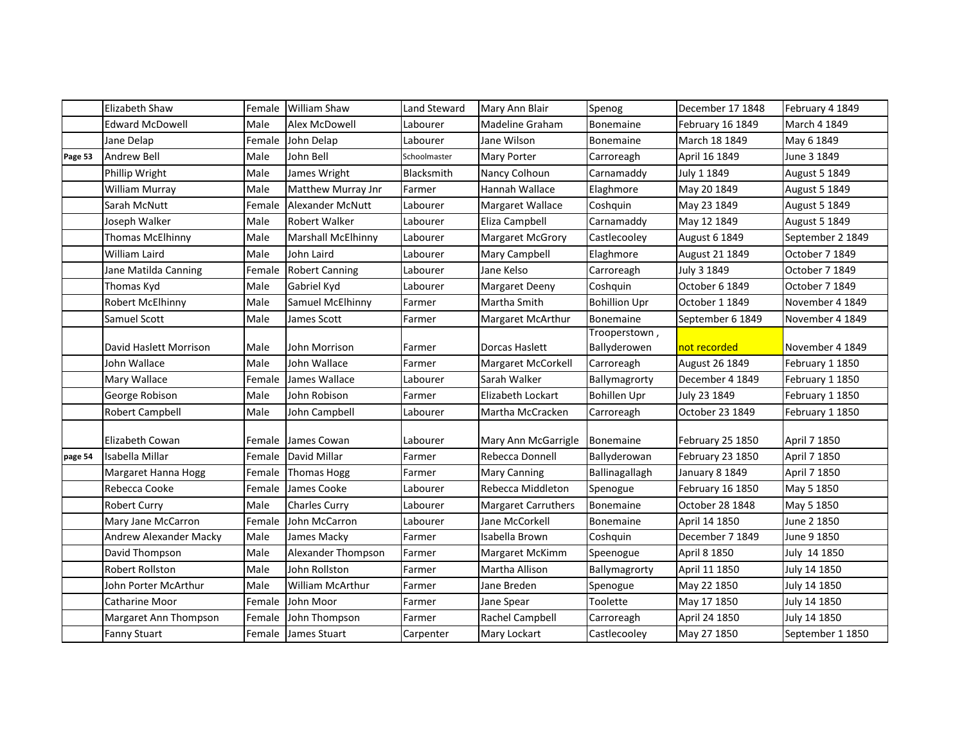|         | Elizabeth Shaw         | Female | <b>William Shaw</b>       | Land Steward | Mary Ann Blair             | Spenog                        | December 17 1848 | February 4 1849      |
|---------|------------------------|--------|---------------------------|--------------|----------------------------|-------------------------------|------------------|----------------------|
|         | <b>Edward McDowell</b> | Male   | Alex McDowell             | Labourer     | Madeline Graham            | Bonemaine                     | February 16 1849 | March 4 1849         |
|         | Jane Delap             | Female | John Delap                | Labourer     | Jane Wilson                | <b>Bonemaine</b>              | March 18 1849    | May 6 1849           |
| Page 53 | <b>Andrew Bell</b>     | Male   | John Bell                 | Schoolmaster | Mary Porter                | Carroreagh                    | April 16 1849    | June 3 1849          |
|         | Phillip Wright         | Male   | James Wright              | Blacksmith   | Nancy Colhoun              | Carnamaddy                    | July 1 1849      | August 5 1849        |
|         | William Murray         | Male   | Matthew Murray Jnr        | Farmer       | Hannah Wallace             | Elaghmore                     | May 20 1849      | <b>August 5 1849</b> |
|         | Sarah McNutt           | Female | <b>Alexander McNutt</b>   | Labourer     | Margaret Wallace           | Coshquin                      | May 23 1849      | August 5 1849        |
|         | Joseph Walker          | Male   | <b>Robert Walker</b>      | Labourer     | Eliza Campbell             | Carnamaddy                    | May 12 1849      | August 5 1849        |
|         | Thomas McElhinny       | Male   | <b>Marshall McElhinny</b> | Labourer     | <b>Margaret McGrory</b>    | Castlecooley                  | August 6 1849    | September 2 1849     |
|         | <b>William Laird</b>   | Male   | John Laird                | Labourer     | Mary Campbell              | Elaghmore                     | August 21 1849   | October 7 1849       |
|         | Jane Matilda Canning   | Female | <b>Robert Canning</b>     | Labourer     | Jane Kelso                 | Carroreagh                    | July 3 1849      | October 7 1849       |
|         | Thomas Kyd             | Male   | Gabriel Kyd               | Labourer     | <b>Margaret Deeny</b>      | Coshquin                      | October 6 1849   | October 7 1849       |
|         | Robert McElhinny       | Male   | Samuel McElhinny          | Farmer       | Martha Smith               | <b>Bohillion Upr</b>          | October 1 1849   | November 4 1849      |
|         | Samuel Scott           | Male   | James Scott               | Farmer       | Margaret McArthur          | Bonemaine                     | September 6 1849 | November 4 1849      |
|         | David Haslett Morrison | Male   | John Morrison             | Farmer       | Dorcas Haslett             | Trooperstown,<br>Ballyderowen | not recorded     | November 4 1849      |
|         | John Wallace           | Male   | John Wallace              | Farmer       | <b>Margaret McCorkell</b>  | Carroreagh                    | August 26 1849   | February 1 1850      |
|         | Mary Wallace           | Female | James Wallace             | Labourer     | Sarah Walker               | Ballymagrorty                 | December 4 1849  | February 1 1850      |
|         | George Robison         | Male   | John Robison              | Farmer       | Elizabeth Lockart          | <b>Bohillen Upr</b>           | July 23 1849     | February 1 1850      |
|         | <b>Robert Campbell</b> | Male   | John Campbell             | Labourer     | Martha McCracken           | Carroreagh                    | October 23 1849  | February 1 1850      |
|         | Elizabeth Cowan        | Female | James Cowan               | Labourer     | Mary Ann McGarrigle        | Bonemaine                     | February 25 1850 | April 7 1850         |
| page 54 | Isabella Millar        | Female | David Millar              | Farmer       | Rebecca Donnell            | Ballyderowan                  | February 23 1850 | April 7 1850         |
|         | Margaret Hanna Hogg    | Female | <b>Thomas Hogg</b>        | Farmer       | Mary Canning               | Ballinagallagh                | January 8 1849   | April 7 1850         |
|         | Rebecca Cooke          | Female | James Cooke               | Labourer     | Rebecca Middleton          | Spenogue                      | February 16 1850 | May 5 1850           |
|         | <b>Robert Curry</b>    | Male   | <b>Charles Curry</b>      | Labourer     | <b>Margaret Carruthers</b> | Bonemaine                     | October 28 1848  | May 5 1850           |
|         | Mary Jane McCarron     | Female | John McCarron             | Labourer     | Jane McCorkell             | <b>Bonemaine</b>              | April 14 1850    | June 2 1850          |
|         | Andrew Alexander Macky | Male   | James Macky               | Farmer       | Isabella Brown             | Coshquin                      | December 7 1849  | June 9 1850          |
|         | David Thompson         | Male   | Alexander Thompson        | Farmer       | Margaret McKimm            | Speenogue                     | April 8 1850     | July 14 1850         |
|         | Robert Rollston        | Male   | John Rollston             | Farmer       | Martha Allison             | Ballymagrorty                 | April 11 1850    | July 14 1850         |
|         | John Porter McArthur   | Male   | <b>William McArthur</b>   | Farmer       | Jane Breden                | Spenogue                      | May 22 1850      | July 14 1850         |
|         | Catharine Moor         | Female | John Moor                 | Farmer       | Jane Spear                 | Toolette                      | May 17 1850      | July 14 1850         |
|         | Margaret Ann Thompson  | Female | John Thompson             | Farmer       | Rachel Campbell            | Carroreagh                    | April 24 1850    | July 14 1850         |
|         | <b>Fanny Stuart</b>    | Female | James Stuart              | Carpenter    | Mary Lockart               | Castlecooley                  | May 27 1850      | September 1 1850     |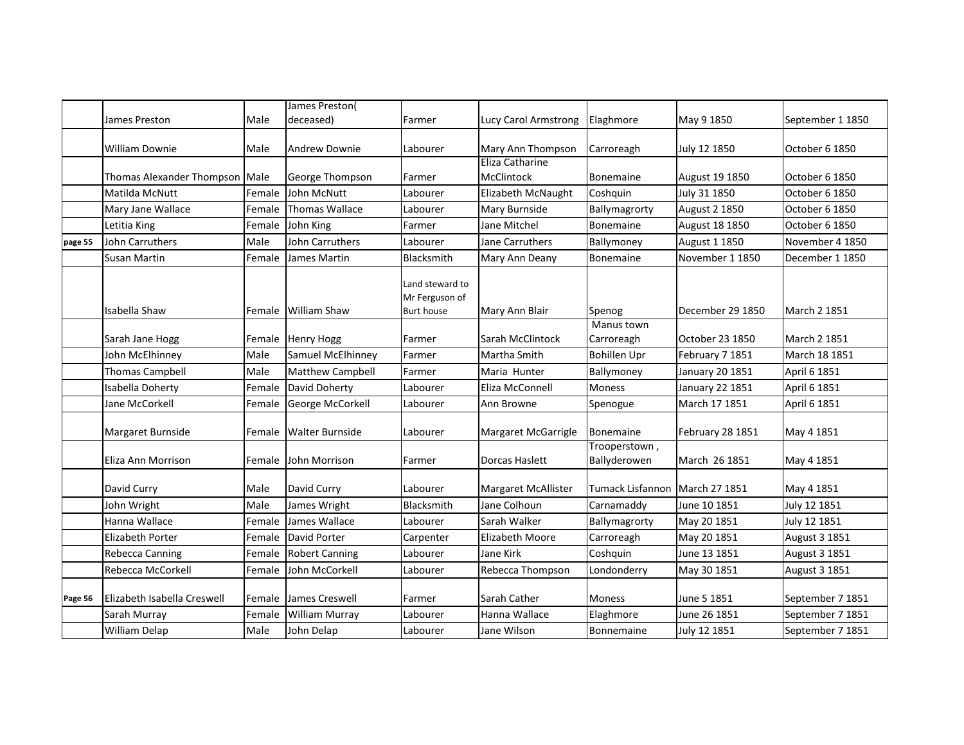|         |                                |        | James Preston(          |                                                        |                                      |                                |                      |                      |
|---------|--------------------------------|--------|-------------------------|--------------------------------------------------------|--------------------------------------|--------------------------------|----------------------|----------------------|
|         | James Preston                  | Male   | deceased)               | Farmer                                                 | Lucy Carol Armstrong                 | Elaghmore                      | May 9 1850           | September 1 1850     |
|         |                                |        |                         |                                                        |                                      |                                |                      |                      |
|         | <b>William Downie</b>          | Male   | Andrew Downie           | Labourer                                               | Mary Ann Thompson<br>Eliza Catharine | Carroreagh                     | July 12 1850         | October 6 1850       |
|         | Thomas Alexander Thompson Male |        | George Thompson         | Farmer                                                 | McClintock                           | Bonemaine                      | August 19 1850       | October 6 1850       |
|         | Matilda McNutt                 | Female | John McNutt             | Labourer                                               | Elizabeth McNaught                   | Coshquin                       | July 31 1850         | October 6 1850       |
|         | Mary Jane Wallace              | Female | <b>Thomas Wallace</b>   | Labourer                                               | Mary Burnside                        | Ballymagrorty                  | <b>August 2 1850</b> | October 6 1850       |
|         | Letitia King                   | Female | John King               | Farmer                                                 | Jane Mitchel                         | <b>Bonemaine</b>               | August 18 1850       | October 6 1850       |
| page 55 | John Carruthers                | Male   | <b>John Carruthers</b>  | Labourer                                               | Jane Carruthers                      | Ballymoney                     | August 1 1850        | November 4 1850      |
|         | <b>Susan Martin</b>            | Female | James Martin            | Blacksmith                                             | Mary Ann Deany                       | <b>Bonemaine</b>               | November 1 1850      | December 1 1850      |
|         | Isabella Shaw                  | Female | William Shaw            | Land steward to<br>Mr Ferguson of<br><b>Burt house</b> | Mary Ann Blair                       | Spenog<br>Manus town           | December 29 1850     | March 2 1851         |
|         | Sarah Jane Hogg                | Female | <b>Henry Hogg</b>       | Farmer                                                 | Sarah McClintock                     | Carroreagh                     | October 23 1850      | March 2 1851         |
|         | John McElhinney                | Male   | Samuel McElhinney       | Farmer                                                 | Martha Smith                         | <b>Bohillen Upr</b>            | February 7 1851      | March 18 1851        |
|         | <b>Thomas Campbell</b>         | Male   | <b>Matthew Campbell</b> | Farmer                                                 | Maria Hunter                         | Ballymoney                     | January 20 1851      | April 6 1851         |
|         | Isabella Doherty               | Female | David Doherty           | Labourer                                               | Eliza McConnell                      | <b>Moness</b>                  | January 22 1851      | April 6 1851         |
|         | Jane McCorkell                 | Female | George McCorkell        | Labourer                                               | Ann Browne                           | Spenogue                       | March 17 1851        | April 6 1851         |
|         | Margaret Burnside              | Female | <b>Walter Burnside</b>  | Labourer                                               | Margaret McGarrigle                  | <b>Bonemaine</b>               | February 28 1851     | May 4 1851           |
|         | Eliza Ann Morrison             | Female | John Morrison           | Farmer                                                 | Dorcas Haslett                       | Trooperstown,<br>Ballyderowen  | March 26 1851        | May 4 1851           |
|         | David Curry                    | Male   | David Curry             | Labourer                                               | Margaret McAllister                  | Tumack Lisfannon March 27 1851 |                      | May 4 1851           |
|         | John Wright                    | Male   | James Wright            | Blacksmith                                             | Jane Colhoun                         | Carnamaddy                     | June 10 1851         | July 12 1851         |
|         | Hanna Wallace                  | Female | James Wallace           | Labourer                                               | Sarah Walker                         | Ballymagrorty                  | May 20 1851          | July 12 1851         |
|         | <b>Elizabeth Porter</b>        | Female | David Porter            | Carpenter                                              | Elizabeth Moore                      | Carroreagh                     | May 20 1851          | August 3 1851        |
|         | <b>Rebecca Canning</b>         | Female | <b>Robert Canning</b>   | Labourer                                               | Jane Kirk                            | Coshquin                       | June 13 1851         | August 3 1851        |
|         | Rebecca McCorkell              | Female | John McCorkell          | Labourer                                               | Rebecca Thompson                     | Londonderry                    | May 30 1851          | <b>August 3 1851</b> |
| Page 56 | Elizabeth Isabella Creswell    | Female | James Creswell          | Farmer                                                 | Sarah Cather                         | Moness                         | June 5 1851          | September 7 1851     |
|         | Sarah Murray                   | Female | <b>William Murray</b>   | Labourer                                               | Hanna Wallace                        | Elaghmore                      | June 26 1851         | September 7 1851     |
|         | William Delap                  | Male   | John Delap              | Labourer                                               | Jane Wilson                          | Bonnemaine                     | July 12 1851         | September 7 1851     |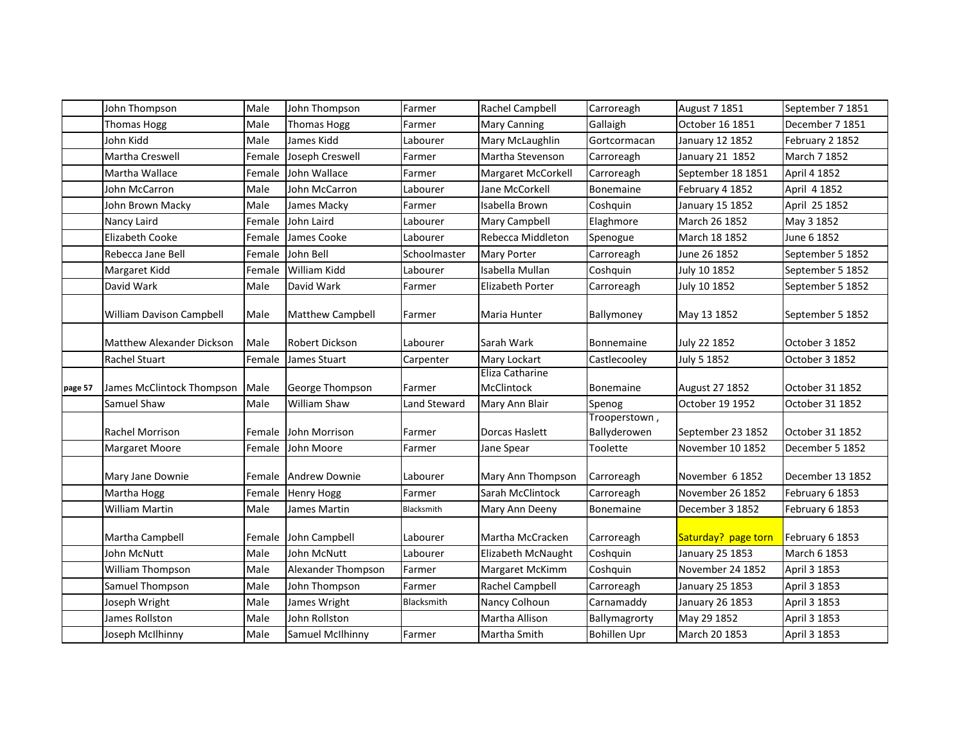|         | John Thompson                    | Male   | John Thompson           | Farmer       | Rachel Campbell               | Carroreagh                    | August 7 1851       | September 7 1851 |
|---------|----------------------------------|--------|-------------------------|--------------|-------------------------------|-------------------------------|---------------------|------------------|
|         | <b>Thomas Hogg</b>               | Male   | <b>Thomas Hogg</b>      | Farmer       | <b>Mary Canning</b>           | Gallaigh                      | October 16 1851     | December 7 1851  |
|         | John Kidd                        | Male   | James Kidd              | Labourer     | Mary McLaughlin               | Gortcormacan                  | January 12 1852     | February 2 1852  |
|         | <b>Martha Creswell</b>           | Female | Joseph Creswell         | Farmer       | Martha Stevenson              | Carroreagh                    | January 21 1852     | March 7 1852     |
|         | Martha Wallace                   | Female | John Wallace            | Farmer       | Margaret McCorkell            | Carroreagh                    | September 18 1851   | April 4 1852     |
|         | John McCarron                    | Male   | John McCarron           | Labourer     | Jane McCorkell                | Bonemaine                     | February 4 1852     | April 4 1852     |
|         | John Brown Macky                 | Male   | James Macky             | Farmer       | Isabella Brown                | Coshquin                      | January 15 1852     | April 25 1852    |
|         | Nancy Laird                      | Female | John Laird              | Labourer     | Mary Campbell                 | Elaghmore                     | March 26 1852       | May 3 1852       |
|         | <b>Elizabeth Cooke</b>           | Female | James Cooke             | Labourer     | Rebecca Middleton             | Spenogue                      | March 18 1852       | June 6 1852      |
|         | Rebecca Jane Bell                | Female | John Bell               | Schoolmaster | Mary Porter                   | Carroreagh                    | June 26 1852        | September 5 1852 |
|         | Margaret Kidd                    | Female | William Kidd            | Labourer     | Isabella Mullan               | Coshquin                      | July 10 1852        | September 5 1852 |
|         | David Wark                       | Male   | David Wark              | Farmer       | Elizabeth Porter              | Carroreagh                    | July 10 1852        | September 5 1852 |
|         | William Davison Campbell         | Male   | <b>Matthew Campbell</b> | Farmer       | Maria Hunter                  | Ballymoney                    | May 13 1852         | September 5 1852 |
|         | <b>Matthew Alexander Dickson</b> | Male   | <b>Robert Dickson</b>   | Labourer     | Sarah Wark                    | Bonnemaine                    | July 22 1852        | October 3 1852   |
|         | Rachel Stuart                    | Female | James Stuart            | Carpenter    | Mary Lockart                  | Castlecooley                  | July 5 1852         | October 3 1852   |
| page 57 | James McClintock Thompson        | Male   | George Thompson         | Farmer       | Eliza Catharine<br>McClintock | <b>Bonemaine</b>              | August 27 1852      | October 31 1852  |
|         | Samuel Shaw                      | Male   | <b>William Shaw</b>     | Land Steward | Mary Ann Blair                | Spenog                        | October 19 1952     | October 31 1852  |
|         | <b>Rachel Morrison</b>           | Female | John Morrison           | Farmer       | Dorcas Haslett                | Trooperstown,<br>Ballyderowen | September 23 1852   | October 31 1852  |
|         | <b>Margaret Moore</b>            | Female | John Moore              | Farmer       | Jane Spear                    | Toolette                      | November 10 1852    | December 5 1852  |
|         | Mary Jane Downie                 | Female | <b>Andrew Downie</b>    | Labourer     | Mary Ann Thompson             | Carroreagh                    | November 6 1852     | December 13 1852 |
|         | Martha Hogg                      | Female | <b>Henry Hogg</b>       | Farmer       | Sarah McClintock              | Carroreagh                    | November 26 1852    | February 6 1853  |
|         | William Martin                   | Male   | James Martin            | Blacksmith   | Mary Ann Deeny                | <b>Bonemaine</b>              | December 3 1852     | February 6 1853  |
|         | Martha Campbell                  | Female | John Campbell           | Labourer     | Martha McCracken              | Carroreagh                    | Saturday? page torn | February 6 1853  |
|         | John McNutt                      | Male   | John McNutt             | Labourer     | Elizabeth McNaught            | Coshquin                      | January 25 1853     | March 6 1853     |
|         | William Thompson                 | Male   | Alexander Thompson      | Farmer       | Margaret McKimm               | Coshquin                      | November 24 1852    | April 3 1853     |
|         | Samuel Thompson                  | Male   | John Thompson           | Farmer       | Rachel Campbell               | Carroreagh                    | January 25 1853     | April 3 1853     |
|         | Joseph Wright                    | Male   | James Wright            | Blacksmith   | Nancy Colhoun                 | Carnamaddy                    | January 26 1853     | April 3 1853     |
|         | James Rollston                   | Male   | John Rollston           |              | Martha Allison                | Ballymagrorty                 | May 29 1852         | April 3 1853     |
|         | Joseph McIlhinny                 | Male   | Samuel McIlhinny        | Farmer       | Martha Smith                  | <b>Bohillen Upr</b>           | March 20 1853       | April 3 1853     |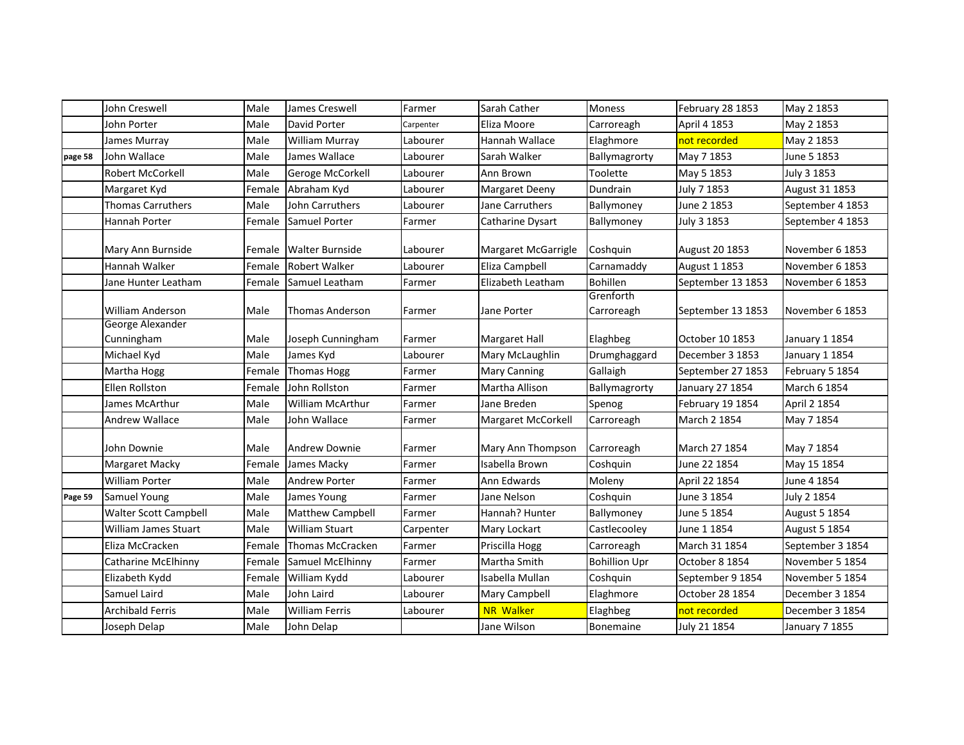|         | John Creswell                  | Male   | James Creswell          | Farmer    | Sarah Cather          | Moness                  | February 28 1853  | May 2 1853       |
|---------|--------------------------------|--------|-------------------------|-----------|-----------------------|-------------------------|-------------------|------------------|
|         | John Porter                    | Male   | David Porter            | Carpenter | Eliza Moore           | Carroreagh              | April 4 1853      | May 2 1853       |
|         | James Murray                   | Male   | <b>William Murray</b>   | Labourer  | Hannah Wallace        | Elaghmore               | not recorded      | May 2 1853       |
| page 58 | John Wallace                   | Male   | James Wallace           | Labourer  | Sarah Walker          | Ballymagrorty           | May 7 1853        | June 5 1853      |
|         | <b>Robert McCorkell</b>        | Male   | Geroge McCorkell        | Labourer  | Ann Brown             | Toolette                | May 5 1853        | July 3 1853      |
|         | Margaret Kyd                   | Female | Abraham Kyd             | Labourer  | <b>Margaret Deeny</b> | Dundrain                | July 7 1853       | August 31 1853   |
|         | <b>Thomas Carruthers</b>       | Male   | John Carruthers         | Labourer  | Jane Carruthers       | Ballymoney              | June 2 1853       | September 4 1853 |
|         | Hannah Porter                  | Female | Samuel Porter           | Farmer    | Catharine Dysart      | Ballymoney              | July 3 1853       | September 4 1853 |
|         | Mary Ann Burnside              | Female | <b>Walter Burnside</b>  | Labourer  | Margaret McGarrigle   | Coshquin                | August 20 1853    | November 6 1853  |
|         | Hannah Walker                  | Female | <b>Robert Walker</b>    | Labourer  | Eliza Campbell        | Carnamaddy              | August 1 1853     | November 6 1853  |
|         | Jane Hunter Leatham            | Female | Samuel Leatham          | Farmer    | Elizabeth Leatham     | <b>Bohillen</b>         | September 13 1853 | November 6 1853  |
|         | <b>William Anderson</b>        | Male   | <b>Thomas Anderson</b>  | Farmer    | Jane Porter           | Grenforth<br>Carroreagh | September 13 1853 | November 6 1853  |
|         | George Alexander<br>Cunningham | Male   | Joseph Cunningham       | Farmer    | Margaret Hall         | Elaghbeg                | October 10 1853   | January 1 1854   |
|         | Michael Kyd                    | Male   | James Kyd               | Labourer  | Mary McLaughlin       | Drumghaggard            | December 3 1853   | January 1 1854   |
|         | Martha Hogg                    | Female | <b>Thomas Hogg</b>      | Farmer    | <b>Mary Canning</b>   | Gallaigh                | September 27 1853 | February 5 1854  |
|         | <b>Ellen Rollston</b>          | Female | John Rollston           | Farmer    | Martha Allison        | Ballymagrorty           | January 27 1854   | March 6 1854     |
|         | James McArthur                 | Male   | <b>William McArthur</b> | Farmer    | Jane Breden           | Spenog                  | February 19 1854  | April 2 1854     |
|         | Andrew Wallace                 | Male   | John Wallace            | Farmer    | Margaret McCorkell    | Carroreagh              | March 2 1854      | May 7 1854       |
|         | John Downie                    | Male   | <b>Andrew Downie</b>    | Farmer    | Mary Ann Thompson     | Carroreagh              | March 27 1854     | May 7 1854       |
|         | Margaret Macky                 | Female | James Macky             | Farmer    | Isabella Brown        | Coshquin                | June 22 1854      | May 15 1854      |
|         | <b>William Porter</b>          | Male   | <b>Andrew Porter</b>    | Farmer    | Ann Edwards           | Moleny                  | April 22 1854     | June 4 1854      |
| Page 59 | <b>Samuel Young</b>            | Male   | James Young             | Farmer    | Jane Nelson           | Coshquin                | June 3 1854       | July 2 1854      |
|         | Walter Scott Campbell          | Male   | <b>Matthew Campbell</b> | Farmer    | Hannah? Hunter        | Ballymoney              | June 5 1854       | August 5 1854    |
|         | William James Stuart           | Male   | <b>William Stuart</b>   | Carpenter | Mary Lockart          | Castlecooley            | June 1 1854       | August 5 1854    |
|         | Eliza McCracken                | Female | Thomas McCracken        | Farmer    | Priscilla Hogg        | Carroreagh              | March 31 1854     | September 3 1854 |
|         | Catharine McElhinny            | Female | Samuel McElhinny        | Farmer    | Martha Smith          | <b>Bohillion Upr</b>    | October 8 1854    | November 5 1854  |
|         | Elizabeth Kydd                 | Female | William Kydd            | Labourer  | Isabella Mullan       | Coshquin                | September 9 1854  | November 5 1854  |
|         | Samuel Laird                   | Male   | John Laird              | Labourer  | Mary Campbell         | Elaghmore               | October 28 1854   | December 3 1854  |
|         | Archibald Ferris               | Male   | <b>William Ferris</b>   | Labourer  | <b>NR Walker</b>      | Elaghbeg                | not recorded      | December 3 1854  |
|         | Joseph Delap                   | Male   | John Delap              |           | Jane Wilson           | Bonemaine               | July 21 1854      | January 7 1855   |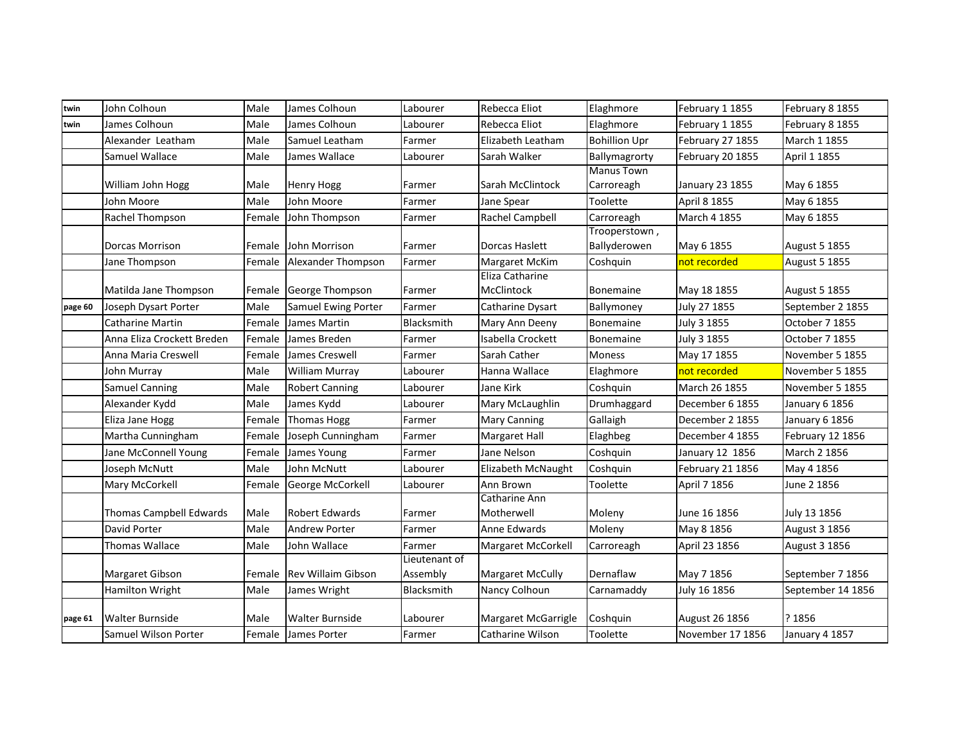| twin    | John Colhoun               | Male   | James Colhoun          | Labourer                  | Rebecca Eliot           | Elaghmore                     | February 1 1855  | February 8 1855      |
|---------|----------------------------|--------|------------------------|---------------------------|-------------------------|-------------------------------|------------------|----------------------|
| twin    | James Colhoun              | Male   | James Colhoun          | Labourer                  | Rebecca Eliot           | Elaghmore                     | February 1 1855  | February 8 1855      |
|         | Alexander Leatham          | Male   | Samuel Leatham         | Farmer                    | Elizabeth Leatham       | <b>Bohillion Upr</b>          | February 27 1855 | March 1 1855         |
|         | Samuel Wallace             | Male   | James Wallace          | Labourer                  | Sarah Walker            | Ballymagrorty                 | February 20 1855 | April 1 1855         |
|         |                            |        |                        |                           |                         | <b>Manus Town</b>             |                  |                      |
|         | William John Hogg          | Male   | <b>Henry Hogg</b>      | Farmer                    | Sarah McClintock        | Carroreagh                    | January 23 1855  | May 6 1855           |
|         | John Moore                 | Male   | John Moore             | Farmer                    | Jane Spear              | Toolette                      | April 8 1855     | May 6 1855           |
|         | Rachel Thompson            | Female | John Thompson          | Farmer                    | Rachel Campbell         | Carroreagh                    | March 4 1855     | May 6 1855           |
|         | Dorcas Morrison            | Female | John Morrison          | Farmer                    | Dorcas Haslett          | Trooperstown,<br>Ballyderowen | May 6 1855       | <b>August 5 1855</b> |
|         | Jane Thompson              | Female | Alexander Thompson     | Farmer                    | Margaret McKim          | Coshquin                      | not recorded     | August 5 1855        |
|         |                            |        |                        |                           | Eliza Catharine         |                               |                  |                      |
|         | Matilda Jane Thompson      |        | Female George Thompson | Farmer                    | McClintock              | <b>Bonemaine</b>              | May 18 1855      | <b>August 5 1855</b> |
| page 60 | Joseph Dysart Porter       | Male   | Samuel Ewing Porter    | Farmer                    | Catharine Dysart        | Ballymoney                    | July 27 1855     | September 2 1855     |
|         | Catharine Martin           | Female | James Martin           | Blacksmith                | Mary Ann Deeny          | Bonemaine                     | July 3 1855      | October 7 1855       |
|         | Anna Eliza Crockett Breden | Female | James Breden           | Farmer                    | Isabella Crockett       | Bonemaine                     | July 3 1855      | October 7 1855       |
|         | Anna Maria Creswell        | Female | James Creswell         | Farmer                    | Sarah Cather            | Moness                        | May 17 1855      | November 5 1855      |
|         | John Murray                | Male   | William Murray         | Labourer                  | Hanna Wallace           | Elaghmore                     | not recorded     | November 5 1855      |
|         | <b>Samuel Canning</b>      | Male   | <b>Robert Canning</b>  | Labourer                  | Jane Kirk               | Coshquin                      | March 26 1855    | November 5 1855      |
|         | Alexander Kydd             | Male   | James Kydd             | Labourer                  | Mary McLaughlin         | Drumhaggard                   | December 6 1855  | January 6 1856       |
|         | Eliza Jane Hogg            | Female | <b>Thomas Hogg</b>     | Farmer                    | <b>Mary Canning</b>     | Gallaigh                      | December 2 1855  | January 6 1856       |
|         | Martha Cunningham          | Female | Joseph Cunningham      | Farmer                    | Margaret Hall           | Elaghbeg                      | December 4 1855  | February 12 1856     |
|         | Jane McConnell Young       | Female | James Young            | Farmer                    | Jane Nelson             | Coshquin                      | January 12 1856  | March 2 1856         |
|         | Joseph McNutt              | Male   | John McNutt            | Labourer                  | Elizabeth McNaught      | Coshquin                      | February 21 1856 | May 4 1856           |
|         | Mary McCorkell             | Female | George McCorkell       | Labourer                  | Ann Brown               | Toolette                      | April 7 1856     | June 2 1856          |
|         |                            |        |                        |                           | Catharine Ann           |                               |                  |                      |
|         | Thomas Campbell Edwards    | Male   | <b>Robert Edwards</b>  | Farmer                    | Motherwell              | Moleny                        | June 16 1856     | July 13 1856         |
|         | David Porter               | Male   | <b>Andrew Porter</b>   | Farmer                    | Anne Edwards            | Moleny                        | May 8 1856       | August 3 1856        |
|         | Thomas Wallace             | Male   | John Wallace           | Farmer                    | Margaret McCorkell      | Carroreagh                    | April 23 1856    | August 3 1856        |
|         | Margaret Gibson            | Female | Rev Willaim Gibson     | Lieutenant of<br>Assembly | <b>Margaret McCully</b> | Dernaflaw                     | May 7 1856       | September 7 1856     |
|         | Hamilton Wright            | Male   | James Wright           | Blacksmith                | Nancy Colhoun           | Carnamaddy                    | July 16 1856     | September 14 1856    |
|         |                            |        |                        |                           |                         |                               |                  |                      |
| page 61 | <b>Walter Burnside</b>     | Male   | Walter Burnside        | Labourer                  | Margaret McGarrigle     | Coshquin                      | August 26 1856   | ? 1856               |
|         | Samuel Wilson Porter       | Female | James Porter           | Farmer                    | Catharine Wilson        | Toolette                      | November 17 1856 | January 4 1857       |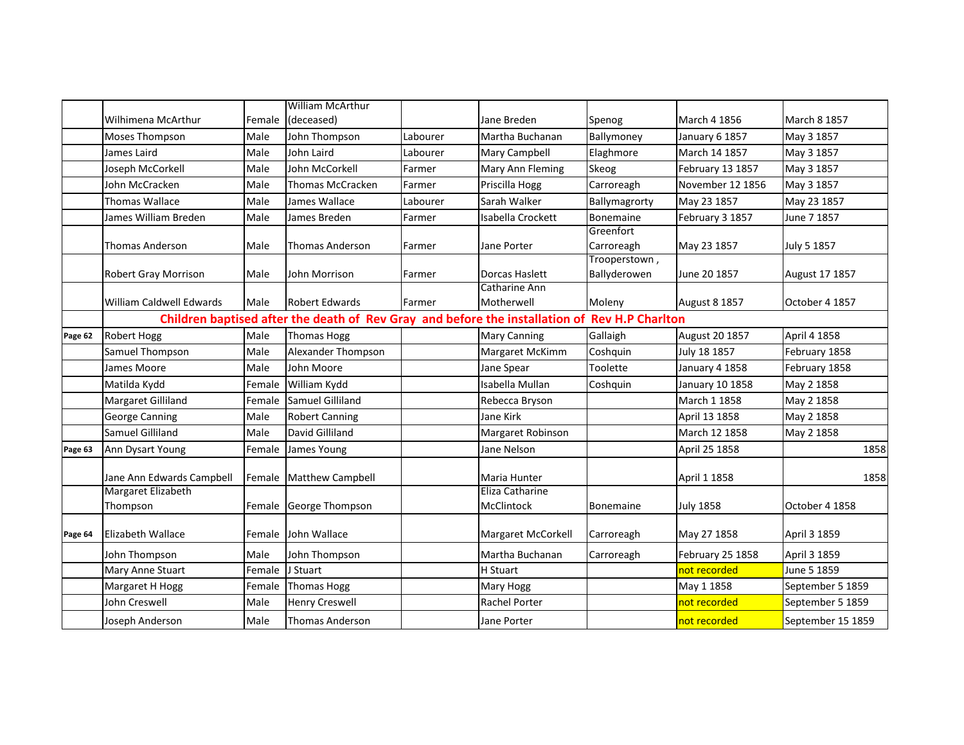|         |                                                                                               |        | <b>William McArthur</b> |          |                                 |                               |                      |                   |  |
|---------|-----------------------------------------------------------------------------------------------|--------|-------------------------|----------|---------------------------------|-------------------------------|----------------------|-------------------|--|
|         | Wilhimena McArthur                                                                            | Female | (deceased)              |          | Jane Breden                     | Spenog                        | March 4 1856         | March 8 1857      |  |
|         | <b>Moses Thompson</b>                                                                         | Male   | John Thompson           | Labourer | Martha Buchanan                 | Ballymoney                    | January 6 1857       | May 3 1857        |  |
|         | James Laird                                                                                   | Male   | John Laird              | Labourer | Mary Campbell                   | Elaghmore                     | March 14 1857        | May 3 1857        |  |
|         | Joseph McCorkell                                                                              | Male   | John McCorkell          | Farmer   | Mary Ann Fleming                | Skeog                         | February 13 1857     | May 3 1857        |  |
|         | John McCracken                                                                                | Male   | <b>Thomas McCracken</b> | Farmer   | Priscilla Hogg                  | Carroreagh                    | November 12 1856     | May 3 1857        |  |
|         | <b>Thomas Wallace</b>                                                                         | Male   | James Wallace           | Labourer | Sarah Walker                    | Ballymagrorty                 | May 23 1857          | May 23 1857       |  |
|         | James William Breden                                                                          | Male   | James Breden            | Farmer   | Isabella Crockett               | <b>Bonemaine</b>              | February 3 1857      | June 7 1857       |  |
|         | <b>Thomas Anderson</b>                                                                        | Male   | <b>Thomas Anderson</b>  | Farmer   | Jane Porter                     | Greenfort<br>Carroreagh       | May 23 1857          | July 5 1857       |  |
|         | Robert Gray Morrison                                                                          | Male   | John Morrison           | Farmer   | Dorcas Haslett                  | Trooperstown,<br>Ballyderowen | June 20 1857         | August 17 1857    |  |
|         | <b>William Caldwell Edwards</b>                                                               | Male   | <b>Robert Edwards</b>   | Farmer   | Catharine Ann<br>Motherwell     | Moleny                        | <b>August 8 1857</b> | October 4 1857    |  |
|         | Children baptised after the death of Rev Gray and before the installation of Rev H.P Charlton |        |                         |          |                                 |                               |                      |                   |  |
| Page 62 | <b>Robert Hogg</b>                                                                            | Male   | <b>Thomas Hogg</b>      |          | <b>Mary Canning</b>             | Gallaigh                      | August 20 1857       | April 4 1858      |  |
|         | Samuel Thompson                                                                               | Male   | Alexander Thompson      |          | Margaret McKimm                 | Coshquin                      | July 18 1857         | February 1858     |  |
|         | James Moore                                                                                   | Male   | John Moore              |          | Jane Spear                      | Toolette                      | January 4 1858       | February 1858     |  |
|         | Matilda Kydd                                                                                  | Female | William Kydd            |          | Isabella Mullan                 | Coshquin                      | January 10 1858      | May 2 1858        |  |
|         | Margaret Gilliland                                                                            | Female | Samuel Gilliland        |          | Rebecca Bryson                  |                               | March 1 1858         | May 2 1858        |  |
|         | <b>George Canning</b>                                                                         | Male   | <b>Robert Canning</b>   |          | Jane Kirk                       |                               | April 13 1858        | May 2 1858        |  |
|         | Samuel Gilliland                                                                              | Male   | David Gilliland         |          | Margaret Robinson               |                               | March 12 1858        | May 2 1858        |  |
| Page 63 | Ann Dysart Young                                                                              | Female | James Young             |          | Jane Nelson                     |                               | April 25 1858        | 1858              |  |
|         | Jane Ann Edwards Campbell<br>Margaret Elizabeth                                               |        | Female Matthew Campbell |          | Maria Hunter<br>Eliza Catharine |                               | April 1 1858         | 1858              |  |
|         | Thompson                                                                                      |        | Female George Thompson  |          | McClintock                      | <b>Bonemaine</b>              | <b>July 1858</b>     | October 4 1858    |  |
| Page 64 | Elizabeth Wallace                                                                             | Female | John Wallace            |          | Margaret McCorkell              | Carroreagh                    | May 27 1858          | April 3 1859      |  |
|         | John Thompson                                                                                 | Male   | John Thompson           |          | Martha Buchanan                 | Carroreagh                    | February 25 1858     | April 3 1859      |  |
|         | Mary Anne Stuart                                                                              | Female | J Stuart                |          | H Stuart                        |                               | not recorded         | June 5 1859       |  |
|         | Margaret H Hogg                                                                               | Female | <b>Thomas Hogg</b>      |          | Mary Hogg                       |                               | May 1 1858           | September 5 1859  |  |
|         | John Creswell                                                                                 | Male   | <b>Henry Creswell</b>   |          | Rachel Porter                   |                               | not recorded         | September 5 1859  |  |
|         | Joseph Anderson                                                                               | Male   | Thomas Anderson         |          | Jane Porter                     |                               | not recorded         | September 15 1859 |  |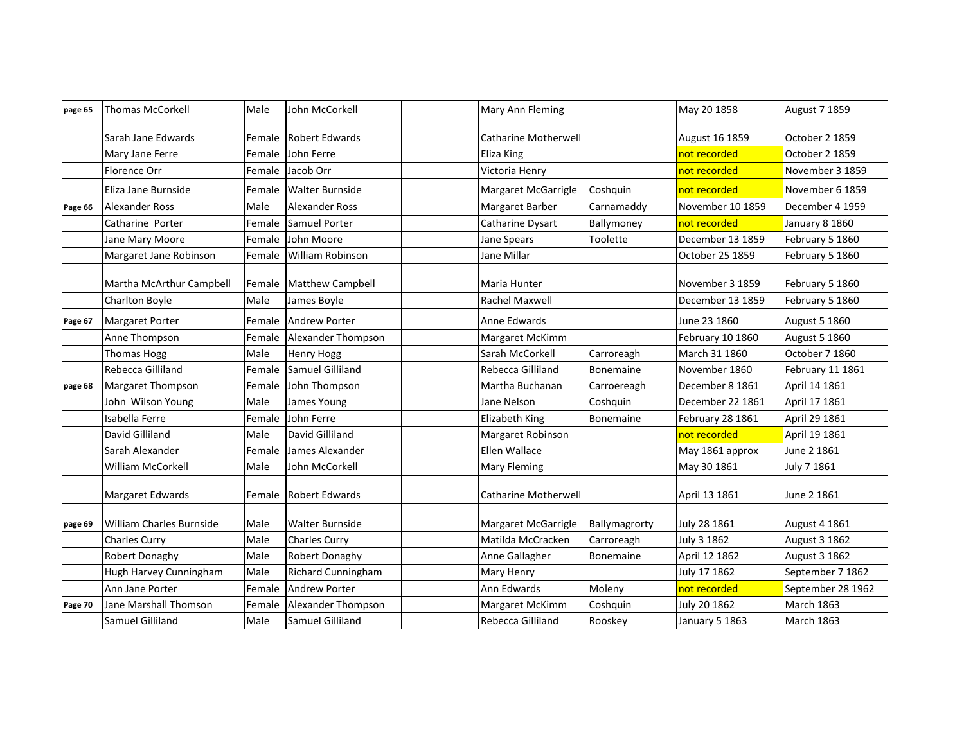| page 65 | <b>Thomas McCorkell</b>         | Male   | John McCorkell            | Mary Ann Fleming            |               | May 20 1858      | August 7 1859     |
|---------|---------------------------------|--------|---------------------------|-----------------------------|---------------|------------------|-------------------|
|         | Sarah Jane Edwards              | Female | <b>Robert Edwards</b>     | <b>Catharine Motherwell</b> |               | August 16 1859   | October 2 1859    |
|         | Mary Jane Ferre                 | Female | John Ferre                | Eliza King                  |               | not recorded     | October 2 1859    |
|         | Florence Orr                    | Female | Jacob Orr                 | Victoria Henry              |               | not recorded     | November 3 1859   |
|         | Eliza Jane Burnside             | Female | <b>Walter Burnside</b>    | Margaret McGarrigle         | Coshquin      | not recorded     | November 6 1859   |
| Page 66 | <b>Alexander Ross</b>           | Male   | <b>Alexander Ross</b>     | Margaret Barber             | Carnamaddy    | November 10 1859 | December 4 1959   |
|         | Catharine Porter                | Female | Samuel Porter             | Catharine Dysart            | Ballymoney    | not recorded     | January 8 1860    |
|         | Jane Mary Moore                 | Female | John Moore                | Jane Spears                 | Toolette      | December 13 1859 | February 5 1860   |
|         | Margaret Jane Robinson          | Female | William Robinson          | Jane Millar                 |               | October 25 1859  | February 5 1860   |
|         | Martha McArthur Campbell        | Female | <b>Matthew Campbell</b>   | Maria Hunter                |               | November 3 1859  | February 5 1860   |
|         | Charlton Boyle                  | Male   | James Boyle               | Rachel Maxwell              |               | December 13 1859 | February 5 1860   |
| Page 67 | <b>Margaret Porter</b>          | Female | <b>Andrew Porter</b>      | Anne Edwards                |               | June 23 1860     | August 5 1860     |
|         | Anne Thompson                   | Female | Alexander Thompson        | Margaret McKimm             |               | February 10 1860 | August 5 1860     |
|         | Thomas Hogg                     | Male   | <b>Henry Hogg</b>         | Sarah McCorkell             | Carroreagh    | March 31 1860    | October 7 1860    |
|         | Rebecca Gilliland               | Female | Samuel Gilliland          | Rebecca Gilliland           | Bonemaine     | November 1860    | February 11 1861  |
| page 68 | Margaret Thompson               | Female | John Thompson             | Martha Buchanan             | Carroereagh   | December 8 1861  | April 14 1861     |
|         | John Wilson Young               | Male   | James Young               | Jane Nelson                 | Coshquin      | December 22 1861 | April 17 1861     |
|         | Isabella Ferre                  | Female | John Ferre                | Elizabeth King              | Bonemaine     | February 28 1861 | April 29 1861     |
|         | David Gilliland                 | Male   | David Gilliland           | Margaret Robinson           |               | not recorded     | April 19 1861     |
|         | Sarah Alexander                 | Female | James Alexander           | Ellen Wallace               |               | May 1861 approx  | June 2 1861       |
|         | William McCorkell               | Male   | John McCorkell            | Mary Fleming                |               | May 30 1861      | July 7 1861       |
|         | Margaret Edwards                | Female | <b>Robert Edwards</b>     | <b>Catharine Motherwell</b> |               | April 13 1861    | June 2 1861       |
| page 69 | <b>William Charles Burnside</b> | Male   | Walter Burnside           | Margaret McGarrigle         | Ballymagrorty | July 28 1861     | August 4 1861     |
|         | <b>Charles Curry</b>            | Male   | <b>Charles Curry</b>      | Matilda McCracken           | Carroreagh    | July 3 1862      | August 3 1862     |
|         | Robert Donaghy                  | Male   | Robert Donaghy            | Anne Gallagher              | Bonemaine     | April 12 1862    | August 3 1862     |
|         | Hugh Harvey Cunningham          | Male   | <b>Richard Cunningham</b> | Mary Henry                  |               | July 17 1862     | September 7 1862  |
|         | Ann Jane Porter                 | Female | <b>Andrew Porter</b>      | Ann Edwards                 | Moleny        | not recorded     | September 28 1962 |
| Page 70 | Jane Marshall Thomson           | Female | Alexander Thompson        | Margaret McKimm             | Coshquin      | July 20 1862     | <b>March 1863</b> |
|         | Samuel Gilliland                | Male   | Samuel Gilliland          | Rebecca Gilliland           | Rooskey       | January 5 1863   | <b>March 1863</b> |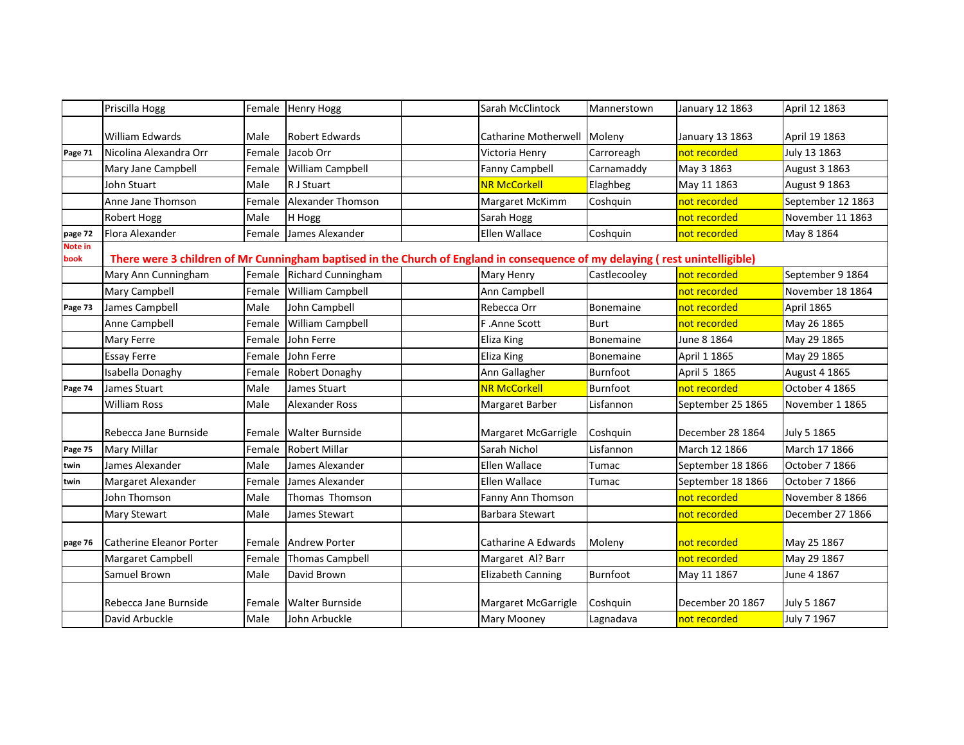|                 | Priscilla Hogg                                                                                                               |        | Female Henry Hogg         | Sarah McClintock            | Mannerstown      | January 12 1863   | April 12 1863        |  |  |  |
|-----------------|------------------------------------------------------------------------------------------------------------------------------|--------|---------------------------|-----------------------------|------------------|-------------------|----------------------|--|--|--|
|                 | <b>William Edwards</b>                                                                                                       | Male   | <b>Robert Edwards</b>     | Catharine Motherwell Moleny |                  | January 13 1863   | April 19 1863        |  |  |  |
| Page 71         | Nicolina Alexandra Orr                                                                                                       | Female | Jacob Orr                 | Victoria Henry              | Carroreagh       | not recorded      | July 13 1863         |  |  |  |
|                 | Mary Jane Campbell                                                                                                           | Female | William Campbell          | Fanny Campbell              | Carnamaddy       | May 3 1863        | August 3 1863        |  |  |  |
|                 | John Stuart                                                                                                                  | Male   | R J Stuart                | <b>NR McCorkell</b>         | Elaghbeg         | May 11 1863       | August 9 1863        |  |  |  |
|                 | Anne Jane Thomson                                                                                                            | Female | Alexander Thomson         | Margaret McKimm             | Coshquin         | not recorded      | September 12 1863    |  |  |  |
|                 | <b>Robert Hogg</b>                                                                                                           | Male   | H Hogg                    | Sarah Hogg                  |                  | not recorded      | November 11 1863     |  |  |  |
| page 72         | Flora Alexander                                                                                                              | Female | James Alexander           | Ellen Wallace               | Coshquin         | not recorded      | May 8 1864           |  |  |  |
| Note in<br>book | There were 3 children of Mr Cunningham baptised in the Church of England in consequence of my delaying (rest unintelligible) |        |                           |                             |                  |                   |                      |  |  |  |
|                 | Mary Ann Cunningham                                                                                                          | Female | <b>Richard Cunningham</b> | Mary Henry                  | Castlecooley     | not recorded      | September 9 1864     |  |  |  |
|                 | Mary Campbell                                                                                                                | Female | William Campbell          | Ann Campbell                |                  | not recorded      | November 18 1864     |  |  |  |
| Page 73         | James Campbell                                                                                                               | Male   | John Campbell             | Rebecca Orr                 | Bonemaine        | not recorded      | April 1865           |  |  |  |
|                 | Anne Campbell                                                                                                                | Female | William Campbell          | F.Anne Scott                | <b>Burt</b>      | not recorded      | May 26 1865          |  |  |  |
|                 | Mary Ferre                                                                                                                   | Female | John Ferre                | <b>Eliza King</b>           | <b>Bonemaine</b> | June 8 1864       | May 29 1865          |  |  |  |
|                 | <b>Essay Ferre</b>                                                                                                           | Female | John Ferre                | Eliza King                  | Bonemaine        | April 1 1865      | May 29 1865          |  |  |  |
|                 | Isabella Donaghy                                                                                                             | Female | Robert Donaghy            | Ann Gallagher               | Burnfoot         | April 5 1865      | <b>August 4 1865</b> |  |  |  |
| Page 74         | James Stuart                                                                                                                 | Male   | James Stuart              | <b>NR McCorkell</b>         | Burnfoot         | not recorded      | October 4 1865       |  |  |  |
|                 | <b>William Ross</b>                                                                                                          | Male   | Alexander Ross            | Margaret Barber             | Lisfannon        | September 25 1865 | November 1 1865      |  |  |  |
|                 | Rebecca Jane Burnside                                                                                                        | Female | <b>Walter Burnside</b>    | Margaret McGarrigle         | Coshquin         | December 28 1864  | July 5 1865          |  |  |  |
| Page 75         | <b>Mary Millar</b>                                                                                                           | Female | <b>Robert Millar</b>      | Sarah Nichol                | Lisfannon        | March 12 1866     | March 17 1866        |  |  |  |
| twin            | James Alexander                                                                                                              | Male   | James Alexander           | <b>Ellen Wallace</b>        | Tumac            | September 18 1866 | October 7 1866       |  |  |  |
| twin            | Margaret Alexander                                                                                                           | Female | James Alexander           | Ellen Wallace               | Tumac            | September 18 1866 | October 7 1866       |  |  |  |
|                 | John Thomson                                                                                                                 | Male   | Thomas Thomson            | Fanny Ann Thomson           |                  | not recorded      | November 8 1866      |  |  |  |
|                 | Mary Stewart                                                                                                                 | Male   | James Stewart             | <b>Barbara Stewart</b>      |                  | not recorded      | December 27 1866     |  |  |  |
| page 76         | <b>Catherine Eleanor Porter</b>                                                                                              | Female | <b>Andrew Porter</b>      | Catharine A Edwards         | Moleny           | not recorded      | May 25 1867          |  |  |  |
|                 | Margaret Campbell                                                                                                            | Female | <b>Thomas Campbell</b>    | Margaret Al? Barr           |                  | not recorded      | May 29 1867          |  |  |  |
|                 | Samuel Brown                                                                                                                 | Male   | David Brown               | <b>Elizabeth Canning</b>    | Burnfoot         | May 11 1867       | June 4 1867          |  |  |  |
|                 | Rebecca Jane Burnside                                                                                                        | Female | <b>Walter Burnside</b>    | Margaret McGarrigle         | Coshquin         | December 20 1867  | July 5 1867          |  |  |  |
|                 | David Arbuckle                                                                                                               | Male   | John Arbuckle             | <b>Mary Mooney</b>          | Lagnadava        | not recorded      | July 7 1967          |  |  |  |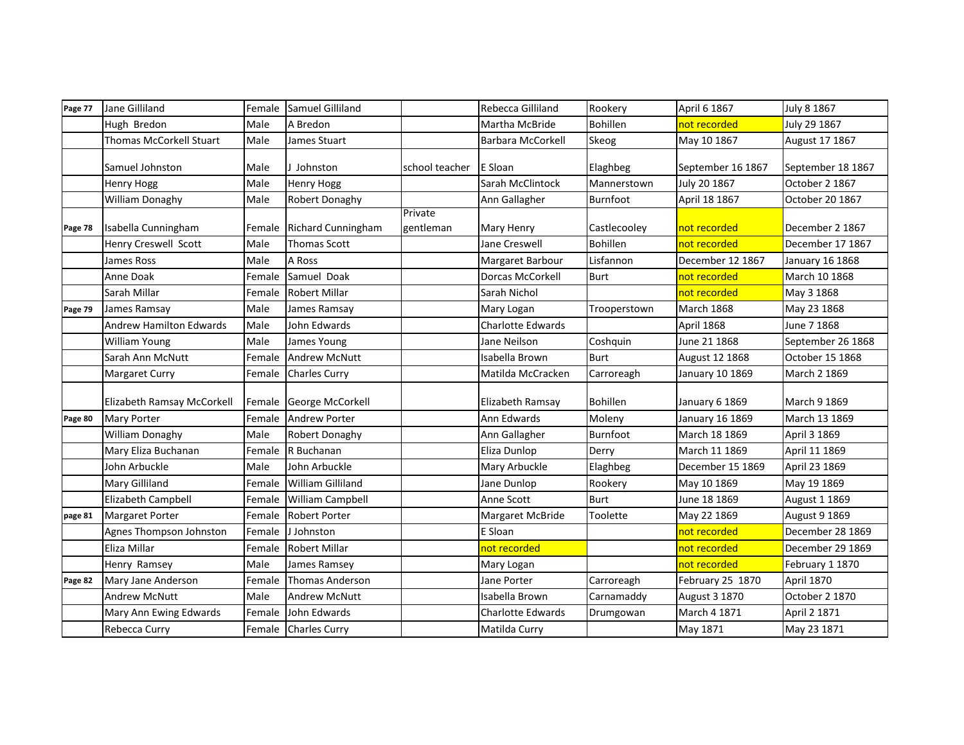| Page 77 | Jane Gilliland                 | Female | Samuel Gilliland          |                      | Rebecca Gilliland       | Rookery         | April 6 1867      | July 8 1867       |
|---------|--------------------------------|--------|---------------------------|----------------------|-------------------------|-----------------|-------------------|-------------------|
|         | Hugh Bredon                    | Male   | A Bredon                  |                      | Martha McBride          | <b>Bohillen</b> | not recorded      | July 29 1867      |
|         | Thomas McCorkell Stuart        | Male   | James Stuart              |                      | Barbara McCorkell       | Skeog           | May 10 1867       | August 17 1867    |
|         | Samuel Johnston                | Male   | Johnston                  | school teacher       | E Sloan                 | Elaghbeg        | September 16 1867 | September 18 1867 |
|         | <b>Henry Hogg</b>              | Male   | <b>Henry Hogg</b>         |                      | Sarah McClintock        | Mannerstown     | July 20 1867      | October 2 1867    |
|         | William Donaghy                | Male   | Robert Donaghy            |                      | Ann Gallagher           | Burnfoot        | April 18 1867     | October 20 1867   |
| Page 78 | Isabella Cunningham            | Female | <b>Richard Cunningham</b> | Private<br>gentleman | Mary Henry              | Castlecooley    | not recorded      | December 2 1867   |
|         | Henry Creswell Scott           | Male   | <b>Thomas Scott</b>       |                      | Jane Creswell           | <b>Bohillen</b> | not recorded      | December 17 1867  |
|         | James Ross                     | Male   | A Ross                    |                      | Margaret Barbour        | Lisfannon       | December 12 1867  | January 16 1868   |
|         | Anne Doak                      | Female | Samuel Doak               |                      | <b>Dorcas McCorkell</b> | <b>Burt</b>     | not recorded      | March 10 1868     |
|         | Sarah Millar                   | Female | <b>Robert Millar</b>      |                      | Sarah Nichol            |                 | not recorded      | May 3 1868        |
| Page 79 | James Ramsay                   | Male   | James Ramsay              |                      | Mary Logan              | Trooperstown    | <b>March 1868</b> | May 23 1868       |
|         | <b>Andrew Hamilton Edwards</b> | Male   | John Edwards              |                      | Charlotte Edwards       |                 | April 1868        | June 7 1868       |
|         | William Young                  | Male   | James Young               |                      | Jane Neilson            | Coshquin        | June 21 1868      | September 26 1868 |
|         | Sarah Ann McNutt               | Female | <b>Andrew McNutt</b>      |                      | Isabella Brown          | <b>Burt</b>     | August 12 1868    | October 15 1868   |
|         | Margaret Curry                 | Female | <b>Charles Curry</b>      |                      | Matilda McCracken       | Carroreagh      | January 10 1869   | March 2 1869      |
|         | Elizabeth Ramsay McCorkell     | Female | George McCorkell          |                      | Elizabeth Ramsay        | <b>Bohillen</b> | January 6 1869    | March 9 1869      |
| Page 80 | <b>Mary Porter</b>             | Female | <b>Andrew Porter</b>      |                      | Ann Edwards             | Moleny          | January 16 1869   | March 13 1869     |
|         | William Donaghy                | Male   | Robert Donaghy            |                      | Ann Gallagher           | Burnfoot        | March 18 1869     | April 3 1869      |
|         | Mary Eliza Buchanan            | Female | R Buchanan                |                      | Eliza Dunlop            | Derry           | March 11 1869     | April 11 1869     |
|         | John Arbuckle                  | Male   | John Arbuckle             |                      | Mary Arbuckle           | Elaghbeg        | December 15 1869  | April 23 1869     |
|         | Mary Gilliland                 | Female | William Gilliland         |                      | Jane Dunlop             | Rookery         | May 10 1869       | May 19 1869       |
|         | Elizabeth Campbell             | Female | William Campbell          |                      | Anne Scott              | <b>Burt</b>     | June 18 1869      | August 1 1869     |
| page 81 | <b>Margaret Porter</b>         | Female | <b>Robert Porter</b>      |                      | Margaret McBride        | Toolette        | May 22 1869       | August 9 1869     |
|         | Agnes Thompson Johnston        | Female | J Johnston                |                      | E Sloan                 |                 | not recorded      | December 28 1869  |
|         | Eliza Millar                   | Female | <b>Robert Millar</b>      |                      | not recorded            |                 | not recorded      | December 29 1869  |
|         | Henry Ramsey                   | Male   | James Ramsey              |                      | Mary Logan              |                 | not recorded      | February 1 1870   |
| Page 82 | Mary Jane Anderson             | Female | <b>Thomas Anderson</b>    |                      | Jane Porter             | Carroreagh      | February 25 1870  | <b>April 1870</b> |
|         | <b>Andrew McNutt</b>           | Male   | Andrew McNutt             |                      | Isabella Brown          | Carnamaddy      | August 3 1870     | October 2 1870    |
|         | Mary Ann Ewing Edwards         | Female | John Edwards              |                      | Charlotte Edwards       | Drumgowan       | March 4 1871      | April 2 1871      |
|         | Rebecca Curry                  |        | Female Charles Curry      |                      | Matilda Curry           |                 | May 1871          | May 23 1871       |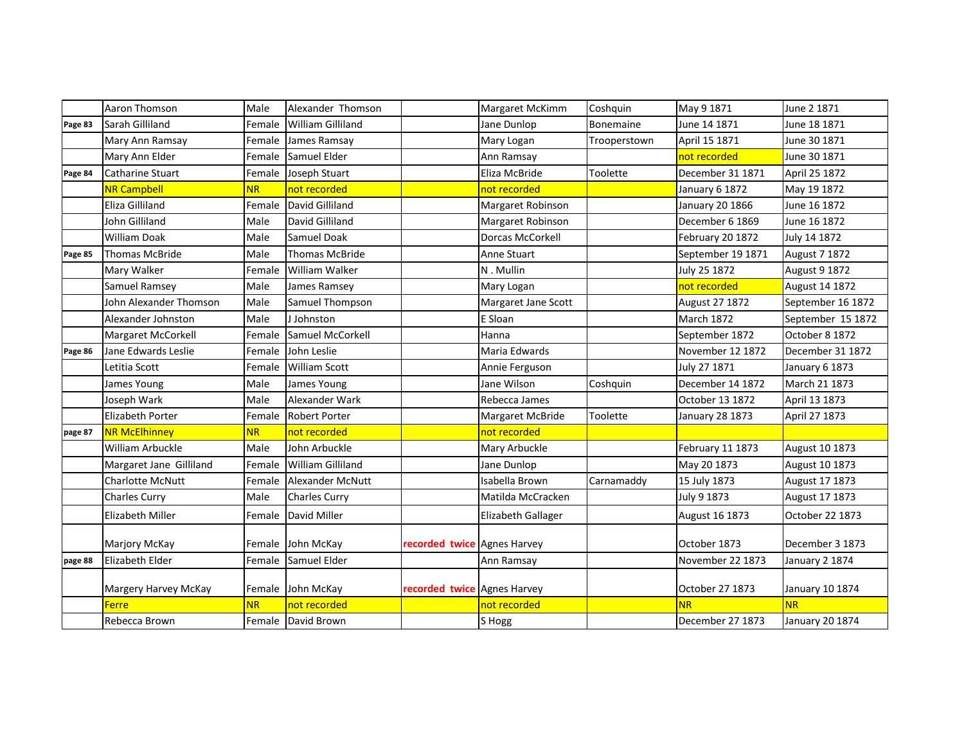|         | Aaron Thomson           | Male      | Alexander Thomson        |                             | Margaret McKimm     | Coshquin     | May 9 1871        | June 2 1871       |
|---------|-------------------------|-----------|--------------------------|-----------------------------|---------------------|--------------|-------------------|-------------------|
| Page 83 | Sarah Gilliland         | Female    | <b>William Gilliland</b> |                             | Jane Dunlop         | Bonemaine    | June 14 1871      | June 18 1871      |
|         | Mary Ann Ramsay         | Female    | James Ramsay             |                             | Mary Logan          | Trooperstown | April 15 1871     | June 30 1871      |
|         | Mary Ann Elder          | Female    | Samuel Elder             |                             | Ann Ramsay          |              | not recorded      | June 30 1871      |
| Page 84 | Catharine Stuart        | Female    | Joseph Stuart            |                             | Eliza McBride       | Toolette     | December 31 1871  | April 25 1872     |
|         | <b>NR Campbell</b>      | <b>NR</b> | not recorded             |                             | not recorded        |              | January 6 1872    | May 19 1872       |
|         | Eliza Gilliland         | Female    | David Gilliland          |                             | Margaret Robinson   |              | January 20 1866   | June 16 1872      |
|         | John Gilliland          | Male      | David Gilliland          |                             | Margaret Robinson   |              | December 6 1869   | June 16 1872      |
|         | <b>William Doak</b>     | Male      | <b>Samuel Doak</b>       |                             | Dorcas McCorkell    |              | February 20 1872  | July 14 1872      |
| Page 85 | <b>Thomas McBride</b>   | Male      | <b>Thomas McBride</b>    |                             | <b>Anne Stuart</b>  |              | September 19 1871 | August 7 1872     |
|         | Mary Walker             | Female    | William Walker           |                             | N. Mullin           |              | July 25 1872      | August 9 1872     |
|         | Samuel Ramsey           | Male      | James Ramsey             |                             | Mary Logan          |              | not recorded      | August 14 1872    |
|         | John Alexander Thomson  | Male      | Samuel Thompson          |                             | Margaret Jane Scott |              | August 27 1872    | September 16 1872 |
|         | Alexander Johnston      | Male      | J Johnston               |                             | E Sloan             |              | <b>March 1872</b> | September 15 1872 |
|         | Margaret McCorkell      | Female    | Samuel McCorkell         |                             | Hanna               |              | September 1872    | October 8 1872    |
| Page 86 | Jane Edwards Leslie     | Female    | John Leslie              |                             | Maria Edwards       |              | November 12 1872  | December 31 1872  |
|         | Letitia Scott           | Female    | <b>William Scott</b>     |                             | Annie Ferguson      |              | July 27 1871      | January 6 1873    |
|         | James Young             | Male      | James Young              |                             | Jane Wilson         | Coshquin     | December 14 1872  | March 21 1873     |
|         | Joseph Wark             | Male      | Alexander Wark           |                             | Rebecca James       |              | October 13 1872   | April 13 1873     |
|         | <b>Elizabeth Porter</b> | Female    | <b>Robert Porter</b>     |                             | Margaret McBride    | Toolette     | January 28 1873   | April 27 1873     |
| page 87 | <b>NR McElhinney</b>    | <b>NR</b> | not recorded             |                             | not recorded        |              |                   |                   |
|         | William Arbuckle        | Male      | John Arbuckle            |                             | Mary Arbuckle       |              | February 11 1873  | August 10 1873    |
|         | Margaret Jane Gilliland | Female    | <b>William Gilliland</b> |                             | Jane Dunlop         |              | May 20 1873       | August 10 1873    |
|         | <b>Charlotte McNutt</b> | Female    | Alexander McNutt         |                             | Isabella Brown      | Carnamaddy   | 15 July 1873      | August 17 1873    |
|         | <b>Charles Curry</b>    | Male      | <b>Charles Curry</b>     |                             | Matilda McCracken   |              | July 9 1873       | August 17 1873    |
|         | Elizabeth Miller        | Female    | David Miller             |                             | Elizabeth Gallager  |              | August 16 1873    | October 22 1873   |
|         |                         |           |                          |                             |                     |              |                   |                   |
|         | Marjory McKay           |           | Female John McKay        | recorded twice Agnes Harvey |                     |              | October 1873      | December 3 1873   |
| page 88 | Elizabeth Elder         | Female    | Samuel Elder             |                             | Ann Ramsay          |              | November 22 1873  | January 2 1874    |
|         |                         |           |                          |                             |                     |              |                   |                   |
|         | Margery Harvey McKay    |           | Female John McKay        | recorded twice Agnes Harvey |                     |              | October 27 1873   | January 10 1874   |
|         | Ferre                   | <b>NR</b> | not recorded             |                             | not recorded        |              | <b>NR</b>         | <b>NR</b>         |
|         | Rebecca Brown           |           | Female David Brown       |                             | S Hogg              |              | December 27 1873  | January 20 1874   |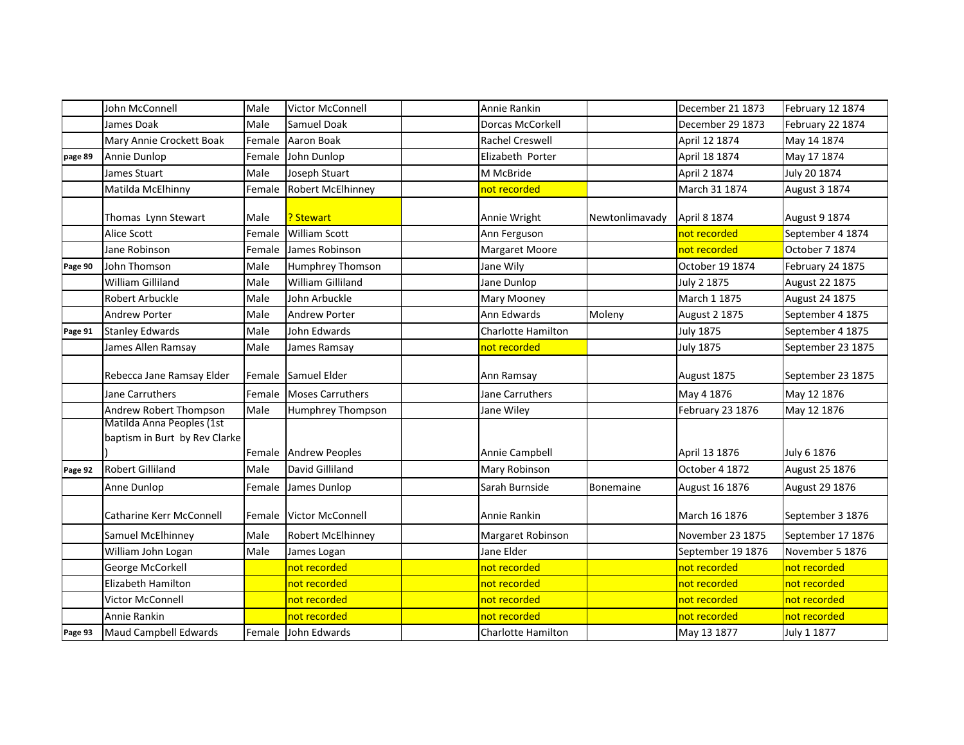|         | John McConnell                  | Male   | Victor McConnell        | Annie Rankin              |                | December 21 1873     | February 12 1874  |
|---------|---------------------------------|--------|-------------------------|---------------------------|----------------|----------------------|-------------------|
|         | James Doak                      | Male   | Samuel Doak             | <b>Dorcas McCorkell</b>   |                | December 29 1873     | February 22 1874  |
|         | Mary Annie Crockett Boak        | Female | Aaron Boak              | Rachel Creswell           |                | April 12 1874        | May 14 1874       |
| page 89 | Annie Dunlop                    | Female | John Dunlop             | Elizabeth Porter          |                | April 18 1874        | May 17 1874       |
|         | James Stuart                    | Male   | Joseph Stuart           | M McBride                 |                | April 2 1874         | July 20 1874      |
|         | Matilda McElhinny               | Female | Robert McElhinney       | not recorded              |                | March 31 1874        | August 3 1874     |
|         | Thomas Lynn Stewart             | Male   | ? Stewart               | Annie Wright              | Newtonlimavady | April 8 1874         | August 9 1874     |
|         | <b>Alice Scott</b>              | Female | <b>William Scott</b>    | Ann Ferguson              |                | not recorded         | September 4 1874  |
|         | Jane Robinson                   | Female | James Robinson          | Margaret Moore            |                | not recorded         | October 7 1874    |
| Page 90 | John Thomson                    | Male   | Humphrey Thomson        | Jane Wily                 |                | October 19 1874      | February 24 1875  |
|         | William Gilliland               | Male   | William Gilliland       | Jane Dunlop               |                | July 2 1875          | August 22 1875    |
|         | Robert Arbuckle                 | Male   | John Arbuckle           | Mary Mooney               |                | March 1 1875         | August 24 1875    |
|         | <b>Andrew Porter</b>            | Male   | Andrew Porter           | Ann Edwards               | Moleny         | <b>August 2 1875</b> | September 4 1875  |
| Page 91 | <b>Stanley Edwards</b>          | Male   | John Edwards            | Charlotte Hamilton        |                | <b>July 1875</b>     | September 4 1875  |
|         | James Allen Ramsay              | Male   | James Ramsay            | not recorded              |                | <b>July 1875</b>     | September 23 1875 |
|         |                                 |        |                         |                           |                |                      |                   |
|         | Rebecca Jane Ramsay Elder       | Female | Samuel Elder            | Ann Ramsay                |                | August 1875          | September 23 1875 |
|         | Jane Carruthers                 | Female | <b>Moses Carruthers</b> | Jane Carruthers           |                | May 4 1876           | May 12 1876       |
|         | Andrew Robert Thompson          | Male   | Humphrey Thompson       | Jane Wiley                |                | February 23 1876     | May 12 1876       |
|         | Matilda Anna Peoples (1st       |        |                         |                           |                |                      |                   |
|         | baptism in Burt by Rev Clarke   |        |                         |                           |                |                      |                   |
|         |                                 |        | Female Andrew Peoples   | Annie Campbell            |                | April 13 1876        | July 6 1876       |
| Page 92 | <b>Robert Gilliland</b>         | Male   | David Gilliland         | Mary Robinson             |                | October 4 1872       | August 25 1876    |
|         | Anne Dunlop                     | Female | James Dunlop            | Sarah Burnside            | Bonemaine      | August 16 1876       | August 29 1876    |
|         | <b>Catharine Kerr McConnell</b> | Female | <b>Victor McConnell</b> | Annie Rankin              |                | March 16 1876        | September 3 1876  |
|         | Samuel McElhinney               | Male   | Robert McElhinney       | Margaret Robinson         |                | November 23 1875     | September 17 1876 |
|         | William John Logan              | Male   | James Logan             | Jane Elder                |                | September 19 1876    | November 5 1876   |
|         | George McCorkell                |        | not recorded            | not recorded              |                | not recorded         | not recorded      |
|         | Elizabeth Hamilton              |        | not recorded            | not recorded              |                | not recorded         | not recorded      |
|         | Victor McConnell                |        | not recorded            | not recorded              |                | not recorded         | not recorded      |
|         | Annie Rankin                    |        | not recorded            | not recorded              |                | not recorded         | not recorded      |
| Page 93 | Maud Campbell Edwards           |        | Female John Edwards     | <b>Charlotte Hamilton</b> |                | May 13 1877          | July 1 1877       |